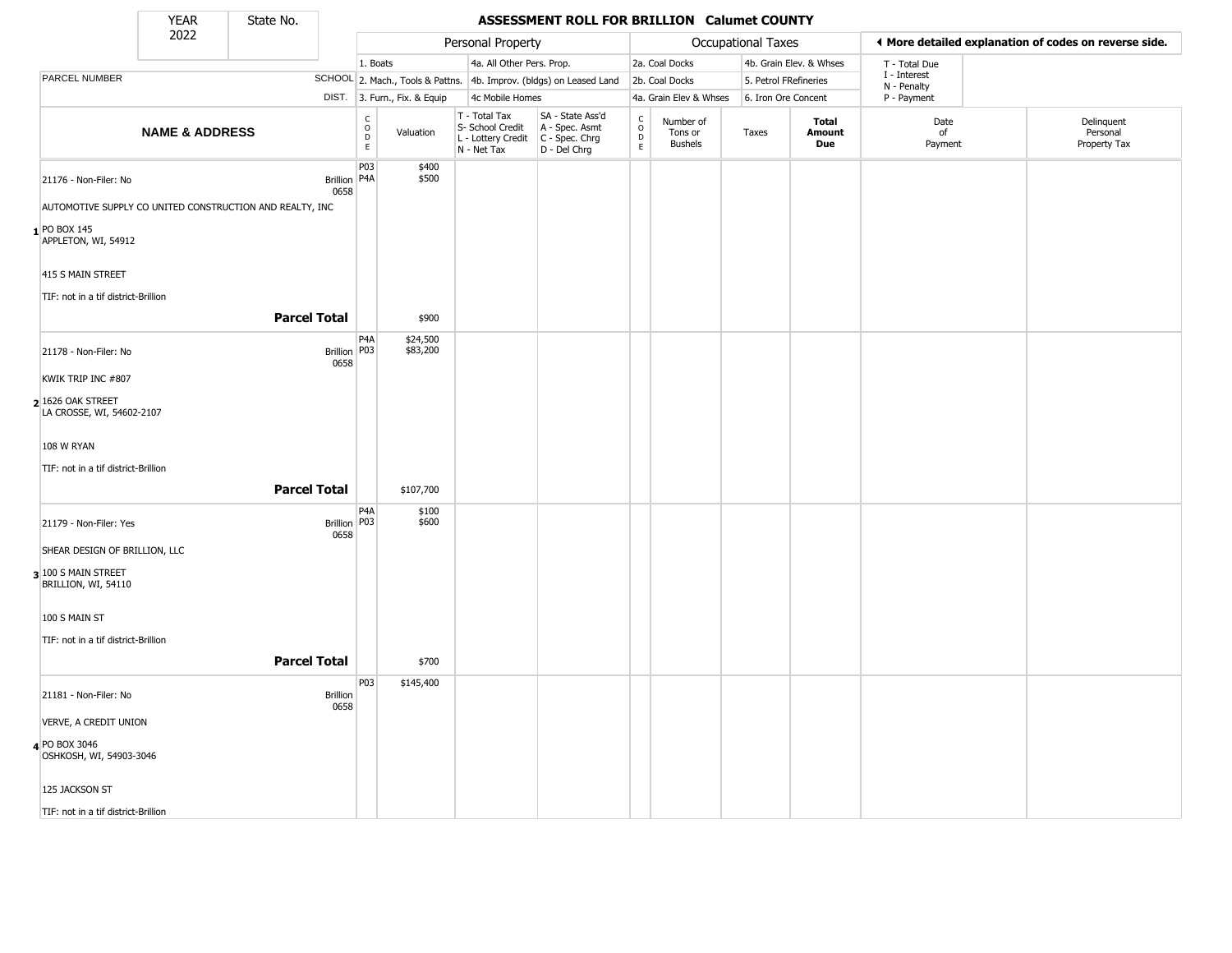State No.

٠

### YEAR **ASSESSMENT ROLL FOR BRILLION Calumet COUNTY**

|                                                | 2022                      |                                                          |                                         |                              | Personal Property                                |                                                                                         |                                                          |                                        | <b>Occupational Taxes</b> |                         |                            | I More detailed explanation of codes on reverse side. |
|------------------------------------------------|---------------------------|----------------------------------------------------------|-----------------------------------------|------------------------------|--------------------------------------------------|-----------------------------------------------------------------------------------------|----------------------------------------------------------|----------------------------------------|---------------------------|-------------------------|----------------------------|-------------------------------------------------------|
|                                                |                           |                                                          | 1. Boats                                |                              | 4a. All Other Pers. Prop.                        |                                                                                         |                                                          | 2a. Coal Docks                         |                           | 4b. Grain Elev. & Whses | T - Total Due              |                                                       |
| PARCEL NUMBER                                  |                           |                                                          |                                         |                              |                                                  | SCHOOL 2. Mach., Tools & Pattns. 4b. Improv. (bldgs) on Leased Land                     |                                                          | 2b. Coal Docks                         | 5. Petrol FRefineries     |                         | I - Interest               |                                                       |
|                                                |                           |                                                          |                                         | DIST. 3. Furn., Fix. & Equip | 4c Mobile Homes                                  |                                                                                         |                                                          | 4a. Grain Elev & Whses                 | 6. Iron Ore Concent       |                         | N - Penalty<br>P - Payment |                                                       |
|                                                | <b>NAME &amp; ADDRESS</b> |                                                          | $\overset{\mathsf{C}}{\mathsf{D}}$<br>E | Valuation                    | T - Total Tax<br>S- School Credit<br>N - Net Tax | SA - State Ass'd<br>A - Spec. Asmt<br>L - Lottery Credit C - Spec. Chrg<br>D - Del Chrg | $\begin{smallmatrix} C \\ O \\ D \end{smallmatrix}$<br>E | Number of<br>Tons or<br><b>Bushels</b> | Taxes                     | Total<br>Amount<br>Due  | Date<br>of<br>Payment      | Delinquent<br>Personal<br>Property Tax                |
| 21176 - Non-Filer: No                          |                           | Brillion   P4A<br>0658                                   | P <sub>03</sub>                         | \$400<br>\$500               |                                                  |                                                                                         |                                                          |                                        |                           |                         |                            |                                                       |
|                                                |                           | AUTOMOTIVE SUPPLY CO UNITED CONSTRUCTION AND REALTY, INC |                                         |                              |                                                  |                                                                                         |                                                          |                                        |                           |                         |                            |                                                       |
| $1$ PO BOX 145<br>APPLETON, WI, 54912          |                           |                                                          |                                         |                              |                                                  |                                                                                         |                                                          |                                        |                           |                         |                            |                                                       |
| 415 S MAIN STREET                              |                           |                                                          |                                         |                              |                                                  |                                                                                         |                                                          |                                        |                           |                         |                            |                                                       |
| TIF: not in a tif district-Brillion            |                           |                                                          |                                         |                              |                                                  |                                                                                         |                                                          |                                        |                           |                         |                            |                                                       |
|                                                |                           | <b>Parcel Total</b>                                      |                                         | \$900                        |                                                  |                                                                                         |                                                          |                                        |                           |                         |                            |                                                       |
| 21178 - Non-Filer: No                          |                           | Brillion   P03<br>0658                                   | P4A                                     | \$24,500<br>\$83,200         |                                                  |                                                                                         |                                                          |                                        |                           |                         |                            |                                                       |
| KWIK TRIP INC #807                             |                           |                                                          |                                         |                              |                                                  |                                                                                         |                                                          |                                        |                           |                         |                            |                                                       |
| 2 1626 OAK STREET<br>LA CROSSE, WI, 54602-2107 |                           |                                                          |                                         |                              |                                                  |                                                                                         |                                                          |                                        |                           |                         |                            |                                                       |
| 108 W RYAN                                     |                           |                                                          |                                         |                              |                                                  |                                                                                         |                                                          |                                        |                           |                         |                            |                                                       |
| TIF: not in a tif district-Brillion            |                           |                                                          |                                         |                              |                                                  |                                                                                         |                                                          |                                        |                           |                         |                            |                                                       |
|                                                |                           | <b>Parcel Total</b>                                      |                                         | \$107,700                    |                                                  |                                                                                         |                                                          |                                        |                           |                         |                            |                                                       |
| 21179 - Non-Filer: Yes                         |                           | Brillion   P03<br>0658                                   | P <sub>4</sub> A                        | \$100<br>\$600               |                                                  |                                                                                         |                                                          |                                        |                           |                         |                            |                                                       |
| SHEAR DESIGN OF BRILLION, LLC                  |                           |                                                          |                                         |                              |                                                  |                                                                                         |                                                          |                                        |                           |                         |                            |                                                       |
| 3 100 S MAIN STREET<br>BRILLION, WI, 54110     |                           |                                                          |                                         |                              |                                                  |                                                                                         |                                                          |                                        |                           |                         |                            |                                                       |
| 100 S MAIN ST                                  |                           |                                                          |                                         |                              |                                                  |                                                                                         |                                                          |                                        |                           |                         |                            |                                                       |
| TIF: not in a tif district-Brillion            |                           |                                                          |                                         |                              |                                                  |                                                                                         |                                                          |                                        |                           |                         |                            |                                                       |
|                                                |                           | <b>Parcel Total</b>                                      |                                         | \$700                        |                                                  |                                                                                         |                                                          |                                        |                           |                         |                            |                                                       |
|                                                |                           |                                                          | P03                                     | \$145,400                    |                                                  |                                                                                         |                                                          |                                        |                           |                         |                            |                                                       |
| 21181 - Non-Filer: No                          |                           | <b>Brillion</b><br>0658                                  |                                         |                              |                                                  |                                                                                         |                                                          |                                        |                           |                         |                            |                                                       |
| VERVE, A CREDIT UNION                          |                           |                                                          |                                         |                              |                                                  |                                                                                         |                                                          |                                        |                           |                         |                            |                                                       |
| 4 PO BOX 3046<br>OSHKOSH, WI, 54903-3046       |                           |                                                          |                                         |                              |                                                  |                                                                                         |                                                          |                                        |                           |                         |                            |                                                       |
| 125 JACKSON ST                                 |                           |                                                          |                                         |                              |                                                  |                                                                                         |                                                          |                                        |                           |                         |                            |                                                       |
| TIF: not in a tif district-Brillion            |                           |                                                          |                                         |                              |                                                  |                                                                                         |                                                          |                                        |                           |                         |                            |                                                       |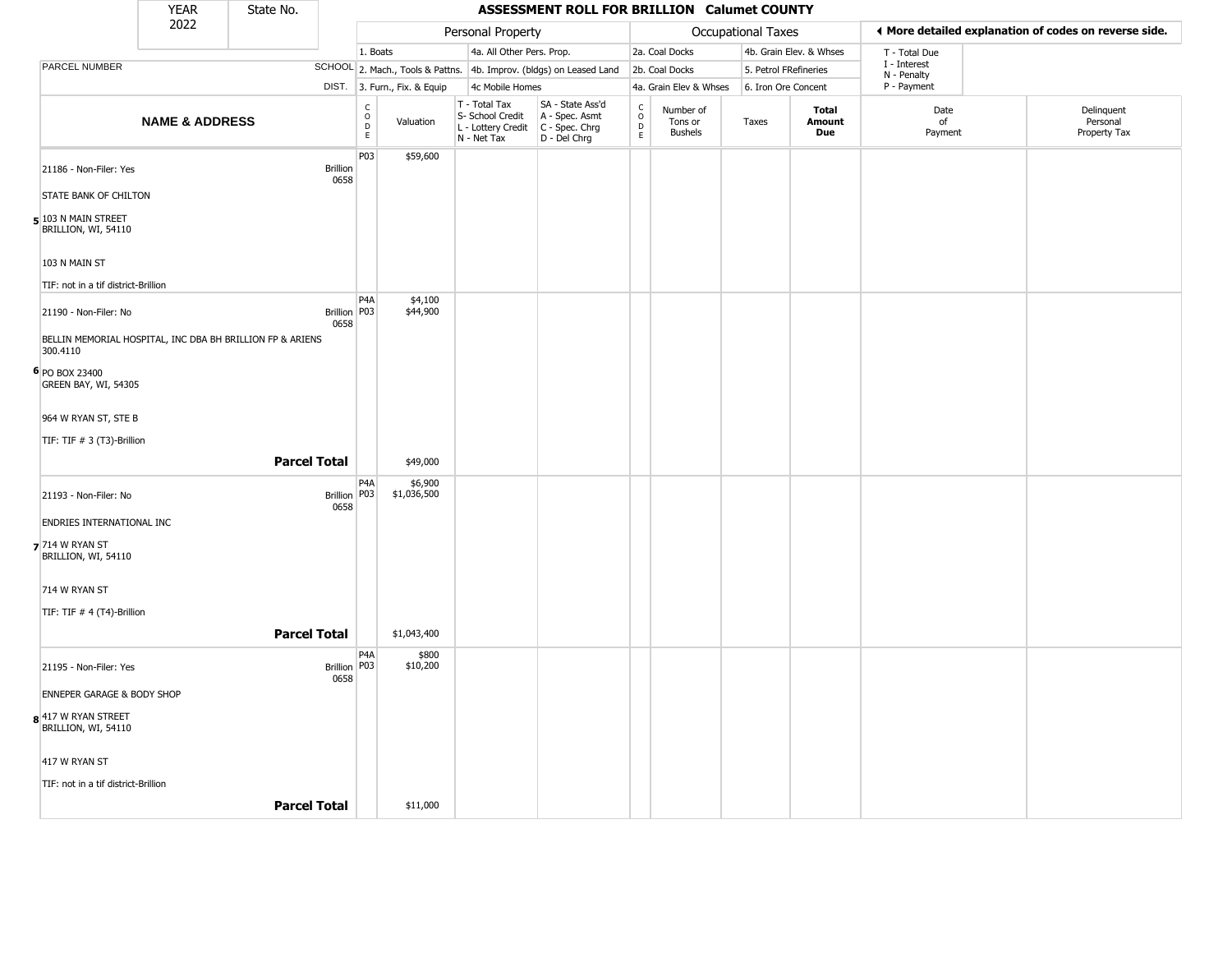|                                                                       | <b>YEAR</b>               | State No. |                         |                                            |                                  |                                                                        | ASSESSMENT ROLL FOR BRILLION Calumet COUNTY                          |                                                 |                                        |                       |                         |                            |                                                       |
|-----------------------------------------------------------------------|---------------------------|-----------|-------------------------|--------------------------------------------|----------------------------------|------------------------------------------------------------------------|----------------------------------------------------------------------|-------------------------------------------------|----------------------------------------|-----------------------|-------------------------|----------------------------|-------------------------------------------------------|
|                                                                       | 2022                      |           |                         |                                            |                                  | Personal Property                                                      |                                                                      |                                                 |                                        | Occupational Taxes    |                         |                            | ♦ More detailed explanation of codes on reverse side. |
|                                                                       |                           |           |                         | 1. Boats                                   |                                  | 4a. All Other Pers. Prop.                                              |                                                                      |                                                 | 2a. Coal Docks                         |                       | 4b. Grain Elev. & Whses | T - Total Due              |                                                       |
| PARCEL NUMBER                                                         |                           |           |                         |                                            | SCHOOL 2. Mach., Tools & Pattns. |                                                                        | 4b. Improv. (bldgs) on Leased Land                                   |                                                 | 2b. Coal Docks                         | 5. Petrol FRefineries |                         | I - Interest               |                                                       |
|                                                                       |                           |           |                         |                                            | DIST. 3. Furn., Fix. & Equip     | 4c Mobile Homes                                                        |                                                                      |                                                 | 4a. Grain Elev & Whses                 | 6. Iron Ore Concent   |                         | N - Penalty<br>P - Payment |                                                       |
|                                                                       | <b>NAME &amp; ADDRESS</b> |           |                         | $\begin{array}{c} C \\ O \\ E \end{array}$ | Valuation                        | T - Total Tax<br>S- School Credit<br>L - Lottery Credit<br>N - Net Tax | SA - State Ass'd<br>A - Spec. Asmt<br>C - Spec. Chrg<br>D - Del Chrg | $\begin{array}{c} C \\ O \\ D \\ E \end{array}$ | Number of<br>Tons or<br><b>Bushels</b> | Taxes                 | Total<br>Amount<br>Due  | Date<br>of<br>Payment      | Delinquent<br>Personal<br>Property Tax                |
|                                                                       |                           |           |                         | P03                                        | \$59,600                         |                                                                        |                                                                      |                                                 |                                        |                       |                         |                            |                                                       |
| 21186 - Non-Filer: Yes                                                |                           |           | <b>Brillion</b><br>0658 |                                            |                                  |                                                                        |                                                                      |                                                 |                                        |                       |                         |                            |                                                       |
| STATE BANK OF CHILTON                                                 |                           |           |                         |                                            |                                  |                                                                        |                                                                      |                                                 |                                        |                       |                         |                            |                                                       |
| $\overline{\phantom{a}}$ 103 N MAIN STREET<br>BRILLION, WI, 54110     |                           |           |                         |                                            |                                  |                                                                        |                                                                      |                                                 |                                        |                       |                         |                            |                                                       |
| 103 N MAIN ST                                                         |                           |           |                         |                                            |                                  |                                                                        |                                                                      |                                                 |                                        |                       |                         |                            |                                                       |
| TIF: not in a tif district-Brillion                                   |                           |           |                         |                                            |                                  |                                                                        |                                                                      |                                                 |                                        |                       |                         |                            |                                                       |
| 21190 - Non-Filer: No                                                 |                           |           | Brillion   P03<br>0658  | P <sub>4</sub> A                           | \$4,100<br>\$44,900              |                                                                        |                                                                      |                                                 |                                        |                       |                         |                            |                                                       |
| BELLIN MEMORIAL HOSPITAL, INC DBA BH BRILLION FP & ARIENS<br>300.4110 |                           |           |                         |                                            |                                  |                                                                        |                                                                      |                                                 |                                        |                       |                         |                            |                                                       |
| 6 PO BOX 23400<br>GREEN BAY, WI, 54305                                |                           |           |                         |                                            |                                  |                                                                        |                                                                      |                                                 |                                        |                       |                         |                            |                                                       |
| 964 W RYAN ST, STE B                                                  |                           |           |                         |                                            |                                  |                                                                        |                                                                      |                                                 |                                        |                       |                         |                            |                                                       |
| TIF: TIF # 3 (T3)-Brillion                                            |                           |           |                         |                                            |                                  |                                                                        |                                                                      |                                                 |                                        |                       |                         |                            |                                                       |
|                                                                       |                           |           | <b>Parcel Total</b>     |                                            | \$49,000                         |                                                                        |                                                                      |                                                 |                                        |                       |                         |                            |                                                       |
| 21193 - Non-Filer: No                                                 |                           |           | Brillion P03<br>0658    | P4A                                        | \$6,900<br>\$1,036,500           |                                                                        |                                                                      |                                                 |                                        |                       |                         |                            |                                                       |
| ENDRIES INTERNATIONAL INC                                             |                           |           |                         |                                            |                                  |                                                                        |                                                                      |                                                 |                                        |                       |                         |                            |                                                       |
| $7$ 714 W RYAN ST<br>BRILLION, WI, 54110                              |                           |           |                         |                                            |                                  |                                                                        |                                                                      |                                                 |                                        |                       |                         |                            |                                                       |
| 714 W RYAN ST                                                         |                           |           |                         |                                            |                                  |                                                                        |                                                                      |                                                 |                                        |                       |                         |                            |                                                       |
| TIF: TIF # 4 (T4)-Brillion                                            |                           |           |                         |                                            |                                  |                                                                        |                                                                      |                                                 |                                        |                       |                         |                            |                                                       |
|                                                                       |                           |           | <b>Parcel Total</b>     |                                            | \$1,043,400                      |                                                                        |                                                                      |                                                 |                                        |                       |                         |                            |                                                       |
| 21195 - Non-Filer: Yes                                                |                           |           | Brillion   P03<br>0658  | P4A                                        | \$800<br>\$10,200                |                                                                        |                                                                      |                                                 |                                        |                       |                         |                            |                                                       |
| <b>ENNEPER GARAGE &amp; BODY SHOP</b>                                 |                           |           |                         |                                            |                                  |                                                                        |                                                                      |                                                 |                                        |                       |                         |                            |                                                       |
| 8 417 W RYAN STREET<br>BRILLION, WI, 54110                            |                           |           |                         |                                            |                                  |                                                                        |                                                                      |                                                 |                                        |                       |                         |                            |                                                       |
| 417 W RYAN ST                                                         |                           |           |                         |                                            |                                  |                                                                        |                                                                      |                                                 |                                        |                       |                         |                            |                                                       |
| TIF: not in a tif district-Brillion                                   |                           |           |                         |                                            |                                  |                                                                        |                                                                      |                                                 |                                        |                       |                         |                            |                                                       |
|                                                                       |                           |           | <b>Parcel Total</b>     |                                            | \$11,000                         |                                                                        |                                                                      |                                                 |                                        |                       |                         |                            |                                                       |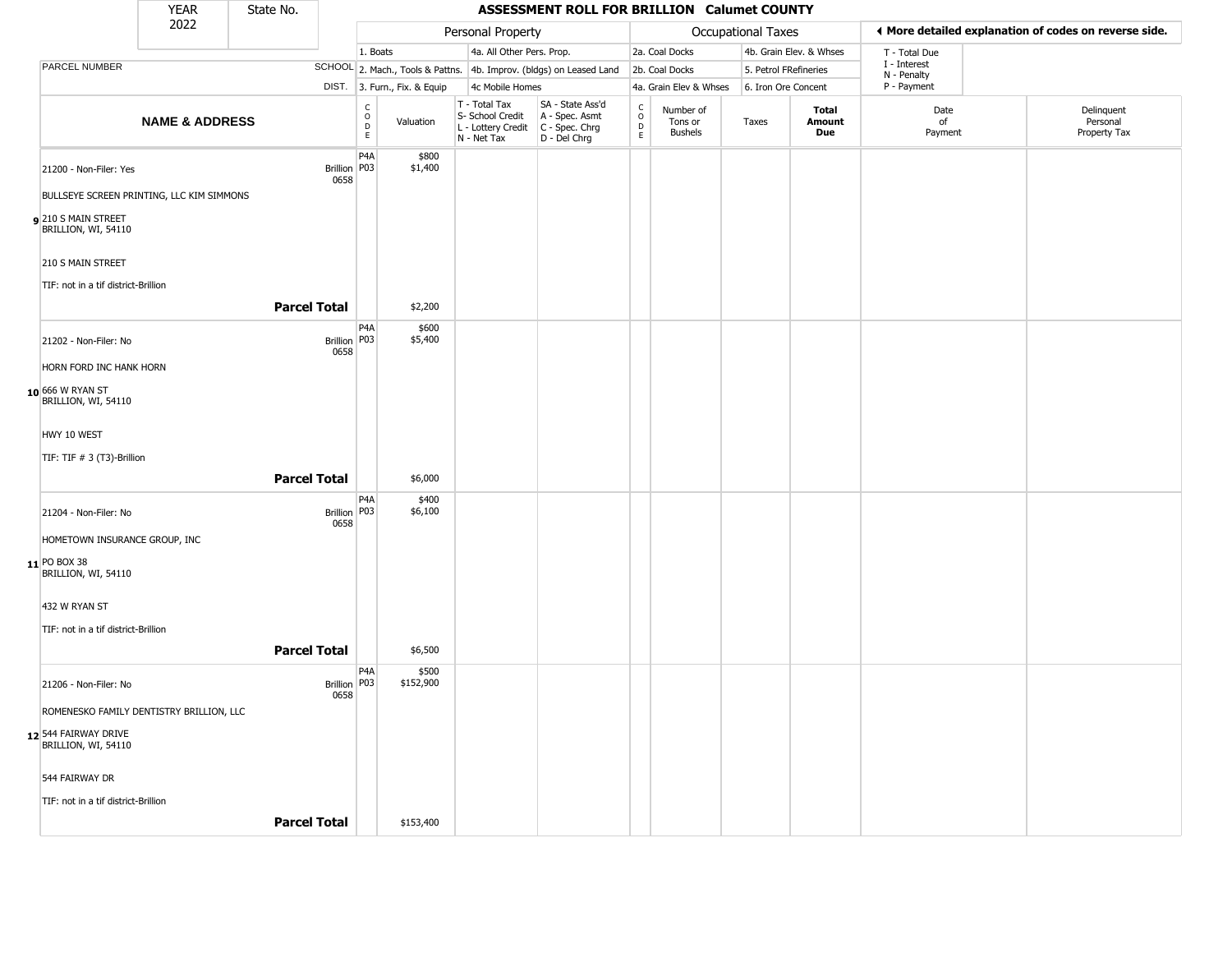|                                             | <b>YEAR</b>               | State No.           |                        |                                                             |                                                                        | ASSESSMENT ROLL FOR BRILLION Calumet COUNTY                          |                                                          |                                        |                       |                         |                             |                                                       |
|---------------------------------------------|---------------------------|---------------------|------------------------|-------------------------------------------------------------|------------------------------------------------------------------------|----------------------------------------------------------------------|----------------------------------------------------------|----------------------------------------|-----------------------|-------------------------|-----------------------------|-------------------------------------------------------|
|                                             | 2022                      |                     |                        |                                                             | Personal Property                                                      |                                                                      |                                                          |                                        | Occupational Taxes    |                         |                             | ◀ More detailed explanation of codes on reverse side. |
|                                             |                           |                     |                        | 1. Boats                                                    | 4a. All Other Pers. Prop.                                              |                                                                      |                                                          | 2a. Coal Docks                         |                       | 4b. Grain Elev. & Whses | T - Total Due               |                                                       |
| PARCEL NUMBER                               |                           |                     |                        |                                                             |                                                                        | SCHOOL 2. Mach., Tools & Pattns. 4b. Improv. (bldgs) on Leased Land  |                                                          | 2b. Coal Docks                         | 5. Petrol FRefineries |                         | I - Interest<br>N - Penalty |                                                       |
|                                             |                           |                     |                        | DIST. 3. Furn., Fix. & Equip                                | 4c Mobile Homes                                                        |                                                                      |                                                          | 4a. Grain Elev & Whses                 | 6. Iron Ore Concent   |                         | P - Payment                 |                                                       |
|                                             | <b>NAME &amp; ADDRESS</b> |                     |                        | $\begin{matrix} 0 \\ 0 \\ D \end{matrix}$<br>Valuation<br>E | T - Total Tax<br>S- School Credit<br>L - Lottery Credit<br>N - Net Tax | SA - State Ass'd<br>A - Spec. Asmt<br>C - Spec. Chrg<br>D - Del Chrg | $\begin{smallmatrix} C \\ 0 \\ D \end{smallmatrix}$<br>E | Number of<br>Tons or<br><b>Bushels</b> | Taxes                 | Total<br>Amount<br>Due  | Date<br>of<br>Payment       | Delinquent<br>Personal<br>Property Tax                |
| 21200 - Non-Filer: Yes                      |                           |                     | Brillion   P03<br>0658 | P <sub>4</sub> A<br>\$800<br>\$1,400                        |                                                                        |                                                                      |                                                          |                                        |                       |                         |                             |                                                       |
| BULLSEYE SCREEN PRINTING, LLC KIM SIMMONS   |                           |                     |                        |                                                             |                                                                        |                                                                      |                                                          |                                        |                       |                         |                             |                                                       |
| 210 S MAIN STREET<br>BRILLION, WI, 54110    |                           |                     |                        |                                                             |                                                                        |                                                                      |                                                          |                                        |                       |                         |                             |                                                       |
| 210 S MAIN STREET                           |                           |                     |                        |                                                             |                                                                        |                                                                      |                                                          |                                        |                       |                         |                             |                                                       |
| TIF: not in a tif district-Brillion         |                           |                     |                        |                                                             |                                                                        |                                                                      |                                                          |                                        |                       |                         |                             |                                                       |
|                                             |                           | <b>Parcel Total</b> |                        | \$2,200                                                     |                                                                        |                                                                      |                                                          |                                        |                       |                         |                             |                                                       |
| 21202 - Non-Filer: No                       |                           |                     | Brillion P03<br>0658   | P <sub>4</sub> A<br>\$600<br>\$5,400                        |                                                                        |                                                                      |                                                          |                                        |                       |                         |                             |                                                       |
| HORN FORD INC HANK HORN                     |                           |                     |                        |                                                             |                                                                        |                                                                      |                                                          |                                        |                       |                         |                             |                                                       |
| 10 666 W RYAN ST<br>BRILLION, WI, 54110     |                           |                     |                        |                                                             |                                                                        |                                                                      |                                                          |                                        |                       |                         |                             |                                                       |
| HWY 10 WEST                                 |                           |                     |                        |                                                             |                                                                        |                                                                      |                                                          |                                        |                       |                         |                             |                                                       |
| TIF: TIF # 3 (T3)-Brillion                  |                           |                     |                        |                                                             |                                                                        |                                                                      |                                                          |                                        |                       |                         |                             |                                                       |
|                                             |                           | <b>Parcel Total</b> |                        | \$6,000                                                     |                                                                        |                                                                      |                                                          |                                        |                       |                         |                             |                                                       |
| 21204 - Non-Filer: No                       |                           |                     | Brillion P03<br>0658   | P4A<br>\$400<br>\$6,100                                     |                                                                        |                                                                      |                                                          |                                        |                       |                         |                             |                                                       |
| HOMETOWN INSURANCE GROUP, INC               |                           |                     |                        |                                                             |                                                                        |                                                                      |                                                          |                                        |                       |                         |                             |                                                       |
| 11 PO BOX 38<br>BRILLION, WI, 54110         |                           |                     |                        |                                                             |                                                                        |                                                                      |                                                          |                                        |                       |                         |                             |                                                       |
| 432 W RYAN ST                               |                           |                     |                        |                                                             |                                                                        |                                                                      |                                                          |                                        |                       |                         |                             |                                                       |
| TIF: not in a tif district-Brillion         |                           |                     |                        |                                                             |                                                                        |                                                                      |                                                          |                                        |                       |                         |                             |                                                       |
|                                             |                           | <b>Parcel Total</b> |                        | \$6,500                                                     |                                                                        |                                                                      |                                                          |                                        |                       |                         |                             |                                                       |
| 21206 - Non-Filer: No                       |                           |                     | Brillion   P03<br>0658 | P4A<br>\$500<br>\$152,900                                   |                                                                        |                                                                      |                                                          |                                        |                       |                         |                             |                                                       |
| ROMENESKO FAMILY DENTISTRY BRILLION, LLC    |                           |                     |                        |                                                             |                                                                        |                                                                      |                                                          |                                        |                       |                         |                             |                                                       |
| 12 544 FAIRWAY DRIVE<br>BRILLION, WI, 54110 |                           |                     |                        |                                                             |                                                                        |                                                                      |                                                          |                                        |                       |                         |                             |                                                       |
| 544 FAIRWAY DR                              |                           |                     |                        |                                                             |                                                                        |                                                                      |                                                          |                                        |                       |                         |                             |                                                       |
| TIF: not in a tif district-Brillion         |                           |                     |                        |                                                             |                                                                        |                                                                      |                                                          |                                        |                       |                         |                             |                                                       |
|                                             |                           | <b>Parcel Total</b> |                        | \$153,400                                                   |                                                                        |                                                                      |                                                          |                                        |                       |                         |                             |                                                       |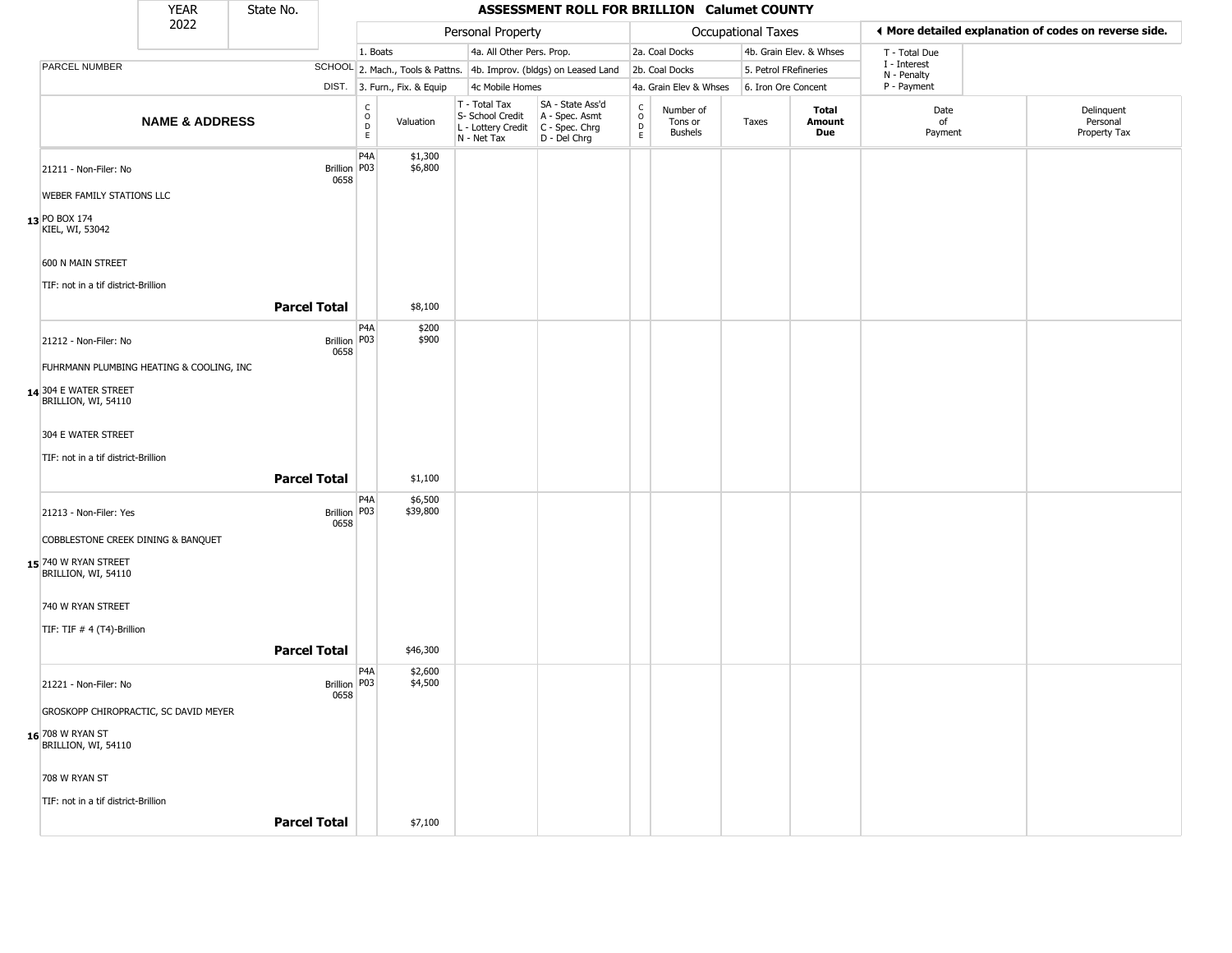|                                              | YEAR                                     | State No.           |                         |                                      |                              |                                                                        | ASSESSMENT ROLL FOR BRILLION Calumet COUNTY                          |                      |                                        |                       |                         |                             |                                                       |
|----------------------------------------------|------------------------------------------|---------------------|-------------------------|--------------------------------------|------------------------------|------------------------------------------------------------------------|----------------------------------------------------------------------|----------------------|----------------------------------------|-----------------------|-------------------------|-----------------------------|-------------------------------------------------------|
|                                              | 2022                                     |                     |                         |                                      |                              | Personal Property                                                      |                                                                      |                      |                                        | Occupational Taxes    |                         |                             | ♦ More detailed explanation of codes on reverse side. |
|                                              |                                          |                     |                         | 1. Boats                             |                              | 4a. All Other Pers. Prop.                                              |                                                                      |                      | 2a. Coal Docks                         |                       | 4b. Grain Elev. & Whses | T - Total Due               |                                                       |
| PARCEL NUMBER                                |                                          |                     |                         |                                      |                              |                                                                        | SCHOOL 2. Mach., Tools & Pattns. 4b. Improv. (bldgs) on Leased Land  |                      | 2b. Coal Docks                         | 5. Petrol FRefineries |                         | I - Interest<br>N - Penalty |                                                       |
|                                              |                                          |                     |                         |                                      | DIST. 3. Furn., Fix. & Equip | 4c Mobile Homes                                                        |                                                                      |                      | 4a. Grain Elev & Whses                 | 6. Iron Ore Concent   |                         | P - Payment                 |                                                       |
|                                              | <b>NAME &amp; ADDRESS</b>                |                     |                         | C<br>$\mathsf O$<br>$\mathsf D$<br>E | Valuation                    | T - Total Tax<br>S- School Credit<br>L - Lottery Credit<br>N - Net Tax | SA - State Ass'd<br>A - Spec. Asmt<br>C - Spec. Chrg<br>D - Del Chrg | $\rm _o^C$<br>D<br>E | Number of<br>Tons or<br><b>Bushels</b> | Taxes                 | Total<br>Amount<br>Due  | Date<br>of<br>Payment       | Delinquent<br>Personal<br>Property Tax                |
| 21211 - Non-Filer: No                        |                                          |                     | <b>Brillion</b><br>0658 | P4A<br>P <sub>0</sub> 3              | \$1,300<br>\$6,800           |                                                                        |                                                                      |                      |                                        |                       |                         |                             |                                                       |
| <b>WEBER FAMILY STATIONS LLC</b>             |                                          |                     |                         |                                      |                              |                                                                        |                                                                      |                      |                                        |                       |                         |                             |                                                       |
| 13 PO BOX 174<br>KIEL, WI, 53042             |                                          |                     |                         |                                      |                              |                                                                        |                                                                      |                      |                                        |                       |                         |                             |                                                       |
| 600 N MAIN STREET                            |                                          |                     |                         |                                      |                              |                                                                        |                                                                      |                      |                                        |                       |                         |                             |                                                       |
| TIF: not in a tif district-Brillion          |                                          |                     |                         |                                      |                              |                                                                        |                                                                      |                      |                                        |                       |                         |                             |                                                       |
|                                              |                                          | <b>Parcel Total</b> |                         |                                      | \$8,100                      |                                                                        |                                                                      |                      |                                        |                       |                         |                             |                                                       |
| 21212 - Non-Filer: No                        |                                          |                     | Brillion   P03<br>0658  | P4A                                  | \$200<br>\$900               |                                                                        |                                                                      |                      |                                        |                       |                         |                             |                                                       |
|                                              | FUHRMANN PLUMBING HEATING & COOLING, INC |                     |                         |                                      |                              |                                                                        |                                                                      |                      |                                        |                       |                         |                             |                                                       |
| 14 304 E WATER STREET<br>BRILLION, WI, 54110 |                                          |                     |                         |                                      |                              |                                                                        |                                                                      |                      |                                        |                       |                         |                             |                                                       |
| 304 E WATER STREET                           |                                          |                     |                         |                                      |                              |                                                                        |                                                                      |                      |                                        |                       |                         |                             |                                                       |
| TIF: not in a tif district-Brillion          |                                          |                     |                         |                                      |                              |                                                                        |                                                                      |                      |                                        |                       |                         |                             |                                                       |
|                                              |                                          | <b>Parcel Total</b> |                         |                                      | \$1,100                      |                                                                        |                                                                      |                      |                                        |                       |                         |                             |                                                       |
| 21213 - Non-Filer: Yes                       |                                          |                     | Brillion   P03<br>0658  | P <sub>4</sub> A                     | \$6,500<br>\$39,800          |                                                                        |                                                                      |                      |                                        |                       |                         |                             |                                                       |
|                                              | COBBLESTONE CREEK DINING & BANQUET       |                     |                         |                                      |                              |                                                                        |                                                                      |                      |                                        |                       |                         |                             |                                                       |
| 15 740 W RYAN STREET<br>BRILLION, WI, 54110  |                                          |                     |                         |                                      |                              |                                                                        |                                                                      |                      |                                        |                       |                         |                             |                                                       |
| 740 W RYAN STREET                            |                                          |                     |                         |                                      |                              |                                                                        |                                                                      |                      |                                        |                       |                         |                             |                                                       |
| TIF: TIF # 4 (T4)-Brillion                   |                                          |                     |                         |                                      |                              |                                                                        |                                                                      |                      |                                        |                       |                         |                             |                                                       |
|                                              |                                          | <b>Parcel Total</b> |                         |                                      | \$46,300                     |                                                                        |                                                                      |                      |                                        |                       |                         |                             |                                                       |
| 21221 - Non-Filer: No                        |                                          |                     | Brillion P03<br>0658    | P4A                                  | \$2,600<br>\$4,500           |                                                                        |                                                                      |                      |                                        |                       |                         |                             |                                                       |
|                                              | GROSKOPP CHIROPRACTIC, SC DAVID MEYER    |                     |                         |                                      |                              |                                                                        |                                                                      |                      |                                        |                       |                         |                             |                                                       |
| 16 708 W RYAN ST<br>BRILLION, WI, 54110      |                                          |                     |                         |                                      |                              |                                                                        |                                                                      |                      |                                        |                       |                         |                             |                                                       |
| 708 W RYAN ST                                |                                          |                     |                         |                                      |                              |                                                                        |                                                                      |                      |                                        |                       |                         |                             |                                                       |
| TIF: not in a tif district-Brillion          |                                          |                     |                         |                                      |                              |                                                                        |                                                                      |                      |                                        |                       |                         |                             |                                                       |
|                                              |                                          | <b>Parcel Total</b> |                         |                                      | \$7,100                      |                                                                        |                                                                      |                      |                                        |                       |                         |                             |                                                       |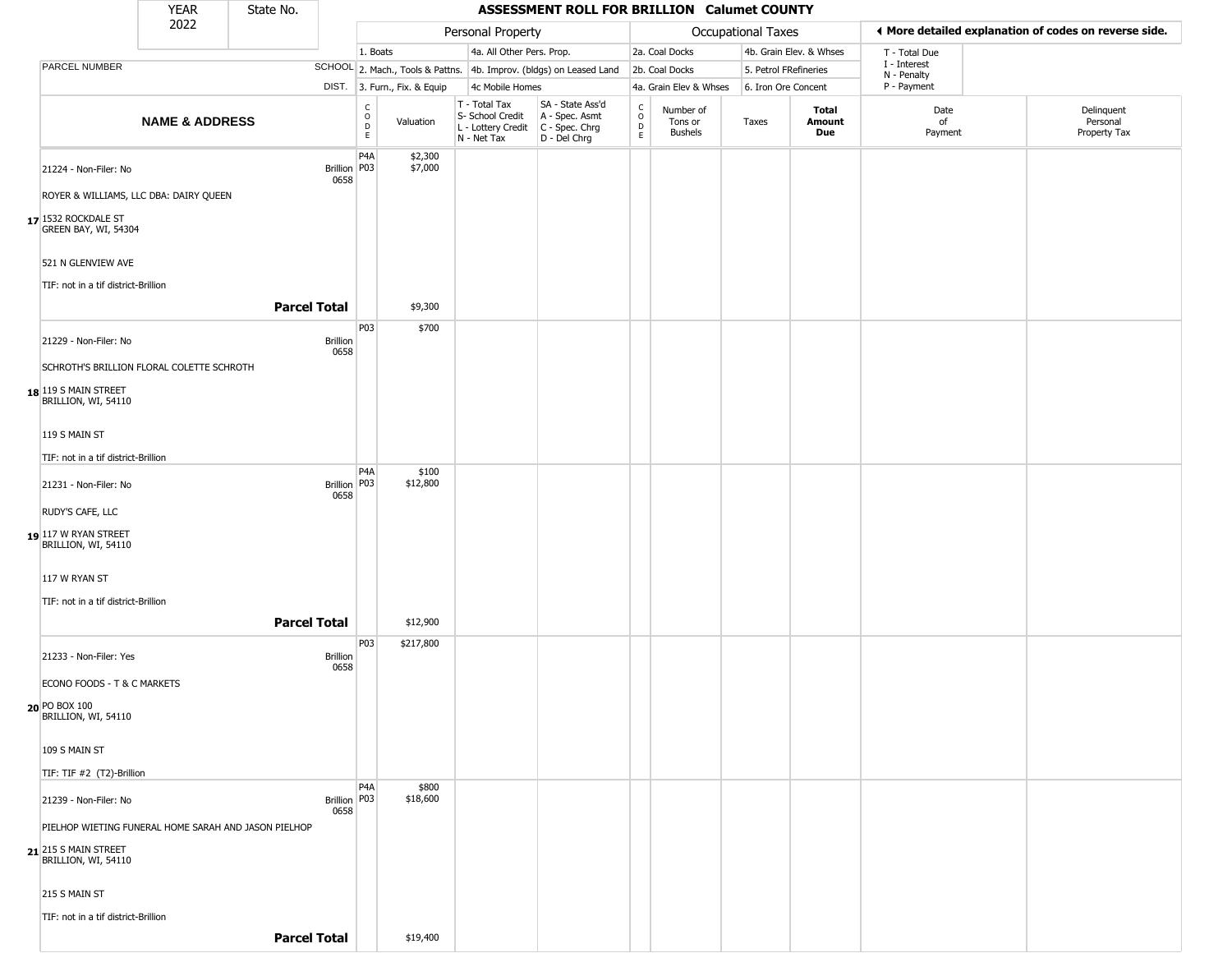|                                                                   | <b>YEAR</b>               | State No.               |                              |                              |                                                                                       | ASSESSMENT ROLL FOR BRILLION Calumet COUNTY                         |                        |                                        |                       |                         |                                                       |                                        |
|-------------------------------------------------------------------|---------------------------|-------------------------|------------------------------|------------------------------|---------------------------------------------------------------------------------------|---------------------------------------------------------------------|------------------------|----------------------------------------|-----------------------|-------------------------|-------------------------------------------------------|----------------------------------------|
|                                                                   | 2022                      |                         |                              |                              | Personal Property                                                                     |                                                                     |                        |                                        | Occupational Taxes    |                         | ♦ More detailed explanation of codes on reverse side. |                                        |
|                                                                   |                           |                         | 1. Boats                     |                              | 4a. All Other Pers. Prop.                                                             |                                                                     |                        | 2a. Coal Docks                         |                       | 4b. Grain Elev. & Whses | T - Total Due                                         |                                        |
| <b>PARCEL NUMBER</b>                                              |                           |                         |                              |                              |                                                                                       | SCHOOL 2. Mach., Tools & Pattns. 4b. Improv. (bldgs) on Leased Land |                        | 2b. Coal Docks                         | 5. Petrol FRefineries |                         | I - Interest<br>N - Penalty                           |                                        |
|                                                                   |                           |                         |                              | DIST. 3. Furn., Fix. & Equip | 4c Mobile Homes                                                                       |                                                                     |                        | 4a. Grain Elev & Whses                 | 6. Iron Ore Concent   |                         | P - Payment                                           |                                        |
|                                                                   | <b>NAME &amp; ADDRESS</b> |                         | $_{\rm o}^{\rm c}$<br>D<br>E | Valuation                    | T - Total Tax<br>S- School Credit<br>L - Lottery Credit C - Spec. Chrg<br>N - Net Tax | SA - State Ass'd<br>A - Spec. Asmt<br>D - Del Chrg                  | C<br>$\circ$<br>D<br>E | Number of<br>Tons or<br><b>Bushels</b> | Taxes                 | Total<br>Amount<br>Due  | Date<br>of<br>Payment                                 | Delinquent<br>Personal<br>Property Tax |
| 21224 - Non-Filer: No<br>ROYER & WILLIAMS, LLC DBA: DAIRY QUEEN   |                           | 0658                    | P4A<br>Brillion P03          | \$2,300<br>\$7,000           |                                                                                       |                                                                     |                        |                                        |                       |                         |                                                       |                                        |
| 17 1532 ROCKDALE ST<br>GREEN BAY, WI, 54304                       |                           |                         |                              |                              |                                                                                       |                                                                     |                        |                                        |                       |                         |                                                       |                                        |
| 521 N GLENVIEW AVE<br>TIF: not in a tif district-Brillion         |                           |                         |                              |                              |                                                                                       |                                                                     |                        |                                        |                       |                         |                                                       |                                        |
|                                                                   |                           | <b>Parcel Total</b>     |                              | \$9,300                      |                                                                                       |                                                                     |                        |                                        |                       |                         |                                                       |                                        |
| 21229 - Non-Filer: No                                             |                           | <b>Brillion</b><br>0658 | P03                          | \$700                        |                                                                                       |                                                                     |                        |                                        |                       |                         |                                                       |                                        |
| SCHROTH'S BRILLION FLORAL COLETTE SCHROTH<br>18 119 S MAIN STREET |                           |                         |                              |                              |                                                                                       |                                                                     |                        |                                        |                       |                         |                                                       |                                        |
| BRILLION, WI, 54110                                               |                           |                         |                              |                              |                                                                                       |                                                                     |                        |                                        |                       |                         |                                                       |                                        |
| 119 S MAIN ST                                                     |                           |                         |                              |                              |                                                                                       |                                                                     |                        |                                        |                       |                         |                                                       |                                        |
| TIF: not in a tif district-Brillion                               |                           |                         | P <sub>4</sub> A             | \$100                        |                                                                                       |                                                                     |                        |                                        |                       |                         |                                                       |                                        |
| 21231 - Non-Filer: No                                             |                           | 0658                    | Brillion   P03               | \$12,800                     |                                                                                       |                                                                     |                        |                                        |                       |                         |                                                       |                                        |
| RUDY'S CAFE, LLC                                                  |                           |                         |                              |                              |                                                                                       |                                                                     |                        |                                        |                       |                         |                                                       |                                        |
| 19 117 W RYAN STREET<br>BRILLION, WI, 54110                       |                           |                         |                              |                              |                                                                                       |                                                                     |                        |                                        |                       |                         |                                                       |                                        |
| 117 W RYAN ST                                                     |                           |                         |                              |                              |                                                                                       |                                                                     |                        |                                        |                       |                         |                                                       |                                        |
| TIF: not in a tif district-Brillion                               |                           | <b>Parcel Total</b>     |                              | \$12,900                     |                                                                                       |                                                                     |                        |                                        |                       |                         |                                                       |                                        |
| 21233 - Non-Filer: Yes                                            |                           | <b>Brillion</b><br>0658 | P03                          | \$217,800                    |                                                                                       |                                                                     |                        |                                        |                       |                         |                                                       |                                        |
| ECONO FOODS - T & C MARKETS                                       |                           |                         |                              |                              |                                                                                       |                                                                     |                        |                                        |                       |                         |                                                       |                                        |
| 20 PO BOX 100<br>BRILLION, WI, 54110                              |                           |                         |                              |                              |                                                                                       |                                                                     |                        |                                        |                       |                         |                                                       |                                        |
| 109 S MAIN ST                                                     |                           |                         |                              |                              |                                                                                       |                                                                     |                        |                                        |                       |                         |                                                       |                                        |
| TIF: TIF #2 (T2)-Brillion                                         |                           |                         | P <sub>4</sub> A             | \$800                        |                                                                                       |                                                                     |                        |                                        |                       |                         |                                                       |                                        |
| 21239 - Non-Filer: No                                             |                           | 0658                    | Brillion   P03               | \$18,600                     |                                                                                       |                                                                     |                        |                                        |                       |                         |                                                       |                                        |
| PIELHOP WIETING FUNERAL HOME SARAH AND JASON PIELHOP              |                           |                         |                              |                              |                                                                                       |                                                                     |                        |                                        |                       |                         |                                                       |                                        |
| 21 215 S MAIN STREET<br>BRILLION, WI, 54110                       |                           |                         |                              |                              |                                                                                       |                                                                     |                        |                                        |                       |                         |                                                       |                                        |
| 215 S MAIN ST                                                     |                           |                         |                              |                              |                                                                                       |                                                                     |                        |                                        |                       |                         |                                                       |                                        |
| TIF: not in a tif district-Brillion                               |                           |                         |                              |                              |                                                                                       |                                                                     |                        |                                        |                       |                         |                                                       |                                        |
|                                                                   |                           | <b>Parcel Total</b>     |                              | \$19,400                     |                                                                                       |                                                                     |                        |                                        |                       |                         |                                                       |                                        |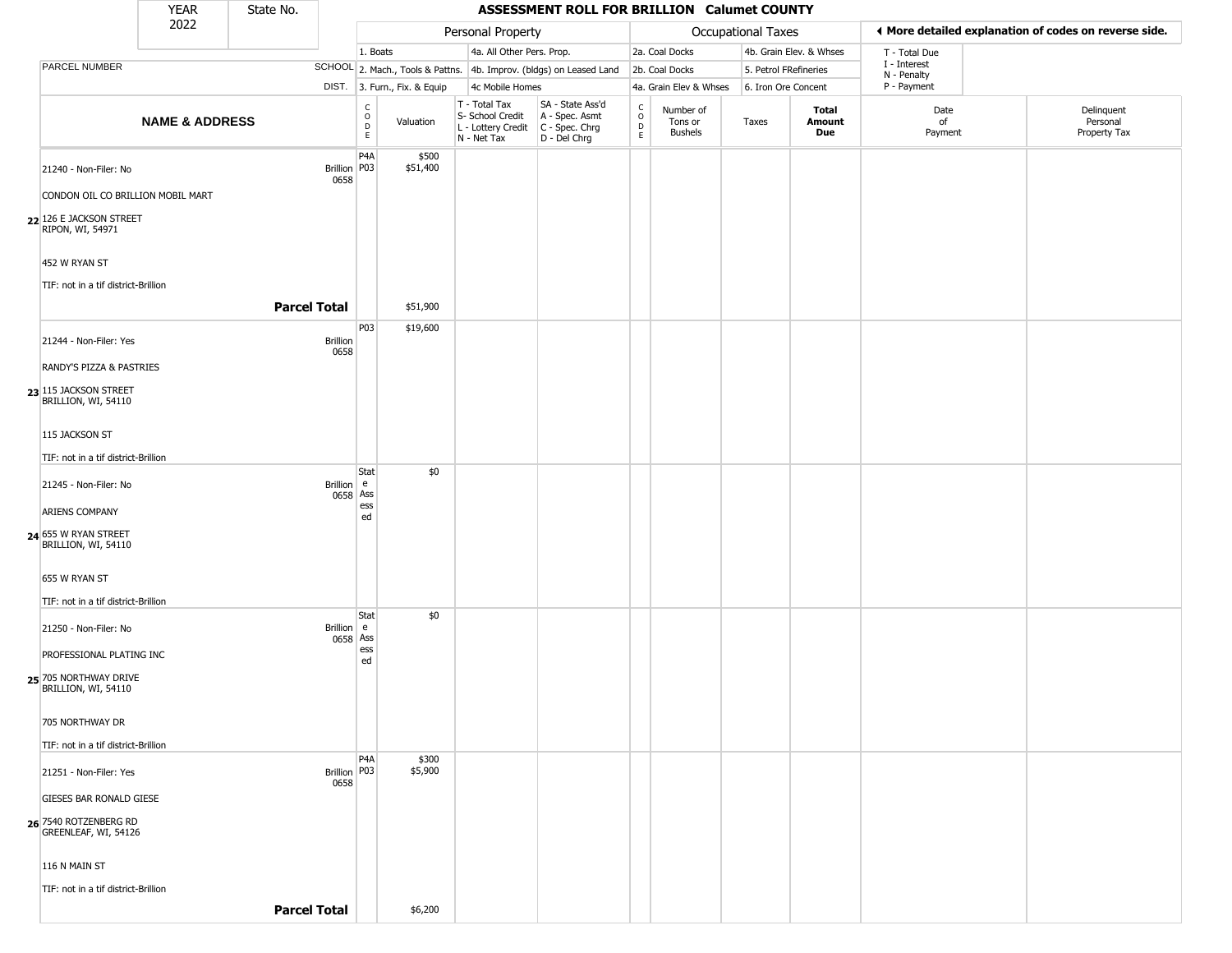|                                                                                  | <b>YEAR</b>               | State No.           |                        |                                        |                              |                                                                                         | ASSESSMENT ROLL FOR BRILLION Calumet COUNTY                         |                                                 |                                        |                           |                         |                             |                                                       |
|----------------------------------------------------------------------------------|---------------------------|---------------------|------------------------|----------------------------------------|------------------------------|-----------------------------------------------------------------------------------------|---------------------------------------------------------------------|-------------------------------------------------|----------------------------------------|---------------------------|-------------------------|-----------------------------|-------------------------------------------------------|
|                                                                                  | 2022                      |                     |                        |                                        |                              | Personal Property                                                                       |                                                                     |                                                 |                                        | <b>Occupational Taxes</b> |                         |                             | ◀ More detailed explanation of codes on reverse side. |
|                                                                                  |                           |                     |                        | 1. Boats                               |                              | 4a. All Other Pers. Prop.                                                               |                                                                     |                                                 | 2a. Coal Docks                         |                           | 4b. Grain Elev. & Whses | T - Total Due               |                                                       |
| PARCEL NUMBER                                                                    |                           |                     |                        |                                        |                              |                                                                                         | SCHOOL 2. Mach., Tools & Pattns. 4b. Improv. (bldgs) on Leased Land |                                                 | 2b. Coal Docks                         | 5. Petrol FRefineries     |                         | I - Interest<br>N - Penalty |                                                       |
|                                                                                  |                           |                     |                        |                                        | DIST. 3. Furn., Fix. & Equip | 4c Mobile Homes                                                                         |                                                                     |                                                 | 4a. Grain Elev & Whses                 | 6. Iron Ore Concent       |                         | P - Payment                 |                                                       |
|                                                                                  | <b>NAME &amp; ADDRESS</b> |                     |                        | $\mathsf C$<br>$_{\rm D}^{\rm O}$<br>E | Valuation                    | T - Total Tax<br>S- School Credit<br>L - Lottery Credit   C - Spec. Chrg<br>N - Net Tax | SA - State Ass'd<br>A - Spec. Asmt<br>D - Del Chrg                  | $\begin{array}{c} C \\ O \\ D \\ E \end{array}$ | Number of<br>Tons or<br><b>Bushels</b> | Taxes                     | Total<br>Amount<br>Due  | Date<br>of<br>Payment       | Delinquent<br>Personal<br>Property Tax                |
| 21240 - Non-Filer: No                                                            |                           |                     | Brillion P03<br>0658   | P <sub>4</sub> A                       | \$500<br>\$51,400            |                                                                                         |                                                                     |                                                 |                                        |                           |                         |                             |                                                       |
| CONDON OIL CO BRILLION MOBIL MART<br>22 126 E JACKSON STREET<br>RIPON, WI, 54971 |                           |                     |                        |                                        |                              |                                                                                         |                                                                     |                                                 |                                        |                           |                         |                             |                                                       |
| 452 W RYAN ST                                                                    |                           |                     |                        |                                        |                              |                                                                                         |                                                                     |                                                 |                                        |                           |                         |                             |                                                       |
| TIF: not in a tif district-Brillion                                              |                           | <b>Parcel Total</b> |                        |                                        | \$51,900                     |                                                                                         |                                                                     |                                                 |                                        |                           |                         |                             |                                                       |
| 21244 - Non-Filer: Yes                                                           |                           |                     | Brillion<br>0658       | P03                                    | \$19,600                     |                                                                                         |                                                                     |                                                 |                                        |                           |                         |                             |                                                       |
| RANDY'S PIZZA & PASTRIES<br>23 115 JACKSON STREET<br>BRILLION, WI, 54110         |                           |                     |                        |                                        |                              |                                                                                         |                                                                     |                                                 |                                        |                           |                         |                             |                                                       |
| 115 JACKSON ST                                                                   |                           |                     |                        |                                        |                              |                                                                                         |                                                                     |                                                 |                                        |                           |                         |                             |                                                       |
| TIF: not in a tif district-Brillion                                              |                           |                     |                        | Stat                                   | \$0                          |                                                                                         |                                                                     |                                                 |                                        |                           |                         |                             |                                                       |
| 21245 - Non-Filer: No                                                            |                           |                     | Brillion e<br>0658 Ass | ess                                    |                              |                                                                                         |                                                                     |                                                 |                                        |                           |                         |                             |                                                       |
| ARIENS COMPANY<br>24 655 W RYAN STREET<br>BRILLION, WI, 54110                    |                           |                     |                        | ed                                     |                              |                                                                                         |                                                                     |                                                 |                                        |                           |                         |                             |                                                       |
| 655 W RYAN ST                                                                    |                           |                     |                        |                                        |                              |                                                                                         |                                                                     |                                                 |                                        |                           |                         |                             |                                                       |
| TIF: not in a tif district-Brillion                                              |                           |                     |                        | Stat                                   | \$0                          |                                                                                         |                                                                     |                                                 |                                        |                           |                         |                             |                                                       |
| 21250 - Non-Filer: No<br>PROFESSIONAL PLATING INC                                |                           |                     | Brillion e<br>0658 Ass | ess                                    |                              |                                                                                         |                                                                     |                                                 |                                        |                           |                         |                             |                                                       |
| 25 705 NORTHWAY DRIVE<br>BRILLION, WI, 54110                                     |                           |                     |                        | ed                                     |                              |                                                                                         |                                                                     |                                                 |                                        |                           |                         |                             |                                                       |
| 705 NORTHWAY DR                                                                  |                           |                     |                        |                                        |                              |                                                                                         |                                                                     |                                                 |                                        |                           |                         |                             |                                                       |
| TIF: not in a tif district-Brillion<br>21251 - Non-Filer: Yes                    |                           |                     | Brillion   P03<br>0658 | P4A                                    | \$300<br>\$5,900             |                                                                                         |                                                                     |                                                 |                                        |                           |                         |                             |                                                       |
| <b>GIESES BAR RONALD GIESE</b>                                                   |                           |                     |                        |                                        |                              |                                                                                         |                                                                     |                                                 |                                        |                           |                         |                             |                                                       |
| 26 7540 ROTZENBERG RD<br>GREENLEAF, WI, 54126                                    |                           |                     |                        |                                        |                              |                                                                                         |                                                                     |                                                 |                                        |                           |                         |                             |                                                       |
| 116 N MAIN ST                                                                    |                           |                     |                        |                                        |                              |                                                                                         |                                                                     |                                                 |                                        |                           |                         |                             |                                                       |
| TIF: not in a tif district-Brillion                                              |                           | <b>Parcel Total</b> |                        |                                        | \$6,200                      |                                                                                         |                                                                     |                                                 |                                        |                           |                         |                             |                                                       |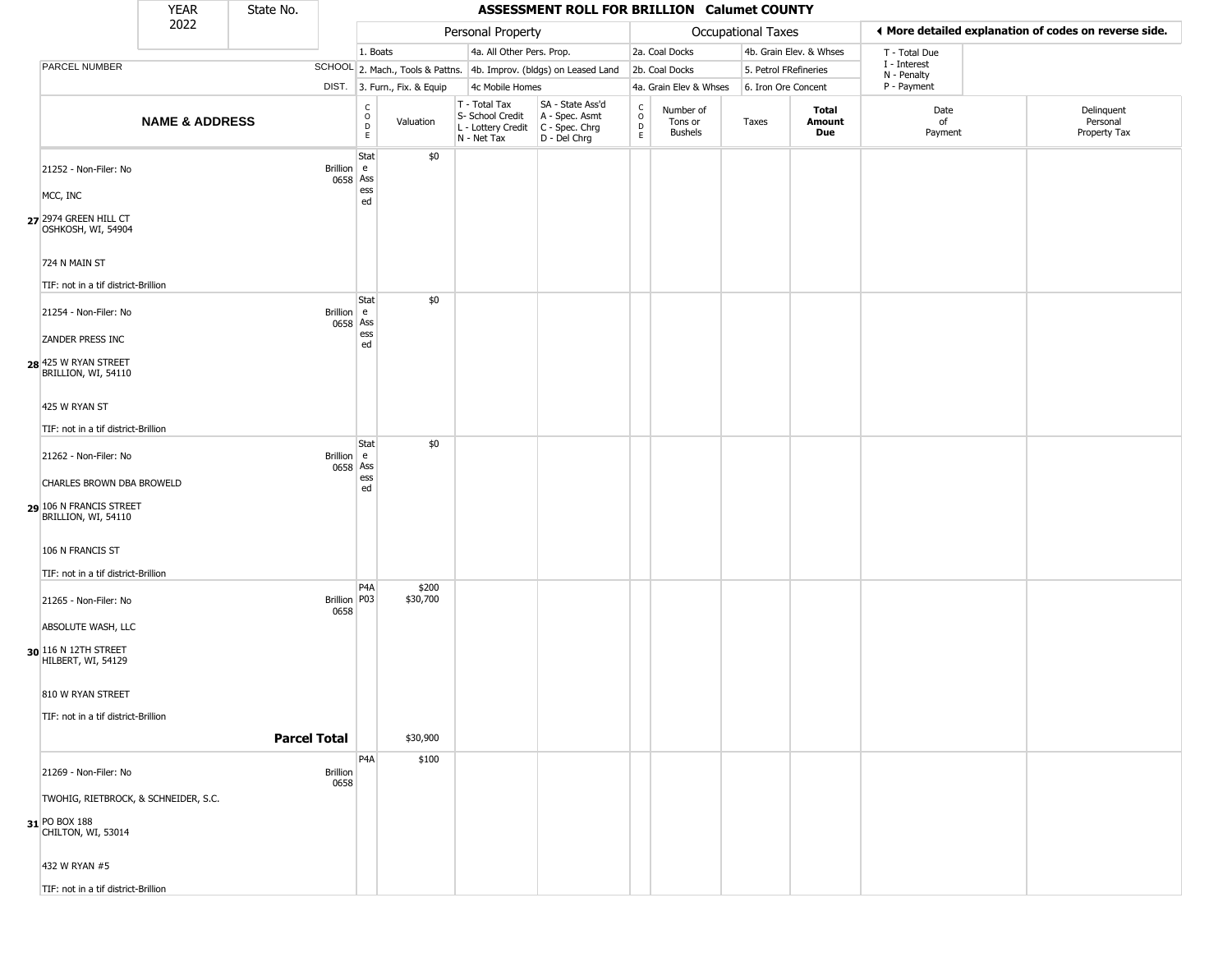|                                                | <b>YEAR</b>               | State No. |                      |                                                  |                              |                                                                                       | ASSESSMENT ROLL FOR BRILLION Calumet COUNTY                         |                                            |                                        |                       |                         |                             |                                                       |
|------------------------------------------------|---------------------------|-----------|----------------------|--------------------------------------------------|------------------------------|---------------------------------------------------------------------------------------|---------------------------------------------------------------------|--------------------------------------------|----------------------------------------|-----------------------|-------------------------|-----------------------------|-------------------------------------------------------|
|                                                | 2022                      |           |                      |                                                  |                              | Personal Property                                                                     |                                                                     |                                            |                                        | Occupational Taxes    |                         |                             | ◀ More detailed explanation of codes on reverse side. |
|                                                |                           |           |                      | 1. Boats                                         |                              | 4a. All Other Pers. Prop.                                                             |                                                                     |                                            | 2a. Coal Docks                         |                       | 4b. Grain Elev. & Whses | T - Total Due               |                                                       |
| PARCEL NUMBER                                  |                           |           |                      |                                                  |                              |                                                                                       | SCHOOL 2. Mach., Tools & Pattns. 4b. Improv. (bldgs) on Leased Land |                                            | 2b. Coal Docks                         | 5. Petrol FRefineries |                         | I - Interest<br>N - Penalty |                                                       |
|                                                |                           |           |                      |                                                  | DIST. 3. Furn., Fix. & Equip | 4c Mobile Homes                                                                       |                                                                     |                                            | 4a. Grain Elev & Whses                 | 6. Iron Ore Concent   |                         | P - Payment                 |                                                       |
|                                                | <b>NAME &amp; ADDRESS</b> |           |                      | $_{\rm o}^{\rm c}$<br>$\mathsf D$<br>$\mathsf E$ | Valuation                    | T - Total Tax<br>S- School Credit<br>L - Lottery Credit C - Spec. Chrg<br>N - Net Tax | SA - State Ass'd<br>A - Spec. Asmt<br>D - Del Chrg                  | $\begin{array}{c} C \\ 0 \\ E \end{array}$ | Number of<br>Tons or<br><b>Bushels</b> | Taxes                 | Total<br>Amount<br>Due  | Date<br>of<br>Payment       | Delinquent<br>Personal<br>Property Tax                |
| 21252 - Non-Filer: No                          |                           |           | Brillion e           | Stat<br>0658 Ass                                 | \$0                          |                                                                                       |                                                                     |                                            |                                        |                       |                         |                             |                                                       |
| MCC, INC                                       |                           |           |                      | ess<br>ed                                        |                              |                                                                                       |                                                                     |                                            |                                        |                       |                         |                             |                                                       |
| 27 2974 GREEN HILL CT<br>OSHKOSH, WI, 54904    |                           |           |                      |                                                  |                              |                                                                                       |                                                                     |                                            |                                        |                       |                         |                             |                                                       |
| 724 N MAIN ST                                  |                           |           |                      |                                                  |                              |                                                                                       |                                                                     |                                            |                                        |                       |                         |                             |                                                       |
| TIF: not in a tif district-Brillion            |                           |           |                      |                                                  |                              |                                                                                       |                                                                     |                                            |                                        |                       |                         |                             |                                                       |
| 21254 - Non-Filer: No                          |                           |           | Brillion $\vert$ e   | Stat<br>0658 Ass                                 | \$0                          |                                                                                       |                                                                     |                                            |                                        |                       |                         |                             |                                                       |
| ZANDER PRESS INC                               |                           |           |                      | ess<br>ed                                        |                              |                                                                                       |                                                                     |                                            |                                        |                       |                         |                             |                                                       |
| 28 425 W RYAN STREET<br>BRILLION, WI, 54110    |                           |           |                      |                                                  |                              |                                                                                       |                                                                     |                                            |                                        |                       |                         |                             |                                                       |
| 425 W RYAN ST                                  |                           |           |                      |                                                  |                              |                                                                                       |                                                                     |                                            |                                        |                       |                         |                             |                                                       |
| TIF: not in a tif district-Brillion            |                           |           |                      |                                                  |                              |                                                                                       |                                                                     |                                            |                                        |                       |                         |                             |                                                       |
| 21262 - Non-Filer: No                          |                           |           | Brillion e           | Stat<br>0658 Ass                                 | \$0                          |                                                                                       |                                                                     |                                            |                                        |                       |                         |                             |                                                       |
| CHARLES BROWN DBA BROWELD                      |                           |           |                      | ess<br>ed                                        |                              |                                                                                       |                                                                     |                                            |                                        |                       |                         |                             |                                                       |
| 29 106 N FRANCIS STREET<br>BRILLION, WI, 54110 |                           |           |                      |                                                  |                              |                                                                                       |                                                                     |                                            |                                        |                       |                         |                             |                                                       |
| 106 N FRANCIS ST                               |                           |           |                      |                                                  |                              |                                                                                       |                                                                     |                                            |                                        |                       |                         |                             |                                                       |
| TIF: not in a tif district-Brillion            |                           |           |                      |                                                  |                              |                                                                                       |                                                                     |                                            |                                        |                       |                         |                             |                                                       |
| 21265 - Non-Filer: No                          |                           |           | Brillion P03<br>0658 | P <sub>4</sub> A                                 | \$200<br>\$30,700            |                                                                                       |                                                                     |                                            |                                        |                       |                         |                             |                                                       |
| ABSOLUTE WASH, LLC                             |                           |           |                      |                                                  |                              |                                                                                       |                                                                     |                                            |                                        |                       |                         |                             |                                                       |
| 30 116 N 12TH STREET<br>HILBERT, WI, 54129     |                           |           |                      |                                                  |                              |                                                                                       |                                                                     |                                            |                                        |                       |                         |                             |                                                       |
| 810 W RYAN STREET                              |                           |           |                      |                                                  |                              |                                                                                       |                                                                     |                                            |                                        |                       |                         |                             |                                                       |
| TIF: not in a tif district-Brillion            |                           |           |                      |                                                  |                              |                                                                                       |                                                                     |                                            |                                        |                       |                         |                             |                                                       |
|                                                |                           |           | <b>Parcel Total</b>  |                                                  | \$30,900                     |                                                                                       |                                                                     |                                            |                                        |                       |                         |                             |                                                       |
| 21269 - Non-Filer: No                          |                           |           | Brillion<br>0658     | P <sub>4</sub> A                                 | \$100                        |                                                                                       |                                                                     |                                            |                                        |                       |                         |                             |                                                       |
| TWOHIG, RIETBROCK, & SCHNEIDER, S.C.           |                           |           |                      |                                                  |                              |                                                                                       |                                                                     |                                            |                                        |                       |                         |                             |                                                       |
| 31 PO BOX 188<br>CHILTON, WI, 53014            |                           |           |                      |                                                  |                              |                                                                                       |                                                                     |                                            |                                        |                       |                         |                             |                                                       |
| 432 W RYAN #5                                  |                           |           |                      |                                                  |                              |                                                                                       |                                                                     |                                            |                                        |                       |                         |                             |                                                       |
| TIF: not in a tif district-Brillion            |                           |           |                      |                                                  |                              |                                                                                       |                                                                     |                                            |                                        |                       |                         |                             |                                                       |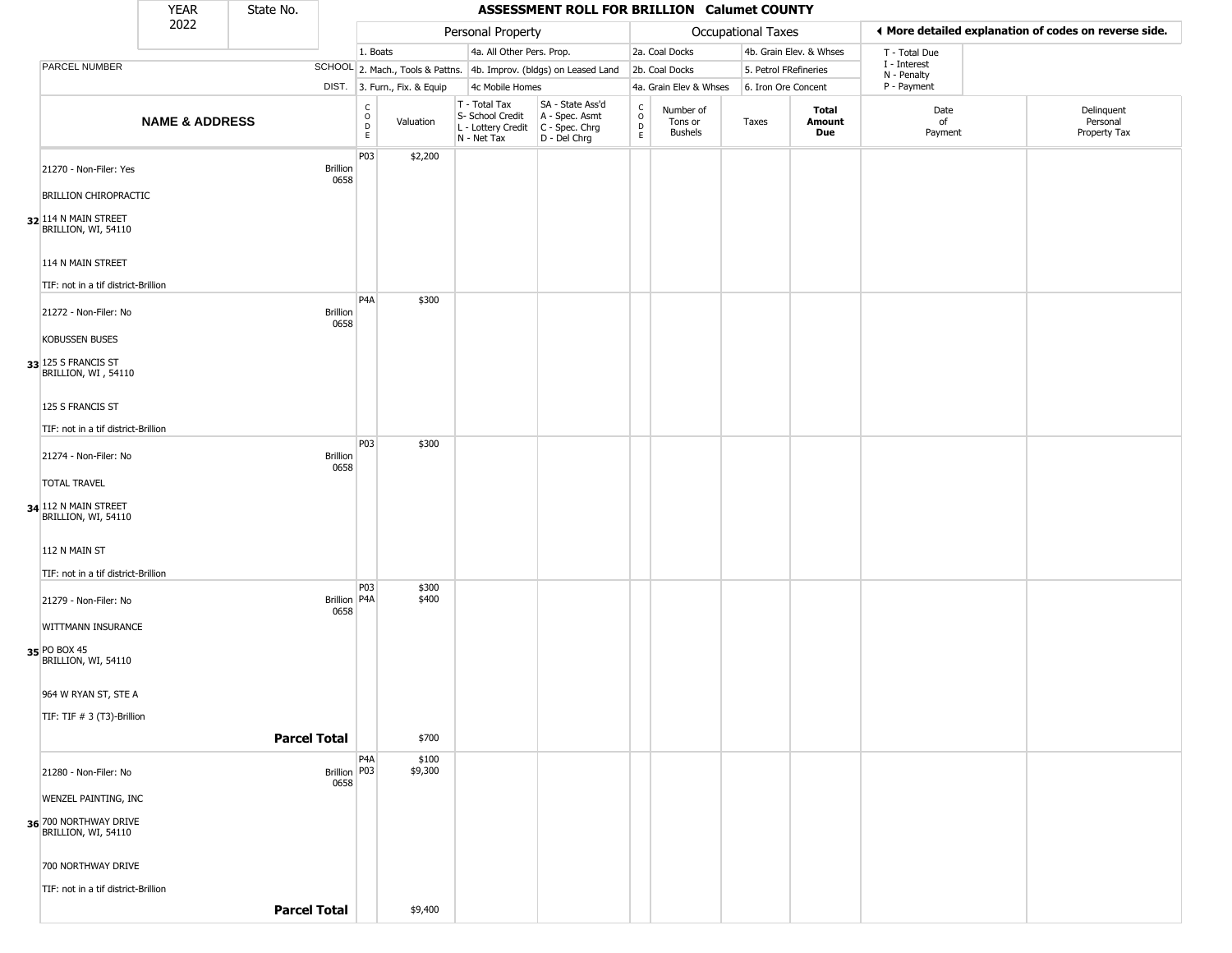| 2022<br>♦ More detailed explanation of codes on reverse side.<br>Personal Property<br>Occupational Taxes<br>4a. All Other Pers. Prop.<br>2a. Coal Docks<br>4b. Grain Elev. & Whses<br>1. Boats<br>T - Total Due<br>$\rm I$ - Interest<br>SCHOOL 2. Mach., Tools & Pattns. 4b. Improv. (bldgs) on Leased Land<br>2b. Coal Docks<br>5. Petrol FRefineries<br>N - Penalty<br>P - Payment<br>DIST. 3. Furn., Fix. & Equip<br>4c Mobile Homes<br>4a. Grain Elev & Whses<br>6. Iron Ore Concent<br>SA - State Ass'd<br>$T - Total Tax$<br>$\frac{c}{0}$<br>$\begin{array}{c} C \\ O \\ D \\ E \end{array}$<br>Date<br>Number of<br>Total<br>Delinquent<br>A - Spec. Asmt<br>S- School Credit<br><b>NAME &amp; ADDRESS</b><br>Personal<br>Valuation<br>Amount<br>of<br>Tons or<br>Taxes<br>D<br>L - Lottery Credit<br>C - Spec. Chrg<br>Property Tax<br><b>Bushels</b><br>Due<br>Payment<br>E<br>N - Net Tax<br>D - Del Chrg<br>P03<br>\$2,200<br><b>Brillion</b><br>0658<br><b>BRILLION CHIROPRACTIC</b><br>32 114 N MAIN STREET<br>BRILLION, WI, 54110<br>114 N MAIN STREET<br>TIF: not in a tif district-Brillion<br>P <sub>4</sub> A<br>\$300<br>Brillion<br>0658<br>TIF: not in a tif district-Brillion<br>P03<br>\$300<br>21274 - Non-Filer: No<br>Brillion<br>0658<br>TIF: not in a tif district-Brillion<br>P03<br>\$300<br>\$400<br>Brillion   P4A<br>21279 - Non-Filer: No<br>0658<br>WITTMANN INSURANCE<br>964 W RYAN ST, STE A<br>TIF: TIF # 3 (T3)-Brillion<br><b>Parcel Total</b><br>\$700<br>P <sub>4</sub> A<br>\$100<br>Brillion P03<br>\$9,300<br>0658<br>WENZEL PAINTING, INC<br>36 700 NORTHWAY DRIVE<br>700 NORTHWAY DRIVE<br>TIF: not in a tif district-Brillion<br><b>Parcel Total</b><br>\$9,400 |                                             | <b>YEAR</b> | State No. |  |  | ASSESSMENT ROLL FOR BRILLION Calumet COUNTY |  |  |  |
|-------------------------------------------------------------------------------------------------------------------------------------------------------------------------------------------------------------------------------------------------------------------------------------------------------------------------------------------------------------------------------------------------------------------------------------------------------------------------------------------------------------------------------------------------------------------------------------------------------------------------------------------------------------------------------------------------------------------------------------------------------------------------------------------------------------------------------------------------------------------------------------------------------------------------------------------------------------------------------------------------------------------------------------------------------------------------------------------------------------------------------------------------------------------------------------------------------------------------------------------------------------------------------------------------------------------------------------------------------------------------------------------------------------------------------------------------------------------------------------------------------------------------------------------------------------------------------------------------------------------------------------------------------------------------------------------------------------------|---------------------------------------------|-------------|-----------|--|--|---------------------------------------------|--|--|--|
|                                                                                                                                                                                                                                                                                                                                                                                                                                                                                                                                                                                                                                                                                                                                                                                                                                                                                                                                                                                                                                                                                                                                                                                                                                                                                                                                                                                                                                                                                                                                                                                                                                                                                                                   |                                             |             |           |  |  |                                             |  |  |  |
|                                                                                                                                                                                                                                                                                                                                                                                                                                                                                                                                                                                                                                                                                                                                                                                                                                                                                                                                                                                                                                                                                                                                                                                                                                                                                                                                                                                                                                                                                                                                                                                                                                                                                                                   |                                             |             |           |  |  |                                             |  |  |  |
|                                                                                                                                                                                                                                                                                                                                                                                                                                                                                                                                                                                                                                                                                                                                                                                                                                                                                                                                                                                                                                                                                                                                                                                                                                                                                                                                                                                                                                                                                                                                                                                                                                                                                                                   | PARCEL NUMBER                               |             |           |  |  |                                             |  |  |  |
|                                                                                                                                                                                                                                                                                                                                                                                                                                                                                                                                                                                                                                                                                                                                                                                                                                                                                                                                                                                                                                                                                                                                                                                                                                                                                                                                                                                                                                                                                                                                                                                                                                                                                                                   |                                             |             |           |  |  |                                             |  |  |  |
|                                                                                                                                                                                                                                                                                                                                                                                                                                                                                                                                                                                                                                                                                                                                                                                                                                                                                                                                                                                                                                                                                                                                                                                                                                                                                                                                                                                                                                                                                                                                                                                                                                                                                                                   |                                             |             |           |  |  |                                             |  |  |  |
|                                                                                                                                                                                                                                                                                                                                                                                                                                                                                                                                                                                                                                                                                                                                                                                                                                                                                                                                                                                                                                                                                                                                                                                                                                                                                                                                                                                                                                                                                                                                                                                                                                                                                                                   | 21270 - Non-Filer: Yes                      |             |           |  |  |                                             |  |  |  |
|                                                                                                                                                                                                                                                                                                                                                                                                                                                                                                                                                                                                                                                                                                                                                                                                                                                                                                                                                                                                                                                                                                                                                                                                                                                                                                                                                                                                                                                                                                                                                                                                                                                                                                                   |                                             |             |           |  |  |                                             |  |  |  |
|                                                                                                                                                                                                                                                                                                                                                                                                                                                                                                                                                                                                                                                                                                                                                                                                                                                                                                                                                                                                                                                                                                                                                                                                                                                                                                                                                                                                                                                                                                                                                                                                                                                                                                                   |                                             |             |           |  |  |                                             |  |  |  |
|                                                                                                                                                                                                                                                                                                                                                                                                                                                                                                                                                                                                                                                                                                                                                                                                                                                                                                                                                                                                                                                                                                                                                                                                                                                                                                                                                                                                                                                                                                                                                                                                                                                                                                                   |                                             |             |           |  |  |                                             |  |  |  |
|                                                                                                                                                                                                                                                                                                                                                                                                                                                                                                                                                                                                                                                                                                                                                                                                                                                                                                                                                                                                                                                                                                                                                                                                                                                                                                                                                                                                                                                                                                                                                                                                                                                                                                                   |                                             |             |           |  |  |                                             |  |  |  |
|                                                                                                                                                                                                                                                                                                                                                                                                                                                                                                                                                                                                                                                                                                                                                                                                                                                                                                                                                                                                                                                                                                                                                                                                                                                                                                                                                                                                                                                                                                                                                                                                                                                                                                                   | 21272 - Non-Filer: No                       |             |           |  |  |                                             |  |  |  |
|                                                                                                                                                                                                                                                                                                                                                                                                                                                                                                                                                                                                                                                                                                                                                                                                                                                                                                                                                                                                                                                                                                                                                                                                                                                                                                                                                                                                                                                                                                                                                                                                                                                                                                                   | <b>KOBUSSEN BUSES</b>                       |             |           |  |  |                                             |  |  |  |
|                                                                                                                                                                                                                                                                                                                                                                                                                                                                                                                                                                                                                                                                                                                                                                                                                                                                                                                                                                                                                                                                                                                                                                                                                                                                                                                                                                                                                                                                                                                                                                                                                                                                                                                   | 33 125 S FRANCIS ST<br>BRILLION, WI, 54110  |             |           |  |  |                                             |  |  |  |
|                                                                                                                                                                                                                                                                                                                                                                                                                                                                                                                                                                                                                                                                                                                                                                                                                                                                                                                                                                                                                                                                                                                                                                                                                                                                                                                                                                                                                                                                                                                                                                                                                                                                                                                   | 125 S FRANCIS ST                            |             |           |  |  |                                             |  |  |  |
|                                                                                                                                                                                                                                                                                                                                                                                                                                                                                                                                                                                                                                                                                                                                                                                                                                                                                                                                                                                                                                                                                                                                                                                                                                                                                                                                                                                                                                                                                                                                                                                                                                                                                                                   |                                             |             |           |  |  |                                             |  |  |  |
|                                                                                                                                                                                                                                                                                                                                                                                                                                                                                                                                                                                                                                                                                                                                                                                                                                                                                                                                                                                                                                                                                                                                                                                                                                                                                                                                                                                                                                                                                                                                                                                                                                                                                                                   |                                             |             |           |  |  |                                             |  |  |  |
|                                                                                                                                                                                                                                                                                                                                                                                                                                                                                                                                                                                                                                                                                                                                                                                                                                                                                                                                                                                                                                                                                                                                                                                                                                                                                                                                                                                                                                                                                                                                                                                                                                                                                                                   | <b>TOTAL TRAVEL</b>                         |             |           |  |  |                                             |  |  |  |
|                                                                                                                                                                                                                                                                                                                                                                                                                                                                                                                                                                                                                                                                                                                                                                                                                                                                                                                                                                                                                                                                                                                                                                                                                                                                                                                                                                                                                                                                                                                                                                                                                                                                                                                   | 34 112 N MAIN STREET<br>BRILLION, WI, 54110 |             |           |  |  |                                             |  |  |  |
|                                                                                                                                                                                                                                                                                                                                                                                                                                                                                                                                                                                                                                                                                                                                                                                                                                                                                                                                                                                                                                                                                                                                                                                                                                                                                                                                                                                                                                                                                                                                                                                                                                                                                                                   | 112 N MAIN ST                               |             |           |  |  |                                             |  |  |  |
|                                                                                                                                                                                                                                                                                                                                                                                                                                                                                                                                                                                                                                                                                                                                                                                                                                                                                                                                                                                                                                                                                                                                                                                                                                                                                                                                                                                                                                                                                                                                                                                                                                                                                                                   |                                             |             |           |  |  |                                             |  |  |  |
|                                                                                                                                                                                                                                                                                                                                                                                                                                                                                                                                                                                                                                                                                                                                                                                                                                                                                                                                                                                                                                                                                                                                                                                                                                                                                                                                                                                                                                                                                                                                                                                                                                                                                                                   |                                             |             |           |  |  |                                             |  |  |  |
|                                                                                                                                                                                                                                                                                                                                                                                                                                                                                                                                                                                                                                                                                                                                                                                                                                                                                                                                                                                                                                                                                                                                                                                                                                                                                                                                                                                                                                                                                                                                                                                                                                                                                                                   |                                             |             |           |  |  |                                             |  |  |  |
|                                                                                                                                                                                                                                                                                                                                                                                                                                                                                                                                                                                                                                                                                                                                                                                                                                                                                                                                                                                                                                                                                                                                                                                                                                                                                                                                                                                                                                                                                                                                                                                                                                                                                                                   | 35 PO BOX 45<br>BRILLION, WI, 54110         |             |           |  |  |                                             |  |  |  |
|                                                                                                                                                                                                                                                                                                                                                                                                                                                                                                                                                                                                                                                                                                                                                                                                                                                                                                                                                                                                                                                                                                                                                                                                                                                                                                                                                                                                                                                                                                                                                                                                                                                                                                                   |                                             |             |           |  |  |                                             |  |  |  |
|                                                                                                                                                                                                                                                                                                                                                                                                                                                                                                                                                                                                                                                                                                                                                                                                                                                                                                                                                                                                                                                                                                                                                                                                                                                                                                                                                                                                                                                                                                                                                                                                                                                                                                                   |                                             |             |           |  |  |                                             |  |  |  |
|                                                                                                                                                                                                                                                                                                                                                                                                                                                                                                                                                                                                                                                                                                                                                                                                                                                                                                                                                                                                                                                                                                                                                                                                                                                                                                                                                                                                                                                                                                                                                                                                                                                                                                                   |                                             |             |           |  |  |                                             |  |  |  |
|                                                                                                                                                                                                                                                                                                                                                                                                                                                                                                                                                                                                                                                                                                                                                                                                                                                                                                                                                                                                                                                                                                                                                                                                                                                                                                                                                                                                                                                                                                                                                                                                                                                                                                                   | 21280 - Non-Filer: No                       |             |           |  |  |                                             |  |  |  |
|                                                                                                                                                                                                                                                                                                                                                                                                                                                                                                                                                                                                                                                                                                                                                                                                                                                                                                                                                                                                                                                                                                                                                                                                                                                                                                                                                                                                                                                                                                                                                                                                                                                                                                                   |                                             |             |           |  |  |                                             |  |  |  |
|                                                                                                                                                                                                                                                                                                                                                                                                                                                                                                                                                                                                                                                                                                                                                                                                                                                                                                                                                                                                                                                                                                                                                                                                                                                                                                                                                                                                                                                                                                                                                                                                                                                                                                                   | BRILLION, WI, 54110                         |             |           |  |  |                                             |  |  |  |
|                                                                                                                                                                                                                                                                                                                                                                                                                                                                                                                                                                                                                                                                                                                                                                                                                                                                                                                                                                                                                                                                                                                                                                                                                                                                                                                                                                                                                                                                                                                                                                                                                                                                                                                   |                                             |             |           |  |  |                                             |  |  |  |
|                                                                                                                                                                                                                                                                                                                                                                                                                                                                                                                                                                                                                                                                                                                                                                                                                                                                                                                                                                                                                                                                                                                                                                                                                                                                                                                                                                                                                                                                                                                                                                                                                                                                                                                   |                                             |             |           |  |  |                                             |  |  |  |
|                                                                                                                                                                                                                                                                                                                                                                                                                                                                                                                                                                                                                                                                                                                                                                                                                                                                                                                                                                                                                                                                                                                                                                                                                                                                                                                                                                                                                                                                                                                                                                                                                                                                                                                   |                                             |             |           |  |  |                                             |  |  |  |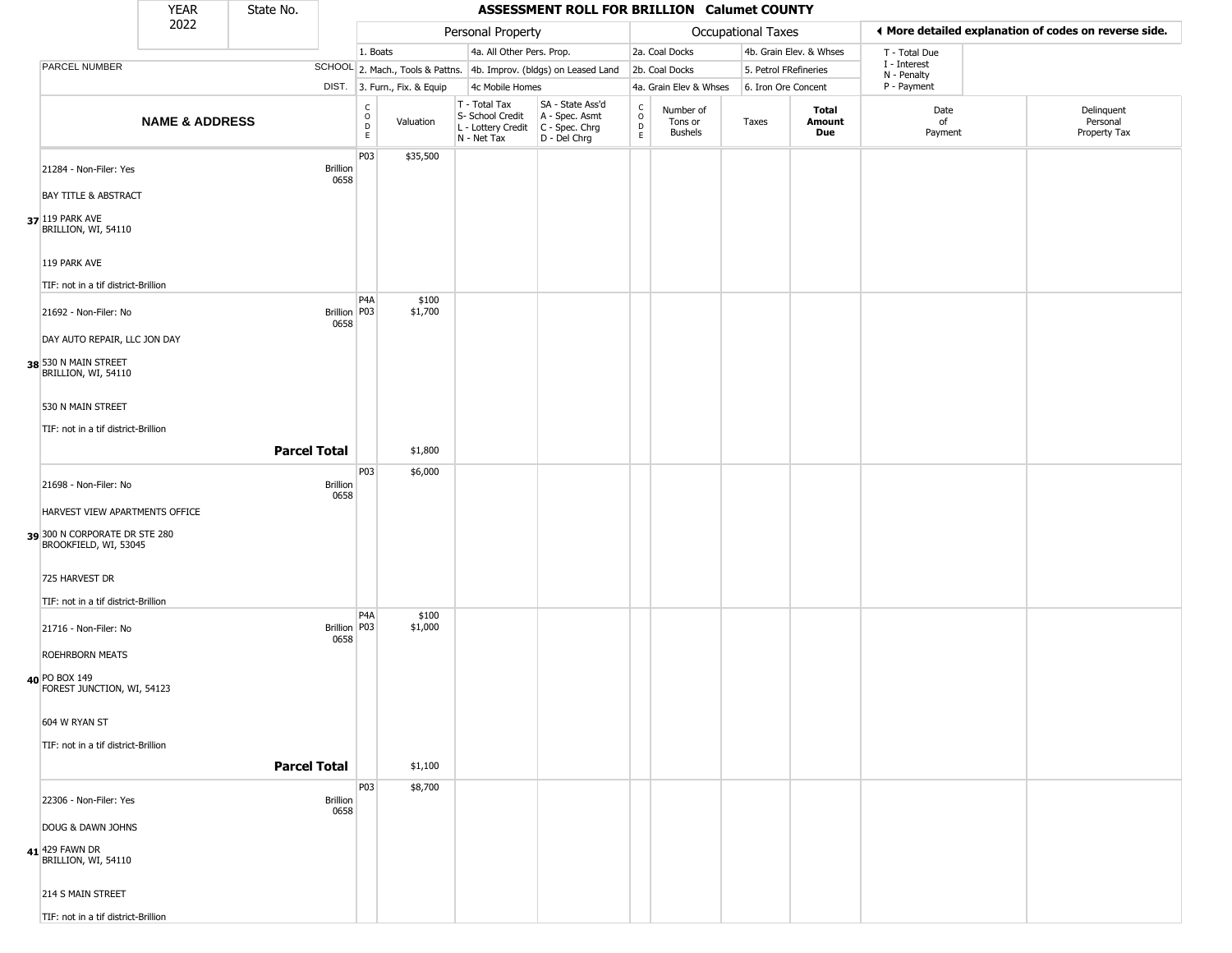|                                                        | <b>YEAR</b>               | State No.           |                         |                                    |                              |                                                                        | ASSESSMENT ROLL FOR BRILLION Calumet COUNTY                          |                             |                                        |                       |                         |                             |                                                       |
|--------------------------------------------------------|---------------------------|---------------------|-------------------------|------------------------------------|------------------------------|------------------------------------------------------------------------|----------------------------------------------------------------------|-----------------------------|----------------------------------------|-----------------------|-------------------------|-----------------------------|-------------------------------------------------------|
|                                                        | 2022                      |                     |                         |                                    |                              | Personal Property                                                      |                                                                      |                             |                                        | Occupational Taxes    |                         |                             | ◀ More detailed explanation of codes on reverse side. |
|                                                        |                           |                     |                         | 1. Boats                           |                              | 4a. All Other Pers. Prop.                                              |                                                                      |                             | 2a. Coal Docks                         |                       | 4b. Grain Elev. & Whses | T - Total Due               |                                                       |
| PARCEL NUMBER                                          |                           |                     |                         |                                    |                              |                                                                        | SCHOOL 2. Mach., Tools & Pattns. 4b. Improv. (bldgs) on Leased Land  |                             | 2b. Coal Docks                         | 5. Petrol FRefineries |                         | I - Interest<br>N - Penalty |                                                       |
|                                                        |                           |                     |                         |                                    | DIST. 3. Furn., Fix. & Equip | 4c Mobile Homes                                                        |                                                                      |                             | 4a. Grain Elev & Whses                 | 6. Iron Ore Concent   |                         | P - Payment                 |                                                       |
|                                                        | <b>NAME &amp; ADDRESS</b> |                     |                         | $\mathsf{C}$<br>$\circ$<br>D<br>E. | Valuation                    | T - Total Tax<br>S- School Credit<br>L - Lottery Credit<br>N - Net Tax | SA - State Ass'd<br>A - Spec. Asmt<br>C - Spec. Chrg<br>D - Del Chrg | $\rm _o^C$<br>$\frac{D}{E}$ | Number of<br>Tons or<br><b>Bushels</b> | Taxes                 | Total<br>Amount<br>Due  | Date<br>of<br>Payment       | Delinquent<br>Personal<br>Property Tax                |
| 21284 - Non-Filer: Yes                                 |                           |                     | Brillion<br>0658        | P03                                | \$35,500                     |                                                                        |                                                                      |                             |                                        |                       |                         |                             |                                                       |
| <b>BAY TITLE &amp; ABSTRACT</b>                        |                           |                     |                         |                                    |                              |                                                                        |                                                                      |                             |                                        |                       |                         |                             |                                                       |
| 37 119 PARK AVE<br>BRILLION, WI, 54110                 |                           |                     |                         |                                    |                              |                                                                        |                                                                      |                             |                                        |                       |                         |                             |                                                       |
| 119 PARK AVE                                           |                           |                     |                         |                                    |                              |                                                                        |                                                                      |                             |                                        |                       |                         |                             |                                                       |
| TIF: not in a tif district-Brillion                    |                           |                     |                         |                                    |                              |                                                                        |                                                                      |                             |                                        |                       |                         |                             |                                                       |
| 21692 - Non-Filer: No                                  |                           |                     | Brillion P03<br>0658    | P4A                                | \$100<br>\$1,700             |                                                                        |                                                                      |                             |                                        |                       |                         |                             |                                                       |
| DAY AUTO REPAIR, LLC JON DAY                           |                           |                     |                         |                                    |                              |                                                                        |                                                                      |                             |                                        |                       |                         |                             |                                                       |
| 38 530 N MAIN STREET<br>BRILLION, WI, 54110            |                           |                     |                         |                                    |                              |                                                                        |                                                                      |                             |                                        |                       |                         |                             |                                                       |
| 530 N MAIN STREET                                      |                           |                     |                         |                                    |                              |                                                                        |                                                                      |                             |                                        |                       |                         |                             |                                                       |
| TIF: not in a tif district-Brillion                    |                           |                     |                         |                                    |                              |                                                                        |                                                                      |                             |                                        |                       |                         |                             |                                                       |
|                                                        |                           | <b>Parcel Total</b> |                         |                                    | \$1,800                      |                                                                        |                                                                      |                             |                                        |                       |                         |                             |                                                       |
| 21698 - Non-Filer: No                                  |                           |                     | <b>Brillion</b><br>0658 | P <sub>0</sub> 3                   | \$6,000                      |                                                                        |                                                                      |                             |                                        |                       |                         |                             |                                                       |
| HARVEST VIEW APARTMENTS OFFICE                         |                           |                     |                         |                                    |                              |                                                                        |                                                                      |                             |                                        |                       |                         |                             |                                                       |
| 39 300 N CORPORATE DR STE 280<br>BROOKFIELD, WI, 53045 |                           |                     |                         |                                    |                              |                                                                        |                                                                      |                             |                                        |                       |                         |                             |                                                       |
| 725 HARVEST DR                                         |                           |                     |                         |                                    |                              |                                                                        |                                                                      |                             |                                        |                       |                         |                             |                                                       |
| TIF: not in a tif district-Brillion                    |                           |                     |                         |                                    |                              |                                                                        |                                                                      |                             |                                        |                       |                         |                             |                                                       |
| 21716 - Non-Filer: No                                  |                           |                     | Brillion   P03<br>0658  | P4A                                | \$100<br>\$1,000             |                                                                        |                                                                      |                             |                                        |                       |                         |                             |                                                       |
| <b>ROEHRBORN MEATS</b>                                 |                           |                     |                         |                                    |                              |                                                                        |                                                                      |                             |                                        |                       |                         |                             |                                                       |
| 40 PO BOX 149<br>FOREST JUNCTION, WI, 54123            |                           |                     |                         |                                    |                              |                                                                        |                                                                      |                             |                                        |                       |                         |                             |                                                       |
| 604 W RYAN ST                                          |                           |                     |                         |                                    |                              |                                                                        |                                                                      |                             |                                        |                       |                         |                             |                                                       |
| TIF: not in a tif district-Brillion                    |                           |                     |                         |                                    |                              |                                                                        |                                                                      |                             |                                        |                       |                         |                             |                                                       |
|                                                        |                           | <b>Parcel Total</b> |                         |                                    | \$1,100                      |                                                                        |                                                                      |                             |                                        |                       |                         |                             |                                                       |
| 22306 - Non-Filer: Yes                                 |                           |                     | Brillion<br>0658        | P03                                | \$8,700                      |                                                                        |                                                                      |                             |                                        |                       |                         |                             |                                                       |
| DOUG & DAWN JOHNS                                      |                           |                     |                         |                                    |                              |                                                                        |                                                                      |                             |                                        |                       |                         |                             |                                                       |
| 41 429 FAWN DR<br>BRILLION, WI, 54110                  |                           |                     |                         |                                    |                              |                                                                        |                                                                      |                             |                                        |                       |                         |                             |                                                       |
| 214 S MAIN STREET                                      |                           |                     |                         |                                    |                              |                                                                        |                                                                      |                             |                                        |                       |                         |                             |                                                       |
| TIF: not in a tif district-Brillion                    |                           |                     |                         |                                    |                              |                                                                        |                                                                      |                             |                                        |                       |                         |                             |                                                       |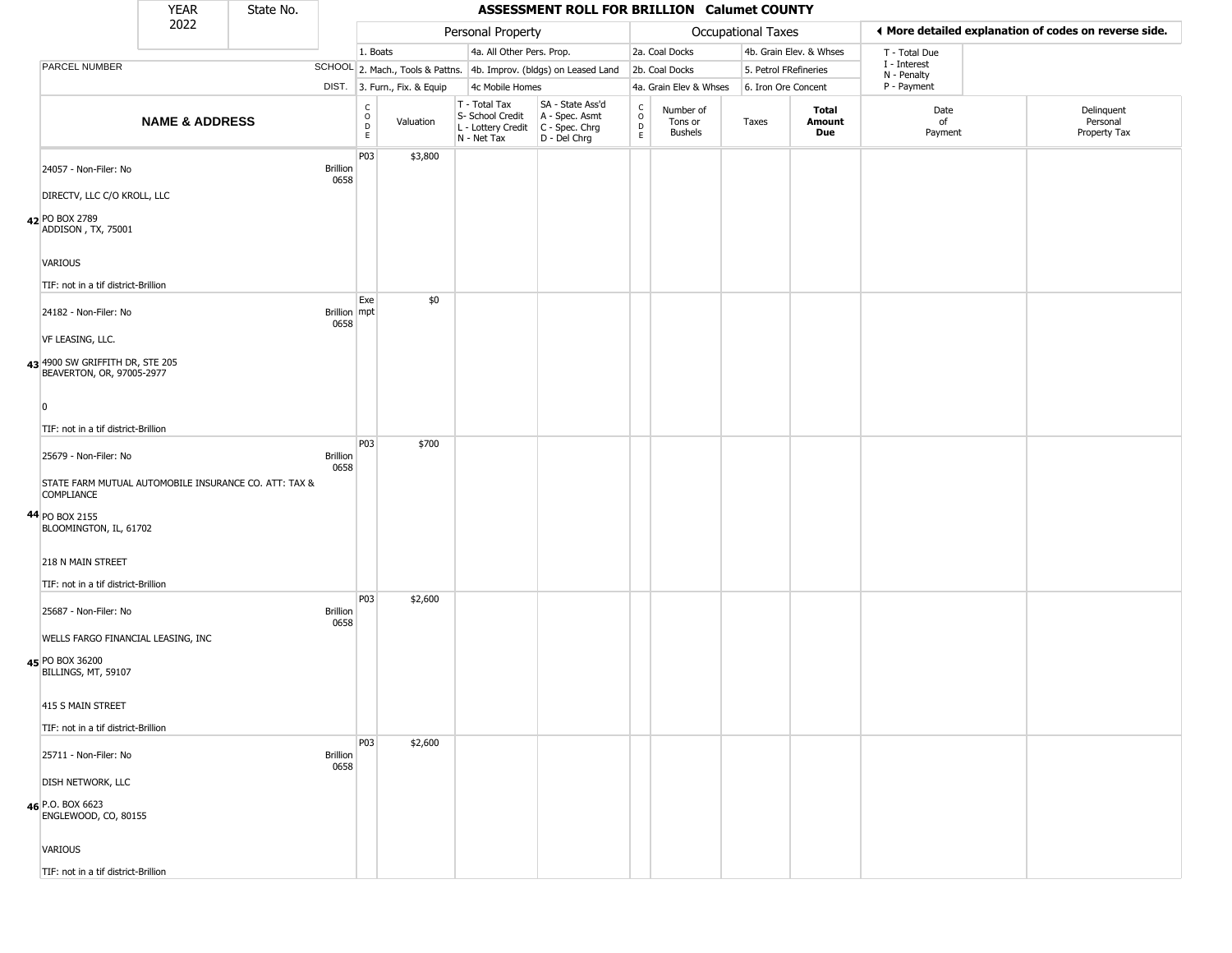|                   | <b>YEAR</b>                                                  | State No. |                         |                                                          |                              |                                                                                         | ASSESSMENT ROLL FOR BRILLION Calumet COUNTY                         |                                                 |                                        |                       |                         |                             |                                                       |
|-------------------|--------------------------------------------------------------|-----------|-------------------------|----------------------------------------------------------|------------------------------|-----------------------------------------------------------------------------------------|---------------------------------------------------------------------|-------------------------------------------------|----------------------------------------|-----------------------|-------------------------|-----------------------------|-------------------------------------------------------|
|                   | 2022                                                         |           |                         |                                                          |                              | Personal Property                                                                       |                                                                     |                                                 |                                        | Occupational Taxes    |                         |                             | ◀ More detailed explanation of codes on reverse side. |
|                   |                                                              |           |                         | 1. Boats                                                 |                              | 4a. All Other Pers. Prop.                                                               |                                                                     |                                                 | 2a. Coal Docks                         |                       | 4b. Grain Elev. & Whses | T - Total Due               |                                                       |
| PARCEL NUMBER     |                                                              |           |                         |                                                          |                              |                                                                                         | SCHOOL 2. Mach., Tools & Pattns. 4b. Improv. (bldgs) on Leased Land |                                                 | 2b. Coal Docks                         | 5. Petrol FRefineries |                         | I - Interest<br>N - Penalty |                                                       |
|                   |                                                              |           |                         |                                                          | DIST. 3. Furn., Fix. & Equip | 4c Mobile Homes                                                                         |                                                                     |                                                 | 4a. Grain Elev & Whses                 | 6. Iron Ore Concent   |                         | P - Payment                 |                                                       |
|                   | <b>NAME &amp; ADDRESS</b>                                    |           |                         | $\begin{matrix} 0 \\ 0 \\ D \end{matrix}$<br>$\mathsf E$ | Valuation                    | T - Total Tax<br>S- School Credit<br>L - Lottery Credit   C - Spec. Chrg<br>N - Net Tax | SA - State Ass'd<br>A - Spec. Asmt<br>D - Del Chrg                  | $\begin{array}{c} C \\ O \\ D \\ E \end{array}$ | Number of<br>Tons or<br><b>Bushels</b> | Taxes                 | Total<br>Amount<br>Due  | Date<br>of<br>Payment       | Delinquent<br>Personal<br>Property Tax                |
|                   | 24057 - Non-Filer: No                                        |           | <b>Brillion</b><br>0658 | P03                                                      | \$3,800                      |                                                                                         |                                                                     |                                                 |                                        |                       |                         |                             |                                                       |
|                   | DIRECTV, LLC C/O KROLL, LLC                                  |           |                         |                                                          |                              |                                                                                         |                                                                     |                                                 |                                        |                       |                         |                             |                                                       |
| 42 PO BOX 2789    | ADDISON, TX, 75001                                           |           |                         |                                                          |                              |                                                                                         |                                                                     |                                                 |                                        |                       |                         |                             |                                                       |
| <b>VARIOUS</b>    |                                                              |           |                         |                                                          |                              |                                                                                         |                                                                     |                                                 |                                        |                       |                         |                             |                                                       |
|                   | TIF: not in a tif district-Brillion                          |           |                         | Exe                                                      | \$0                          |                                                                                         |                                                                     |                                                 |                                        |                       |                         |                             |                                                       |
|                   | 24182 - Non-Filer: No                                        |           | Brillion mpt<br>0658    |                                                          |                              |                                                                                         |                                                                     |                                                 |                                        |                       |                         |                             |                                                       |
| VF LEASING, LLC.  |                                                              |           |                         |                                                          |                              |                                                                                         |                                                                     |                                                 |                                        |                       |                         |                             |                                                       |
|                   | 43 4900 SW GRIFFITH DR, STE 205<br>BEAVERTON, OR, 97005-2977 |           |                         |                                                          |                              |                                                                                         |                                                                     |                                                 |                                        |                       |                         |                             |                                                       |
| $\Omega$          |                                                              |           |                         |                                                          |                              |                                                                                         |                                                                     |                                                 |                                        |                       |                         |                             |                                                       |
|                   | TIF: not in a tif district-Brillion                          |           |                         |                                                          |                              |                                                                                         |                                                                     |                                                 |                                        |                       |                         |                             |                                                       |
|                   | 25679 - Non-Filer: No                                        |           | <b>Brillion</b><br>0658 | P03                                                      | \$700                        |                                                                                         |                                                                     |                                                 |                                        |                       |                         |                             |                                                       |
| <b>COMPLIANCE</b> | STATE FARM MUTUAL AUTOMOBILE INSURANCE CO. ATT: TAX &        |           |                         |                                                          |                              |                                                                                         |                                                                     |                                                 |                                        |                       |                         |                             |                                                       |
| 44 PO BOX 2155    | BLOOMINGTON, IL, 61702                                       |           |                         |                                                          |                              |                                                                                         |                                                                     |                                                 |                                        |                       |                         |                             |                                                       |
|                   | 218 N MAIN STREET                                            |           |                         |                                                          |                              |                                                                                         |                                                                     |                                                 |                                        |                       |                         |                             |                                                       |
|                   | TIF: not in a tif district-Brillion                          |           |                         |                                                          |                              |                                                                                         |                                                                     |                                                 |                                        |                       |                         |                             |                                                       |
|                   | 25687 - Non-Filer: No                                        |           | <b>Brillion</b><br>0658 | P03                                                      | \$2,600                      |                                                                                         |                                                                     |                                                 |                                        |                       |                         |                             |                                                       |
|                   | WELLS FARGO FINANCIAL LEASING, INC                           |           |                         |                                                          |                              |                                                                                         |                                                                     |                                                 |                                        |                       |                         |                             |                                                       |
| 45 PO BOX 36200   | BILLINGS, MT, 59107                                          |           |                         |                                                          |                              |                                                                                         |                                                                     |                                                 |                                        |                       |                         |                             |                                                       |
|                   | 415 S MAIN STREET                                            |           |                         |                                                          |                              |                                                                                         |                                                                     |                                                 |                                        |                       |                         |                             |                                                       |
|                   | TIF: not in a tif district-Brillion                          |           |                         |                                                          |                              |                                                                                         |                                                                     |                                                 |                                        |                       |                         |                             |                                                       |
|                   | 25711 - Non-Filer: No                                        |           | <b>Brillion</b><br>0658 | P03                                                      | \$2,600                      |                                                                                         |                                                                     |                                                 |                                        |                       |                         |                             |                                                       |
|                   | <b>DISH NETWORK, LLC</b>                                     |           |                         |                                                          |                              |                                                                                         |                                                                     |                                                 |                                        |                       |                         |                             |                                                       |
| 46 P.O. BOX 6623  | ENGLEWOOD, CO, 80155                                         |           |                         |                                                          |                              |                                                                                         |                                                                     |                                                 |                                        |                       |                         |                             |                                                       |
| VARIOUS           |                                                              |           |                         |                                                          |                              |                                                                                         |                                                                     |                                                 |                                        |                       |                         |                             |                                                       |
|                   | TIF: not in a tif district-Brillion                          |           |                         |                                                          |                              |                                                                                         |                                                                     |                                                 |                                        |                       |                         |                             |                                                       |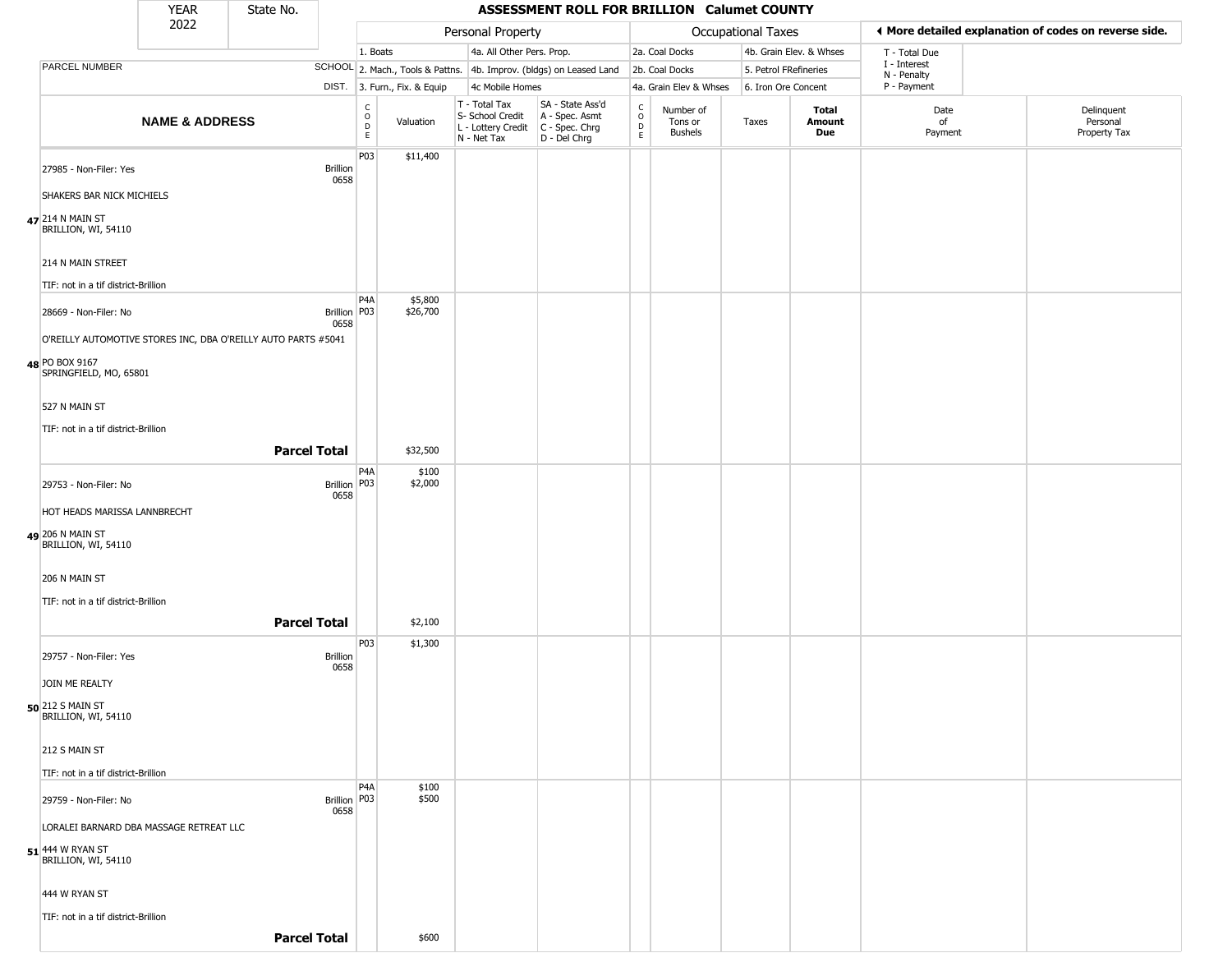|                                                                                        | <b>YEAR</b>               | State No.           |                         |                                             |                              |                                                                        | ASSESSMENT ROLL FOR BRILLION Calumet COUNTY                          |                  |                                        |                     |                         |                             |                                                       |
|----------------------------------------------------------------------------------------|---------------------------|---------------------|-------------------------|---------------------------------------------|------------------------------|------------------------------------------------------------------------|----------------------------------------------------------------------|------------------|----------------------------------------|---------------------|-------------------------|-----------------------------|-------------------------------------------------------|
|                                                                                        | 2022                      |                     |                         |                                             |                              | Personal Property                                                      |                                                                      |                  |                                        | Occupational Taxes  |                         |                             | ♦ More detailed explanation of codes on reverse side. |
|                                                                                        |                           |                     |                         | 1. Boats                                    |                              | 4a. All Other Pers. Prop.                                              |                                                                      |                  | 2a. Coal Docks                         |                     | 4b. Grain Elev. & Whses | T - Total Due               |                                                       |
| <b>PARCEL NUMBER</b>                                                                   |                           |                     |                         |                                             |                              |                                                                        | SCHOOL 2. Mach., Tools & Pattns. 4b. Improv. (bldgs) on Leased Land  |                  | 2b. Coal Docks                         |                     | 5. Petrol FRefineries   | I - Interest<br>N - Penalty |                                                       |
|                                                                                        |                           |                     |                         |                                             | DIST. 3. Furn., Fix. & Equip | 4c Mobile Homes                                                        |                                                                      |                  | 4a. Grain Elev & Whses                 | 6. Iron Ore Concent |                         | P - Payment                 |                                                       |
|                                                                                        | <b>NAME &amp; ADDRESS</b> |                     |                         | $\mathsf{C}$<br>$\circ$<br>D<br>$\mathsf E$ | Valuation                    | T - Total Tax<br>S- School Credit<br>L - Lottery Credit<br>N - Net Tax | SA - State Ass'd<br>A - Spec. Asmt<br>C - Spec. Chrg<br>D - Del Chrg | C<br>D<br>D<br>E | Number of<br>Tons or<br><b>Bushels</b> | Taxes               | Total<br>Amount<br>Due  | Date<br>of<br>Payment       | Delinquent<br>Personal<br>Property Tax                |
| 27985 - Non-Filer: Yes<br>SHAKERS BAR NICK MICHIELS                                    |                           |                     | <b>Brillion</b><br>0658 | P03                                         | \$11,400                     |                                                                        |                                                                      |                  |                                        |                     |                         |                             |                                                       |
| 47 214 N MAIN ST<br>BRILLION, WI, 54110                                                |                           |                     |                         |                                             |                              |                                                                        |                                                                      |                  |                                        |                     |                         |                             |                                                       |
| 214 N MAIN STREET<br>TIF: not in a tif district-Brillion                               |                           |                     |                         |                                             |                              |                                                                        |                                                                      |                  |                                        |                     |                         |                             |                                                       |
| 28669 - Non-Filer: No<br>O'REILLY AUTOMOTIVE STORES INC, DBA O'REILLY AUTO PARTS #5041 |                           |                     | Brillion   P03<br>0658  | P4A                                         | \$5,800<br>\$26,700          |                                                                        |                                                                      |                  |                                        |                     |                         |                             |                                                       |
| 48 PO BOX 9167<br>SPRINGFIELD, MO, 65801                                               |                           |                     |                         |                                             |                              |                                                                        |                                                                      |                  |                                        |                     |                         |                             |                                                       |
| 527 N MAIN ST<br>TIF: not in a tif district-Brillion                                   |                           |                     |                         |                                             |                              |                                                                        |                                                                      |                  |                                        |                     |                         |                             |                                                       |
|                                                                                        |                           | <b>Parcel Total</b> |                         |                                             | \$32,500                     |                                                                        |                                                                      |                  |                                        |                     |                         |                             |                                                       |
| 29753 - Non-Filer: No<br>HOT HEADS MARISSA LANNBRECHT                                  |                           |                     | Brillion   P03<br>0658  | P4A                                         | \$100<br>\$2,000             |                                                                        |                                                                      |                  |                                        |                     |                         |                             |                                                       |
| 49 206 N MAIN ST<br>BRILLION, WI, 54110                                                |                           |                     |                         |                                             |                              |                                                                        |                                                                      |                  |                                        |                     |                         |                             |                                                       |
| 206 N MAIN ST                                                                          |                           |                     |                         |                                             |                              |                                                                        |                                                                      |                  |                                        |                     |                         |                             |                                                       |
| TIF: not in a tif district-Brillion                                                    |                           | <b>Parcel Total</b> |                         |                                             | \$2,100                      |                                                                        |                                                                      |                  |                                        |                     |                         |                             |                                                       |
| 29757 - Non-Filer: Yes                                                                 |                           |                     | Brillion<br>0658        | P <sub>03</sub>                             | \$1,300                      |                                                                        |                                                                      |                  |                                        |                     |                         |                             |                                                       |
| JOIN ME REALTY<br><b>50</b> 212 S MAIN ST<br>BRILLION, WI, 54110                       |                           |                     |                         |                                             |                              |                                                                        |                                                                      |                  |                                        |                     |                         |                             |                                                       |
| 212 S MAIN ST                                                                          |                           |                     |                         |                                             |                              |                                                                        |                                                                      |                  |                                        |                     |                         |                             |                                                       |
| TIF: not in a tif district-Brillion                                                    |                           |                     |                         |                                             |                              |                                                                        |                                                                      |                  |                                        |                     |                         |                             |                                                       |
| 29759 - Non-Filer: No<br>LORALEI BARNARD DBA MASSAGE RETREAT LLC                       |                           |                     | Brillion   P03<br>0658  | P <sub>4</sub> A                            | \$100<br>\$500               |                                                                        |                                                                      |                  |                                        |                     |                         |                             |                                                       |
| 51 444 W RYAN ST<br>BRILLION, WI, 54110                                                |                           |                     |                         |                                             |                              |                                                                        |                                                                      |                  |                                        |                     |                         |                             |                                                       |
| 444 W RYAN ST                                                                          |                           |                     |                         |                                             |                              |                                                                        |                                                                      |                  |                                        |                     |                         |                             |                                                       |
| TIF: not in a tif district-Brillion                                                    |                           | <b>Parcel Total</b> |                         |                                             | \$600                        |                                                                        |                                                                      |                  |                                        |                     |                         |                             |                                                       |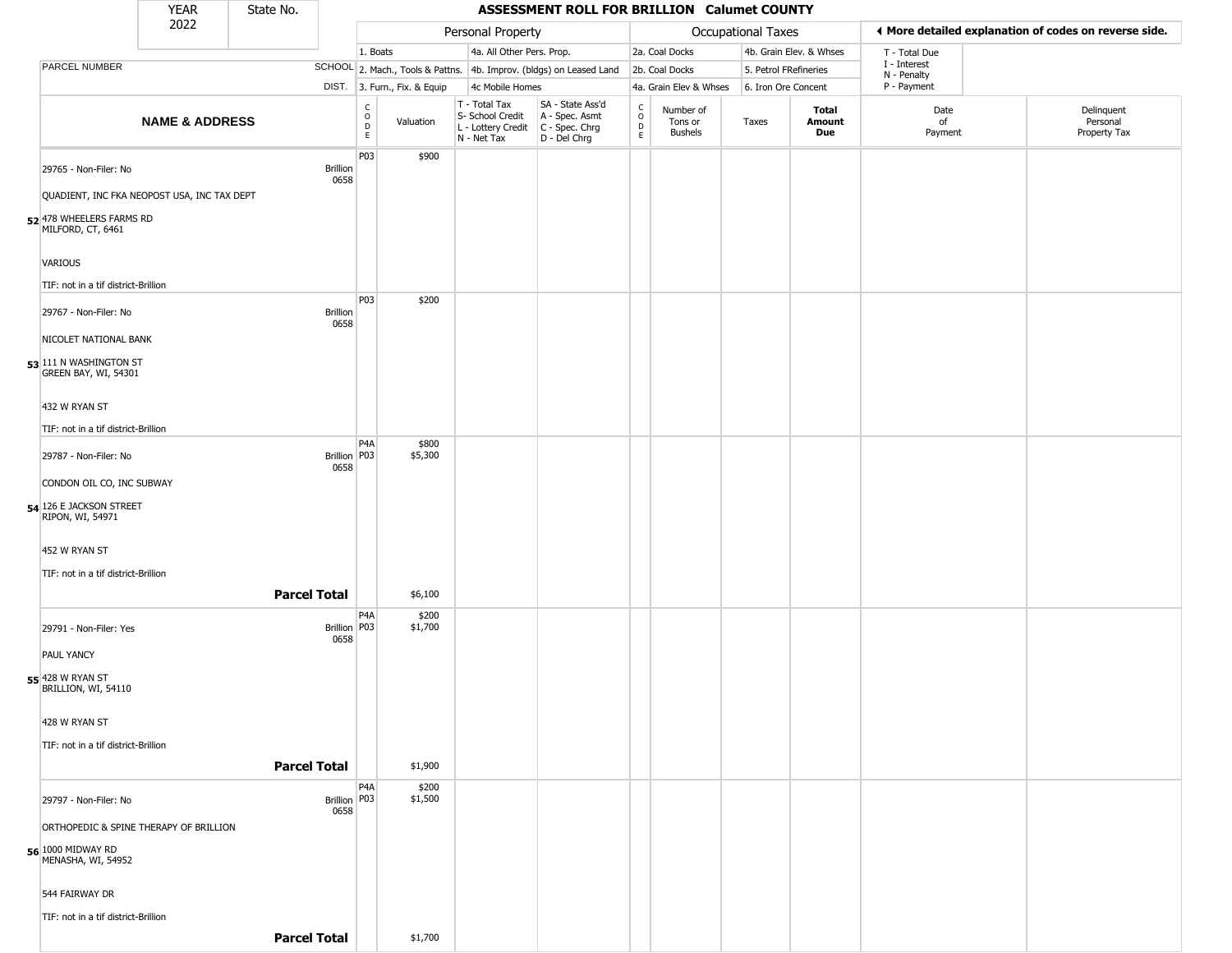|                                                      | <b>YEAR</b>               | State No.           |                         |                                                  |                              |                                                                                         | ASSESSMENT ROLL FOR BRILLION Calumet COUNTY                         |                        |                                        |                       |                         |                             |                                                       |
|------------------------------------------------------|---------------------------|---------------------|-------------------------|--------------------------------------------------|------------------------------|-----------------------------------------------------------------------------------------|---------------------------------------------------------------------|------------------------|----------------------------------------|-----------------------|-------------------------|-----------------------------|-------------------------------------------------------|
|                                                      | 2022                      |                     |                         |                                                  |                              | Personal Property                                                                       |                                                                     |                        |                                        | Occupational Taxes    |                         |                             | ♦ More detailed explanation of codes on reverse side. |
|                                                      |                           |                     |                         | 1. Boats                                         |                              | 4a. All Other Pers. Prop.                                                               |                                                                     |                        | 2a. Coal Docks                         |                       | 4b. Grain Elev. & Whses | T - Total Due               |                                                       |
| PARCEL NUMBER                                        |                           |                     |                         |                                                  |                              |                                                                                         | SCHOOL 2. Mach., Tools & Pattns. 4b. Improv. (bldgs) on Leased Land |                        | 2b. Coal Docks                         | 5. Petrol FRefineries |                         | I - Interest<br>N - Penalty |                                                       |
|                                                      |                           |                     |                         |                                                  | DIST. 3. Furn., Fix. & Equip | 4c Mobile Homes                                                                         |                                                                     |                        | 4a. Grain Elev & Whses                 | 6. Iron Ore Concent   |                         | P - Payment                 |                                                       |
|                                                      | <b>NAME &amp; ADDRESS</b> |                     |                         | $_{\rm o}^{\rm c}$<br>$\mathsf D$<br>$\mathsf E$ | Valuation                    | T - Total Tax<br>S- School Credit<br>L - Lottery Credit   C - Spec. Chrg<br>N - Net Tax | SA - State Ass'd<br>A - Spec. Asmt<br>D - Del Chrg                  | C<br>$\circ$<br>D<br>E | Number of<br>Tons or<br><b>Bushels</b> | Taxes                 | Total<br>Amount<br>Due  | Date<br>of<br>Payment       | Delinquent<br>Personal<br>Property Tax                |
| 29765 - Non-Filer: No                                |                           |                     | Brillion<br>0658        | P03                                              | \$900                        |                                                                                         |                                                                     |                        |                                        |                       |                         |                             |                                                       |
| QUADIENT, INC FKA NEOPOST USA, INC TAX DEPT          |                           |                     |                         |                                                  |                              |                                                                                         |                                                                     |                        |                                        |                       |                         |                             |                                                       |
| 52 478 WHEELERS FARMS RD<br>MILFORD, CT, 6461        |                           |                     |                         |                                                  |                              |                                                                                         |                                                                     |                        |                                        |                       |                         |                             |                                                       |
| VARIOUS<br>TIF: not in a tif district-Brillion       |                           |                     |                         |                                                  |                              |                                                                                         |                                                                     |                        |                                        |                       |                         |                             |                                                       |
|                                                      |                           |                     |                         | P03                                              | \$200                        |                                                                                         |                                                                     |                        |                                        |                       |                         |                             |                                                       |
| 29767 - Non-Filer: No<br>NICOLET NATIONAL BANK       |                           |                     | <b>Brillion</b><br>0658 |                                                  |                              |                                                                                         |                                                                     |                        |                                        |                       |                         |                             |                                                       |
| 53 111 N WASHINGTON ST<br>GREEN BAY, WI, 54301       |                           |                     |                         |                                                  |                              |                                                                                         |                                                                     |                        |                                        |                       |                         |                             |                                                       |
| 432 W RYAN ST                                        |                           |                     |                         |                                                  |                              |                                                                                         |                                                                     |                        |                                        |                       |                         |                             |                                                       |
| TIF: not in a tif district-Brillion                  |                           |                     |                         | P <sub>4</sub> A                                 | \$800                        |                                                                                         |                                                                     |                        |                                        |                       |                         |                             |                                                       |
| 29787 - Non-Filer: No                                |                           |                     | Brillion P03<br>0658    |                                                  | \$5,300                      |                                                                                         |                                                                     |                        |                                        |                       |                         |                             |                                                       |
| CONDON OIL CO, INC SUBWAY                            |                           |                     |                         |                                                  |                              |                                                                                         |                                                                     |                        |                                        |                       |                         |                             |                                                       |
| 54 126 E JACKSON STREET<br>RIPON, WI, 54971          |                           |                     |                         |                                                  |                              |                                                                                         |                                                                     |                        |                                        |                       |                         |                             |                                                       |
| 452 W RYAN ST<br>TIF: not in a tif district-Brillion |                           |                     |                         |                                                  |                              |                                                                                         |                                                                     |                        |                                        |                       |                         |                             |                                                       |
|                                                      |                           | <b>Parcel Total</b> |                         |                                                  | \$6,100                      |                                                                                         |                                                                     |                        |                                        |                       |                         |                             |                                                       |
| 29791 - Non-Filer: Yes                               |                           |                     | Brillion P03<br>0658    | P <sub>4</sub> A                                 | \$200<br>\$1,700             |                                                                                         |                                                                     |                        |                                        |                       |                         |                             |                                                       |
| <b>PAUL YANCY</b>                                    |                           |                     |                         |                                                  |                              |                                                                                         |                                                                     |                        |                                        |                       |                         |                             |                                                       |
| <b>55</b> 428 W RYAN ST<br>BRILLION, WI, 54110       |                           |                     |                         |                                                  |                              |                                                                                         |                                                                     |                        |                                        |                       |                         |                             |                                                       |
| 428 W RYAN ST                                        |                           |                     |                         |                                                  |                              |                                                                                         |                                                                     |                        |                                        |                       |                         |                             |                                                       |
| TIF: not in a tif district-Brillion                  |                           |                     |                         |                                                  |                              |                                                                                         |                                                                     |                        |                                        |                       |                         |                             |                                                       |
|                                                      |                           | <b>Parcel Total</b> |                         |                                                  | \$1,900                      |                                                                                         |                                                                     |                        |                                        |                       |                         |                             |                                                       |
| 29797 - Non-Filer: No                                |                           |                     | Brillion P03<br>0658    | P <sub>4</sub> A                                 | \$200<br>\$1,500             |                                                                                         |                                                                     |                        |                                        |                       |                         |                             |                                                       |
| ORTHOPEDIC & SPINE THERAPY OF BRILLION               |                           |                     |                         |                                                  |                              |                                                                                         |                                                                     |                        |                                        |                       |                         |                             |                                                       |
| 56 1000 MIDWAY RD<br>MENASHA, WI, 54952              |                           |                     |                         |                                                  |                              |                                                                                         |                                                                     |                        |                                        |                       |                         |                             |                                                       |
| 544 FAIRWAY DR                                       |                           |                     |                         |                                                  |                              |                                                                                         |                                                                     |                        |                                        |                       |                         |                             |                                                       |
| TIF: not in a tif district-Brillion                  |                           |                     |                         |                                                  |                              |                                                                                         |                                                                     |                        |                                        |                       |                         |                             |                                                       |
|                                                      |                           | <b>Parcel Total</b> |                         |                                                  | \$1,700                      |                                                                                         |                                                                     |                        |                                        |                       |                         |                             |                                                       |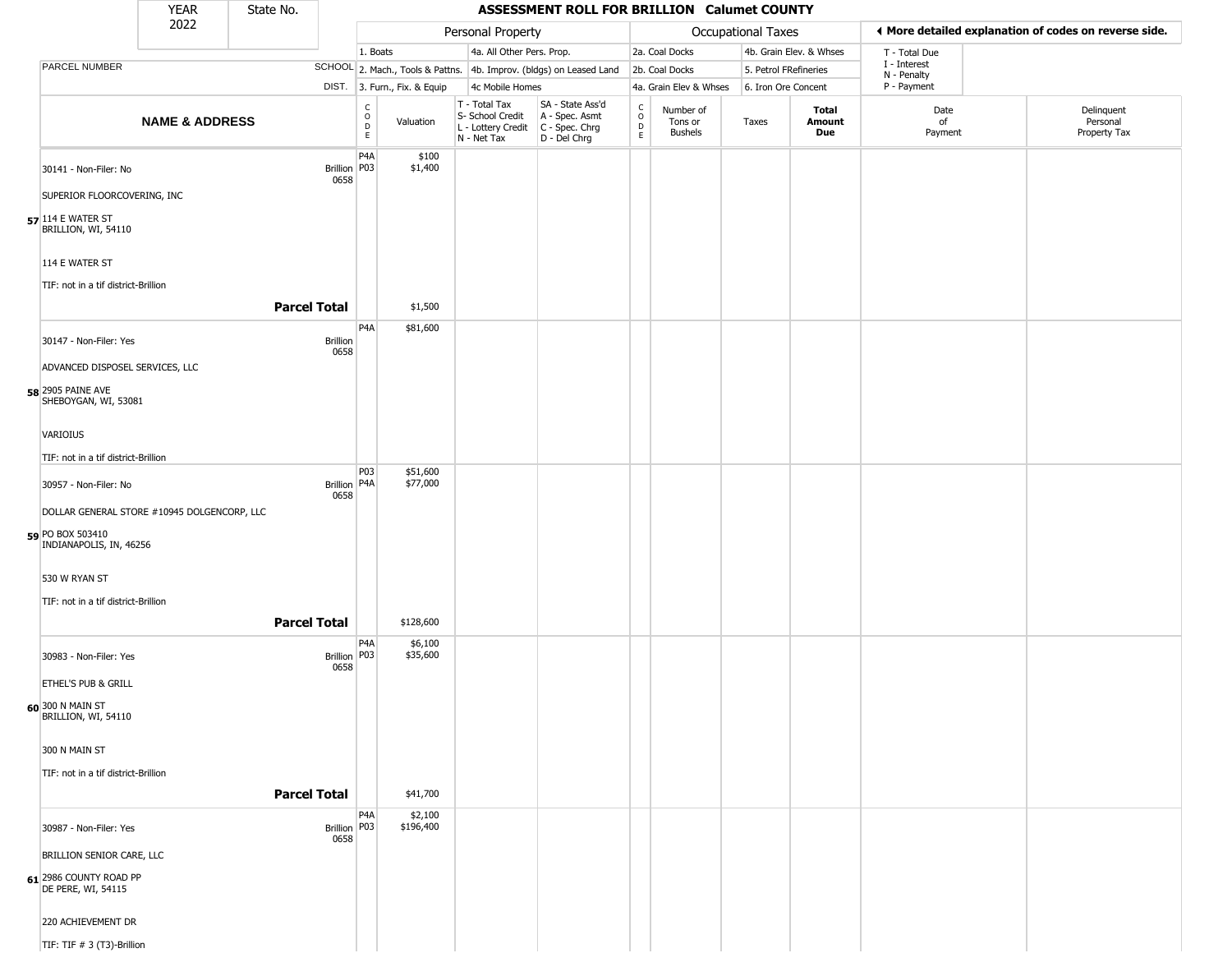|                                                  | <b>YEAR</b>               | State No.           |                         |                                                |                              |                                                                                         | ASSESSMENT ROLL FOR BRILLION Calumet COUNTY                         |                                            |                                 |                       |                         |                             |                                                       |
|--------------------------------------------------|---------------------------|---------------------|-------------------------|------------------------------------------------|------------------------------|-----------------------------------------------------------------------------------------|---------------------------------------------------------------------|--------------------------------------------|---------------------------------|-----------------------|-------------------------|-----------------------------|-------------------------------------------------------|
|                                                  | 2022                      |                     |                         |                                                |                              | Personal Property                                                                       |                                                                     |                                            |                                 | Occupational Taxes    |                         |                             | ♦ More detailed explanation of codes on reverse side. |
|                                                  |                           |                     |                         | 1. Boats                                       |                              | 4a. All Other Pers. Prop.                                                               |                                                                     |                                            | 2a. Coal Docks                  |                       | 4b. Grain Elev. & Whses | T - Total Due               |                                                       |
| PARCEL NUMBER                                    |                           |                     |                         |                                                |                              |                                                                                         | SCHOOL 2. Mach., Tools & Pattns. 4b. Improv. (bldgs) on Leased Land |                                            | 2b. Coal Docks                  | 5. Petrol FRefineries |                         | I - Interest<br>N - Penalty |                                                       |
|                                                  |                           |                     |                         |                                                | DIST. 3. Furn., Fix. & Equip | 4c Mobile Homes                                                                         |                                                                     |                                            | 4a. Grain Elev & Whses          | 6. Iron Ore Concent   |                         | P - Payment                 |                                                       |
|                                                  | <b>NAME &amp; ADDRESS</b> |                     |                         | $\begin{matrix} C \\ O \\ D \end{matrix}$<br>E | Valuation                    | T - Total Tax<br>S- School Credit   A - Spec. Asmt<br>L - Lottery Credit<br>N - Net Tax | SA - State Ass'd<br>C - Spec. Chrg<br>D - Del Chrg                  | $\begin{array}{c} C \\ 0 \\ E \end{array}$ | Number of<br>Tons or<br>Bushels | Taxes                 | Total<br>Amount<br>Due  | Date<br>of<br>Payment       | Delinquent<br>Personal<br>Property Tax                |
| 30141 - Non-Filer: No                            |                           |                     | Brillion P03<br>0658    | P <sub>4</sub> A                               | \$100<br>\$1,400             |                                                                                         |                                                                     |                                            |                                 |                       |                         |                             |                                                       |
| SUPERIOR FLOORCOVERING, INC                      |                           |                     |                         |                                                |                              |                                                                                         |                                                                     |                                            |                                 |                       |                         |                             |                                                       |
| $57$ 114 E WATER ST<br>BRILLION, WI, 54110       |                           |                     |                         |                                                |                              |                                                                                         |                                                                     |                                            |                                 |                       |                         |                             |                                                       |
| 114 E WATER ST                                   |                           |                     |                         |                                                |                              |                                                                                         |                                                                     |                                            |                                 |                       |                         |                             |                                                       |
| TIF: not in a tif district-Brillion              |                           |                     |                         |                                                |                              |                                                                                         |                                                                     |                                            |                                 |                       |                         |                             |                                                       |
|                                                  |                           | <b>Parcel Total</b> |                         |                                                | \$1,500                      |                                                                                         |                                                                     |                                            |                                 |                       |                         |                             |                                                       |
| 30147 - Non-Filer: Yes                           |                           |                     | Brillion<br>0658        | P <sub>4</sub> A                               | \$81,600                     |                                                                                         |                                                                     |                                            |                                 |                       |                         |                             |                                                       |
| ADVANCED DISPOSEL SERVICES, LLC                  |                           |                     |                         |                                                |                              |                                                                                         |                                                                     |                                            |                                 |                       |                         |                             |                                                       |
| <b>58</b> 2905 PAINE AVE<br>SHEBOYGAN, WI, 53081 |                           |                     |                         |                                                |                              |                                                                                         |                                                                     |                                            |                                 |                       |                         |                             |                                                       |
| VARIOIUS                                         |                           |                     |                         |                                                |                              |                                                                                         |                                                                     |                                            |                                 |                       |                         |                             |                                                       |
| TIF: not in a tif district-Brillion              |                           |                     |                         |                                                |                              |                                                                                         |                                                                     |                                            |                                 |                       |                         |                             |                                                       |
| 30957 - Non-Filer: No                            |                           |                     | Brillion P4A<br>0658    | P03                                            | \$51,600<br>\$77,000         |                                                                                         |                                                                     |                                            |                                 |                       |                         |                             |                                                       |
| DOLLAR GENERAL STORE #10945 DOLGENCORP, LLC      |                           |                     |                         |                                                |                              |                                                                                         |                                                                     |                                            |                                 |                       |                         |                             |                                                       |
| 59 PO BOX 503410<br>INDIANAPOLIS, IN, 46256      |                           |                     |                         |                                                |                              |                                                                                         |                                                                     |                                            |                                 |                       |                         |                             |                                                       |
| 530 W RYAN ST                                    |                           |                     |                         |                                                |                              |                                                                                         |                                                                     |                                            |                                 |                       |                         |                             |                                                       |
| TIF: not in a tif district-Brillion              |                           |                     |                         |                                                |                              |                                                                                         |                                                                     |                                            |                                 |                       |                         |                             |                                                       |
|                                                  |                           | <b>Parcel Total</b> |                         |                                                | \$128,600                    |                                                                                         |                                                                     |                                            |                                 |                       |                         |                             |                                                       |
| 30983 - Non-Filer: Yes                           |                           |                     | <b>Brillion</b><br>0658 | P <sub>4</sub> A<br>P03                        | \$6,100<br>\$35,600          |                                                                                         |                                                                     |                                            |                                 |                       |                         |                             |                                                       |
| ETHEL'S PUB & GRILL                              |                           |                     |                         |                                                |                              |                                                                                         |                                                                     |                                            |                                 |                       |                         |                             |                                                       |
| 60 300 N MAIN ST<br>BRILLION, WI, 54110          |                           |                     |                         |                                                |                              |                                                                                         |                                                                     |                                            |                                 |                       |                         |                             |                                                       |
| 300 N MAIN ST                                    |                           |                     |                         |                                                |                              |                                                                                         |                                                                     |                                            |                                 |                       |                         |                             |                                                       |
| TIF: not in a tif district-Brillion              |                           |                     |                         |                                                |                              |                                                                                         |                                                                     |                                            |                                 |                       |                         |                             |                                                       |
|                                                  |                           | <b>Parcel Total</b> |                         |                                                | \$41,700                     |                                                                                         |                                                                     |                                            |                                 |                       |                         |                             |                                                       |
| 30987 - Non-Filer: Yes                           |                           |                     | Brillion P03<br>0658    | P4A                                            | \$2,100<br>\$196,400         |                                                                                         |                                                                     |                                            |                                 |                       |                         |                             |                                                       |
| BRILLION SENIOR CARE, LLC                        |                           |                     |                         |                                                |                              |                                                                                         |                                                                     |                                            |                                 |                       |                         |                             |                                                       |
| 61 2986 COUNTY ROAD PP<br>DE PERE, WI, 54115     |                           |                     |                         |                                                |                              |                                                                                         |                                                                     |                                            |                                 |                       |                         |                             |                                                       |
| 220 ACHIEVEMENT DR                               |                           |                     |                         |                                                |                              |                                                                                         |                                                                     |                                            |                                 |                       |                         |                             |                                                       |
| TIF: TIF # 3 (T3)-Brillion                       |                           |                     |                         |                                                |                              |                                                                                         |                                                                     |                                            |                                 |                       |                         |                             |                                                       |

TIF: TIF # 3 (T3)-Brillion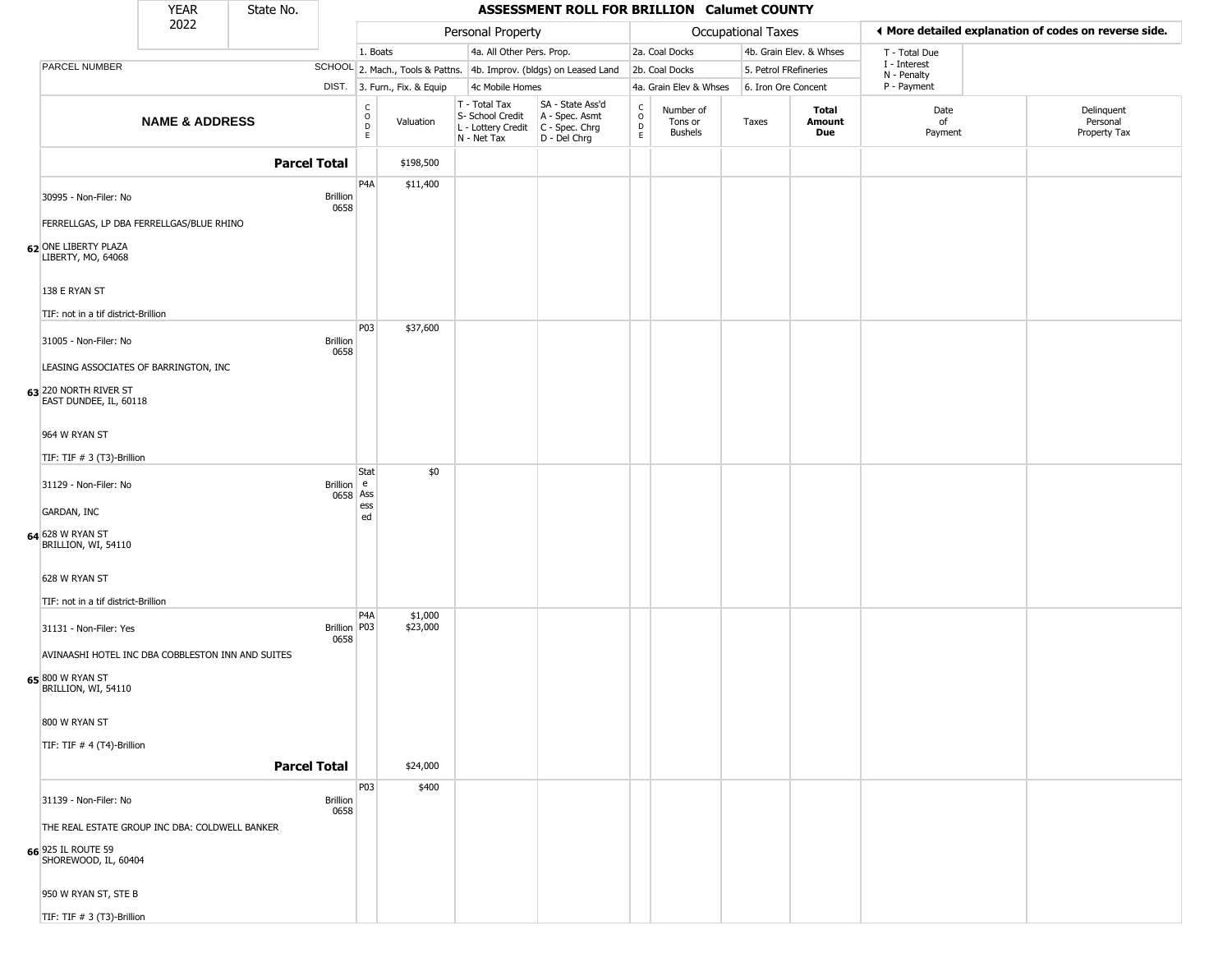|                                                      | <b>YEAR</b>                                       | State No.           |                             |                                   |                                  |                                                                        | ASSESSMENT ROLL FOR BRILLION Calumet COUNTY                          |                                       |                                        |                       |                         |                             |                                                       |
|------------------------------------------------------|---------------------------------------------------|---------------------|-----------------------------|-----------------------------------|----------------------------------|------------------------------------------------------------------------|----------------------------------------------------------------------|---------------------------------------|----------------------------------------|-----------------------|-------------------------|-----------------------------|-------------------------------------------------------|
|                                                      | 2022                                              |                     |                             |                                   |                                  | Personal Property                                                      |                                                                      |                                       |                                        | Occupational Taxes    |                         |                             | ♦ More detailed explanation of codes on reverse side. |
|                                                      |                                                   |                     |                             | 1. Boats                          |                                  | 4a. All Other Pers. Prop.                                              |                                                                      |                                       | 2a. Coal Docks                         |                       | 4b. Grain Elev. & Whses | T - Total Due               |                                                       |
| PARCEL NUMBER                                        |                                                   |                     |                             |                                   | SCHOOL 2. Mach., Tools & Pattns. |                                                                        | 4b. Improv. (bldgs) on Leased Land                                   |                                       | 2b. Coal Docks                         | 5. Petrol FRefineries |                         | I - Interest<br>N - Penalty |                                                       |
|                                                      |                                                   |                     |                             |                                   | DIST. 3. Furn., Fix. & Equip     | 4c Mobile Homes                                                        |                                                                      |                                       | 4a. Grain Elev & Whses                 | 6. Iron Ore Concent   |                         | P - Payment                 |                                                       |
|                                                      | <b>NAME &amp; ADDRESS</b>                         |                     |                             | $\frac{c}{0}$<br>$\mathsf D$<br>E | Valuation                        | T - Total Tax<br>S- School Credit<br>L - Lottery Credit<br>N - Net Tax | SA - State Ass'd<br>A - Spec. Asmt<br>C - Spec. Chrg<br>D - Del Chrg | $\rm_{o}^{\rm c}$<br>$\mathsf D$<br>E | Number of<br>Tons or<br><b>Bushels</b> | Taxes                 | Total<br>Amount<br>Due  | Date<br>of<br>Payment       | Delinquent<br>Personal<br>Property Tax                |
|                                                      |                                                   | <b>Parcel Total</b> |                             |                                   | \$198,500                        |                                                                        |                                                                      |                                       |                                        |                       |                         |                             |                                                       |
| 30995 - Non-Filer: No                                |                                                   |                     | <b>Brillion</b><br>0658     | P <sub>4</sub> A                  | \$11,400                         |                                                                        |                                                                      |                                       |                                        |                       |                         |                             |                                                       |
|                                                      | FERRELLGAS, LP DBA FERRELLGAS/BLUE RHINO          |                     |                             |                                   |                                  |                                                                        |                                                                      |                                       |                                        |                       |                         |                             |                                                       |
| 62 ONE LIBERTY PLAZA<br>LIBERTY, MO, 64068           |                                                   |                     |                             |                                   |                                  |                                                                        |                                                                      |                                       |                                        |                       |                         |                             |                                                       |
| 138 E RYAN ST<br>TIF: not in a tif district-Brillion |                                                   |                     |                             |                                   |                                  |                                                                        |                                                                      |                                       |                                        |                       |                         |                             |                                                       |
|                                                      |                                                   |                     |                             | P03                               | \$37,600                         |                                                                        |                                                                      |                                       |                                        |                       |                         |                             |                                                       |
| 31005 - Non-Filer: No                                | LEASING ASSOCIATES OF BARRINGTON, INC             |                     | <b>Brillion</b><br>0658     |                                   |                                  |                                                                        |                                                                      |                                       |                                        |                       |                         |                             |                                                       |
| 63 220 NORTH RIVER ST                                |                                                   |                     |                             |                                   |                                  |                                                                        |                                                                      |                                       |                                        |                       |                         |                             |                                                       |
| EAST DUNDEE, IL, 60118                               |                                                   |                     |                             |                                   |                                  |                                                                        |                                                                      |                                       |                                        |                       |                         |                             |                                                       |
| 964 W RYAN ST                                        |                                                   |                     |                             |                                   |                                  |                                                                        |                                                                      |                                       |                                        |                       |                         |                             |                                                       |
| TIF: TIF # 3 (T3)-Brillion                           |                                                   |                     |                             |                                   |                                  |                                                                        |                                                                      |                                       |                                        |                       |                         |                             |                                                       |
| 31129 - Non-Filer: No                                |                                                   |                     | <b>Brillion</b><br>0658 Ass | Stat<br>l e                       | \$0                              |                                                                        |                                                                      |                                       |                                        |                       |                         |                             |                                                       |
| <b>GARDAN, INC</b>                                   |                                                   |                     |                             | ess<br>ed                         |                                  |                                                                        |                                                                      |                                       |                                        |                       |                         |                             |                                                       |
| 64 628 W RYAN ST<br>BRILLION, WI, 54110              |                                                   |                     |                             |                                   |                                  |                                                                        |                                                                      |                                       |                                        |                       |                         |                             |                                                       |
| 628 W RYAN ST                                        |                                                   |                     |                             |                                   |                                  |                                                                        |                                                                      |                                       |                                        |                       |                         |                             |                                                       |
| TIF: not in a tif district-Brillion                  |                                                   |                     |                             |                                   |                                  |                                                                        |                                                                      |                                       |                                        |                       |                         |                             |                                                       |
| 31131 - Non-Filer: Yes                               |                                                   |                     | Brillion P03<br>0658        | P <sub>4</sub> A                  | \$1,000<br>\$23,000              |                                                                        |                                                                      |                                       |                                        |                       |                         |                             |                                                       |
|                                                      | AVINAASHI HOTEL INC DBA COBBLESTON INN AND SUITES |                     |                             |                                   |                                  |                                                                        |                                                                      |                                       |                                        |                       |                         |                             |                                                       |
| 65 800 W RYAN ST<br>BRILLION, WI, 54110              |                                                   |                     |                             |                                   |                                  |                                                                        |                                                                      |                                       |                                        |                       |                         |                             |                                                       |
| 800 W RYAN ST                                        |                                                   |                     |                             |                                   |                                  |                                                                        |                                                                      |                                       |                                        |                       |                         |                             |                                                       |
| TIF: TIF # 4 (T4)-Brillion                           |                                                   |                     |                             |                                   |                                  |                                                                        |                                                                      |                                       |                                        |                       |                         |                             |                                                       |
|                                                      |                                                   | <b>Parcel Total</b> |                             |                                   | \$24,000                         |                                                                        |                                                                      |                                       |                                        |                       |                         |                             |                                                       |
|                                                      |                                                   |                     |                             | P03                               | \$400                            |                                                                        |                                                                      |                                       |                                        |                       |                         |                             |                                                       |
| 31139 - Non-Filer: No                                |                                                   |                     | <b>Brillion</b><br>0658     |                                   |                                  |                                                                        |                                                                      |                                       |                                        |                       |                         |                             |                                                       |
|                                                      | THE REAL ESTATE GROUP INC DBA: COLDWELL BANKER    |                     |                             |                                   |                                  |                                                                        |                                                                      |                                       |                                        |                       |                         |                             |                                                       |
| <b>66</b> 925 IL ROUTE 59<br>SHOREWOOD, IL, 60404    |                                                   |                     |                             |                                   |                                  |                                                                        |                                                                      |                                       |                                        |                       |                         |                             |                                                       |
| 950 W RYAN ST, STE B                                 |                                                   |                     |                             |                                   |                                  |                                                                        |                                                                      |                                       |                                        |                       |                         |                             |                                                       |
| TIF: TIF $# 3$ (T3)-Brillion                         |                                                   |                     |                             |                                   |                                  |                                                                        |                                                                      |                                       |                                        |                       |                         |                             |                                                       |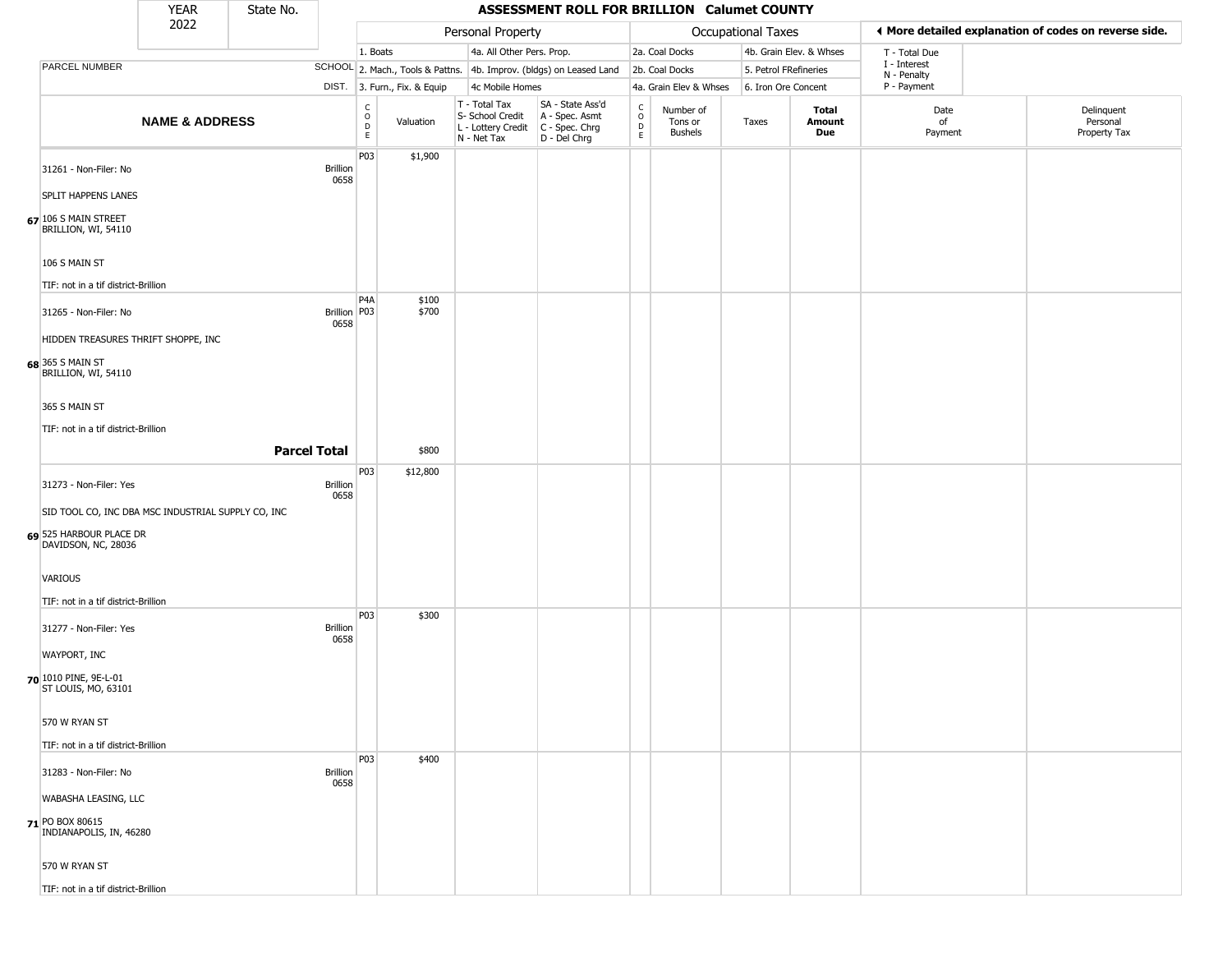|                                                    | <b>YEAR</b>               | State No. |                         |                                                 |                              |                                                                                           | ASSESSMENT ROLL FOR BRILLION Calumet COUNTY                         |                                              |                                        |                    |                         |                             |                                                       |
|----------------------------------------------------|---------------------------|-----------|-------------------------|-------------------------------------------------|------------------------------|-------------------------------------------------------------------------------------------|---------------------------------------------------------------------|----------------------------------------------|----------------------------------------|--------------------|-------------------------|-----------------------------|-------------------------------------------------------|
|                                                    | 2022                      |           |                         |                                                 |                              | Personal Property                                                                         |                                                                     |                                              |                                        | Occupational Taxes |                         |                             | ◀ More detailed explanation of codes on reverse side. |
|                                                    |                           |           |                         | 1. Boats                                        |                              | 4a. All Other Pers. Prop.                                                                 |                                                                     |                                              | 2a. Coal Docks                         |                    | 4b. Grain Elev. & Whses | T - Total Due               |                                                       |
| PARCEL NUMBER                                      |                           |           |                         |                                                 |                              |                                                                                           | SCHOOL 2. Mach., Tools & Pattns. 4b. Improv. (bldgs) on Leased Land |                                              | 2b. Coal Docks                         |                    | 5. Petrol FRefineries   | I - Interest<br>N - Penalty |                                                       |
|                                                    |                           |           |                         |                                                 | DIST. 3. Furn., Fix. & Equip | 4c Mobile Homes                                                                           |                                                                     |                                              | 4a. Grain Elev & Whses                 |                    | 6. Iron Ore Concent     | P - Payment                 |                                                       |
|                                                    | <b>NAME &amp; ADDRESS</b> |           |                         | $\begin{array}{c} C \\ O \\ D \\ E \end{array}$ | Valuation                    | $T - Total Tax$<br>S- School Credit<br>L - Lottery Credit   C - Spec. Chrg<br>N - Net Tax | SA - State Ass'd<br>A - Spec. Asmt<br>$D - Del Chrg$                | $\begin{array}{c}\nC \\ O \\ D\n\end{array}$ | Number of<br>Tons or<br><b>Bushels</b> | Taxes              | Total<br>Amount<br>Due  | Date<br>of<br>Payment       | Delinquent<br>Personal<br>Property Tax                |
| 31261 - Non-Filer: No                              |                           |           | <b>Brillion</b><br>0658 | P03                                             | \$1,900                      |                                                                                           |                                                                     |                                              |                                        |                    |                         |                             |                                                       |
| <b>SPLIT HAPPENS LANES</b>                         |                           |           |                         |                                                 |                              |                                                                                           |                                                                     |                                              |                                        |                    |                         |                             |                                                       |
| 67 106 S MAIN STREET<br>BRILLION, WI, 54110        |                           |           |                         |                                                 |                              |                                                                                           |                                                                     |                                              |                                        |                    |                         |                             |                                                       |
| 106 S MAIN ST                                      |                           |           |                         |                                                 |                              |                                                                                           |                                                                     |                                              |                                        |                    |                         |                             |                                                       |
| TIF: not in a tif district-Brillion                |                           |           |                         |                                                 |                              |                                                                                           |                                                                     |                                              |                                        |                    |                         |                             |                                                       |
| 31265 - Non-Filer: No                              |                           |           | Brillion P03<br>0658    | P4A                                             | \$100<br>\$700               |                                                                                           |                                                                     |                                              |                                        |                    |                         |                             |                                                       |
| HIDDEN TREASURES THRIFT SHOPPE, INC                |                           |           |                         |                                                 |                              |                                                                                           |                                                                     |                                              |                                        |                    |                         |                             |                                                       |
| <b>68</b> 365 S MAIN ST<br>BRILLION, WI, 54110     |                           |           |                         |                                                 |                              |                                                                                           |                                                                     |                                              |                                        |                    |                         |                             |                                                       |
| 365 S MAIN ST                                      |                           |           |                         |                                                 |                              |                                                                                           |                                                                     |                                              |                                        |                    |                         |                             |                                                       |
| TIF: not in a tif district-Brillion                |                           |           |                         |                                                 |                              |                                                                                           |                                                                     |                                              |                                        |                    |                         |                             |                                                       |
|                                                    |                           |           | <b>Parcel Total</b>     |                                                 | \$800                        |                                                                                           |                                                                     |                                              |                                        |                    |                         |                             |                                                       |
|                                                    |                           |           |                         | P03                                             | \$12,800                     |                                                                                           |                                                                     |                                              |                                        |                    |                         |                             |                                                       |
| 31273 - Non-Filer: Yes                             |                           |           | <b>Brillion</b><br>0658 |                                                 |                              |                                                                                           |                                                                     |                                              |                                        |                    |                         |                             |                                                       |
| SID TOOL CO, INC DBA MSC INDUSTRIAL SUPPLY CO, INC |                           |           |                         |                                                 |                              |                                                                                           |                                                                     |                                              |                                        |                    |                         |                             |                                                       |
| 69 525 HARBOUR PLACE DR<br>DAVIDSON, NC, 28036     |                           |           |                         |                                                 |                              |                                                                                           |                                                                     |                                              |                                        |                    |                         |                             |                                                       |
| VARIOUS                                            |                           |           |                         |                                                 |                              |                                                                                           |                                                                     |                                              |                                        |                    |                         |                             |                                                       |
| TIF: not in a tif district-Brillion                |                           |           |                         |                                                 |                              |                                                                                           |                                                                     |                                              |                                        |                    |                         |                             |                                                       |
| 31277 - Non-Filer: Yes                             |                           |           | <b>Brillion</b>         | <b>P03</b>                                      | \$300                        |                                                                                           |                                                                     |                                              |                                        |                    |                         |                             |                                                       |
| WAYPORT, INC                                       |                           |           | 0658                    |                                                 |                              |                                                                                           |                                                                     |                                              |                                        |                    |                         |                             |                                                       |
| 70 1010 PINE, 9E-L-01<br>ST LOUIS, MO, 63101       |                           |           |                         |                                                 |                              |                                                                                           |                                                                     |                                              |                                        |                    |                         |                             |                                                       |
| 570 W RYAN ST                                      |                           |           |                         |                                                 |                              |                                                                                           |                                                                     |                                              |                                        |                    |                         |                             |                                                       |
| TIF: not in a tif district-Brillion                |                           |           |                         |                                                 |                              |                                                                                           |                                                                     |                                              |                                        |                    |                         |                             |                                                       |
| 31283 - Non-Filer: No                              |                           |           | <b>Brillion</b>         | <b>P03</b>                                      | \$400                        |                                                                                           |                                                                     |                                              |                                        |                    |                         |                             |                                                       |
| WABASHA LEASING, LLC                               |                           |           | 0658                    |                                                 |                              |                                                                                           |                                                                     |                                              |                                        |                    |                         |                             |                                                       |
| 71 PO BOX 80615<br>INDIANAPOLIS, IN, 46280         |                           |           |                         |                                                 |                              |                                                                                           |                                                                     |                                              |                                        |                    |                         |                             |                                                       |
| 570 W RYAN ST                                      |                           |           |                         |                                                 |                              |                                                                                           |                                                                     |                                              |                                        |                    |                         |                             |                                                       |
| TIF: not in a tif district-Brillion                |                           |           |                         |                                                 |                              |                                                                                           |                                                                     |                                              |                                        |                    |                         |                             |                                                       |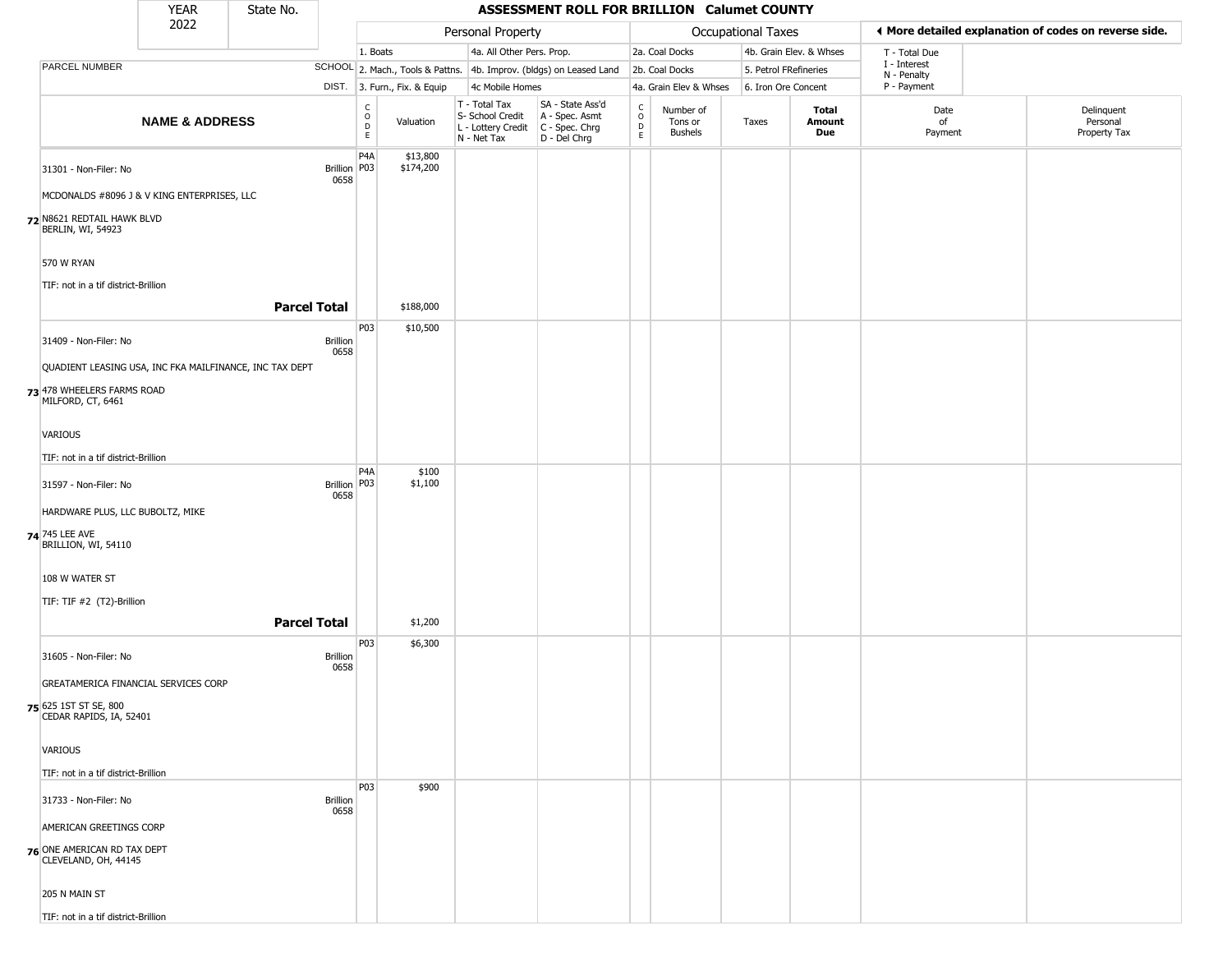|                                                         | <b>YEAR</b>               | State No.           |                         |                                            |                              |                                                  | ASSESSMENT ROLL FOR BRILLION Calumet COUNTY                                               |                                                   |                                        |                    |                         |                             |                                                       |
|---------------------------------------------------------|---------------------------|---------------------|-------------------------|--------------------------------------------|------------------------------|--------------------------------------------------|-------------------------------------------------------------------------------------------|---------------------------------------------------|----------------------------------------|--------------------|-------------------------|-----------------------------|-------------------------------------------------------|
|                                                         | 2022                      |                     |                         |                                            |                              | Personal Property                                |                                                                                           |                                                   |                                        | Occupational Taxes |                         |                             | ♦ More detailed explanation of codes on reverse side. |
|                                                         |                           |                     |                         | 1. Boats                                   |                              | 4a. All Other Pers. Prop.                        |                                                                                           |                                                   | 2a. Coal Docks                         |                    | 4b. Grain Elev. & Whses | T - Total Due               |                                                       |
| PARCEL NUMBER                                           |                           |                     |                         |                                            |                              |                                                  | SCHOOL 2. Mach., Tools & Pattns. 4b. Improv. (bldgs) on Leased Land                       |                                                   | 2b. Coal Docks                         |                    | 5. Petrol FRefineries   | I - Interest<br>N - Penalty |                                                       |
|                                                         |                           |                     |                         |                                            | DIST. 3. Furn., Fix. & Equip | 4c Mobile Homes                                  |                                                                                           |                                                   | 4a. Grain Elev & Whses                 |                    | 6. Iron Ore Concent     | P - Payment                 |                                                       |
|                                                         | <b>NAME &amp; ADDRESS</b> |                     |                         | $\frac{c}{0}$<br>$\mathsf{D}_{\mathsf{E}}$ | Valuation                    | T - Total Tax<br>S- School Credit<br>N - Net Tax | SA - State Ass'd<br>A - Spec. Asmt<br>L - Lottery Credit   C - Spec. Chrg<br>D - Del Chrg | $\begin{array}{c}\nC \\ O \\ D \\ E\n\end{array}$ | Number of<br>Tons or<br><b>Bushels</b> | Taxes              | Total<br>Amount<br>Due  | Date<br>of<br>Payment       | Delinquent<br>Personal<br>Property Tax                |
| 31301 - Non-Filer: No                                   |                           |                     | <b>Brillion</b><br>0658 | P4A<br>P03                                 | \$13,800<br>\$174,200        |                                                  |                                                                                           |                                                   |                                        |                    |                         |                             |                                                       |
| MCDONALDS #8096 J & V KING ENTERPRISES, LLC             |                           |                     |                         |                                            |                              |                                                  |                                                                                           |                                                   |                                        |                    |                         |                             |                                                       |
| 72 N8621 REDTAIL HAWK BLVD<br>BERLIN, WI, 54923         |                           |                     |                         |                                            |                              |                                                  |                                                                                           |                                                   |                                        |                    |                         |                             |                                                       |
| 570 W RYAN                                              |                           |                     |                         |                                            |                              |                                                  |                                                                                           |                                                   |                                        |                    |                         |                             |                                                       |
| TIF: not in a tif district-Brillion                     |                           | <b>Parcel Total</b> |                         |                                            | \$188,000                    |                                                  |                                                                                           |                                                   |                                        |                    |                         |                             |                                                       |
| 31409 - Non-Filer: No                                   |                           |                     | <b>Brillion</b>         | P03                                        | \$10,500                     |                                                  |                                                                                           |                                                   |                                        |                    |                         |                             |                                                       |
| QUADIENT LEASING USA, INC FKA MAILFINANCE, INC TAX DEPT |                           |                     | 0658                    |                                            |                              |                                                  |                                                                                           |                                                   |                                        |                    |                         |                             |                                                       |
| 73 478 WHEELERS FARMS ROAD<br>MILFORD, CT, 6461         |                           |                     |                         |                                            |                              |                                                  |                                                                                           |                                                   |                                        |                    |                         |                             |                                                       |
| VARIOUS                                                 |                           |                     |                         |                                            |                              |                                                  |                                                                                           |                                                   |                                        |                    |                         |                             |                                                       |
| TIF: not in a tif district-Brillion                     |                           |                     |                         |                                            |                              |                                                  |                                                                                           |                                                   |                                        |                    |                         |                             |                                                       |
| 31597 - Non-Filer: No                                   |                           |                     | <b>Brillion</b><br>0658 | P4A<br>P03                                 | \$100<br>\$1,100             |                                                  |                                                                                           |                                                   |                                        |                    |                         |                             |                                                       |
| HARDWARE PLUS, LLC BUBOLTZ, MIKE                        |                           |                     |                         |                                            |                              |                                                  |                                                                                           |                                                   |                                        |                    |                         |                             |                                                       |
| 74 745 LEE AVE<br>BRILLION, WI, 54110                   |                           |                     |                         |                                            |                              |                                                  |                                                                                           |                                                   |                                        |                    |                         |                             |                                                       |
| 108 W WATER ST                                          |                           |                     |                         |                                            |                              |                                                  |                                                                                           |                                                   |                                        |                    |                         |                             |                                                       |
| TIF: TIF #2 (T2)-Brillion                               |                           |                     |                         |                                            |                              |                                                  |                                                                                           |                                                   |                                        |                    |                         |                             |                                                       |
|                                                         |                           | <b>Parcel Total</b> |                         |                                            | \$1,200                      |                                                  |                                                                                           |                                                   |                                        |                    |                         |                             |                                                       |
| 31605 - Non-Filer: No                                   |                           |                     | <b>Brillion</b><br>0658 | P03                                        | \$6,300                      |                                                  |                                                                                           |                                                   |                                        |                    |                         |                             |                                                       |
| GREATAMERICA FINANCIAL SERVICES CORP                    |                           |                     |                         |                                            |                              |                                                  |                                                                                           |                                                   |                                        |                    |                         |                             |                                                       |
| 75 625 1ST ST SE, 800<br>CEDAR RAPIDS, IA, 52401        |                           |                     |                         |                                            |                              |                                                  |                                                                                           |                                                   |                                        |                    |                         |                             |                                                       |
| <b>VARIOUS</b>                                          |                           |                     |                         |                                            |                              |                                                  |                                                                                           |                                                   |                                        |                    |                         |                             |                                                       |
| TIF: not in a tif district-Brillion                     |                           |                     |                         |                                            |                              |                                                  |                                                                                           |                                                   |                                        |                    |                         |                             |                                                       |
| 31733 - Non-Filer: No                                   |                           |                     | <b>Brillion</b><br>0658 | P03                                        | \$900                        |                                                  |                                                                                           |                                                   |                                        |                    |                         |                             |                                                       |
| AMERICAN GREETINGS CORP                                 |                           |                     |                         |                                            |                              |                                                  |                                                                                           |                                                   |                                        |                    |                         |                             |                                                       |
| 76 ONE AMERICAN RD TAX DEPT<br>CLEVELAND, OH, 44145     |                           |                     |                         |                                            |                              |                                                  |                                                                                           |                                                   |                                        |                    |                         |                             |                                                       |
| 205 N MAIN ST                                           |                           |                     |                         |                                            |                              |                                                  |                                                                                           |                                                   |                                        |                    |                         |                             |                                                       |
| TIF: not in a tif district-Brillion                     |                           |                     |                         |                                            |                              |                                                  |                                                                                           |                                                   |                                        |                    |                         |                             |                                                       |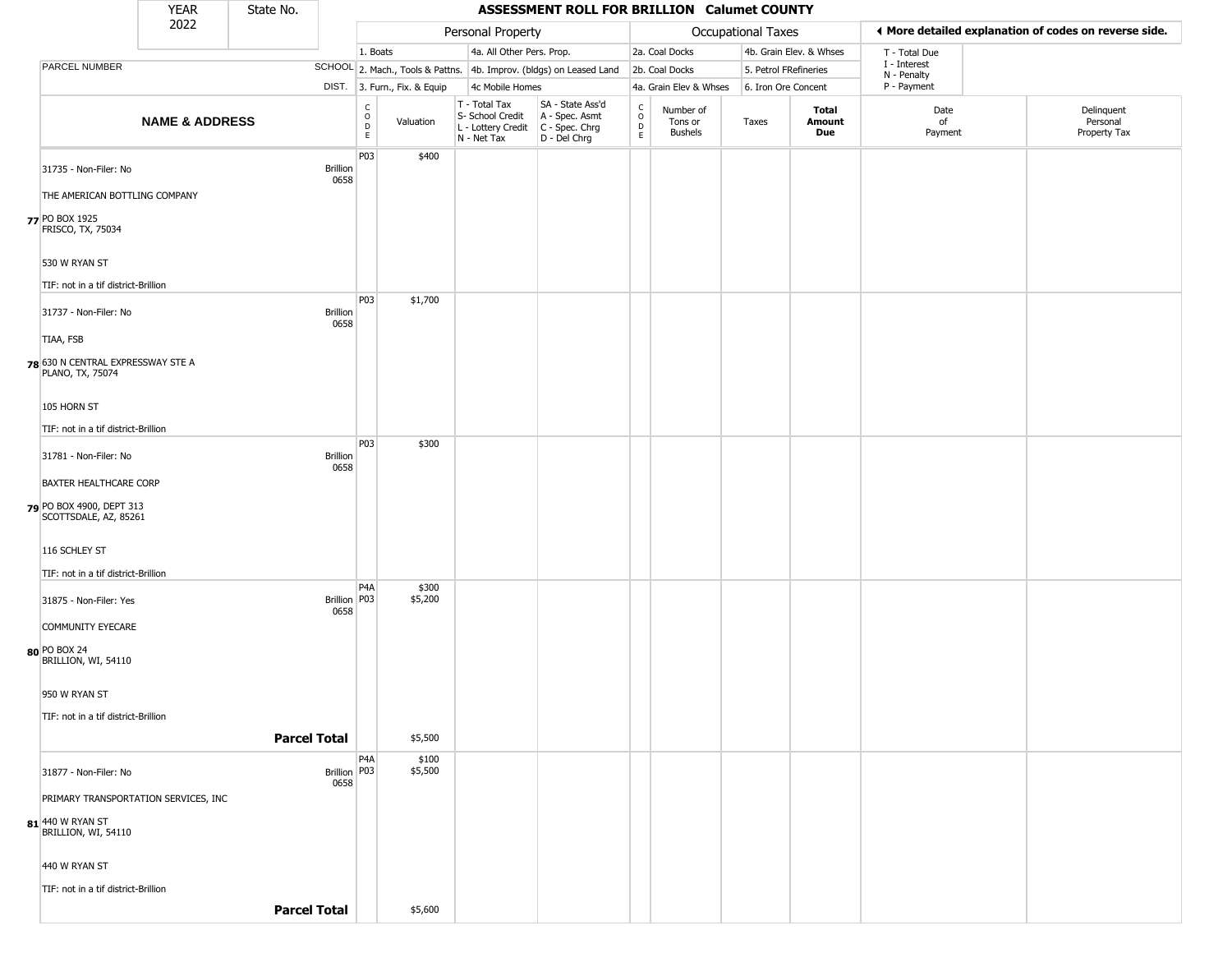|                                                        | <b>YEAR</b>                          | State No. |                         |                                                 |                              |                                                  | ASSESSMENT ROLL FOR BRILLION Calumet COUNTY                                             |                                    |                                        |                           |                         |                             |                                                       |
|--------------------------------------------------------|--------------------------------------|-----------|-------------------------|-------------------------------------------------|------------------------------|--------------------------------------------------|-----------------------------------------------------------------------------------------|------------------------------------|----------------------------------------|---------------------------|-------------------------|-----------------------------|-------------------------------------------------------|
|                                                        | 2022                                 |           |                         |                                                 |                              | Personal Property                                |                                                                                         |                                    |                                        | <b>Occupational Taxes</b> |                         |                             | ♦ More detailed explanation of codes on reverse side. |
|                                                        |                                      |           |                         | 1. Boats                                        |                              | 4a. All Other Pers. Prop.                        |                                                                                         |                                    | 2a. Coal Docks                         |                           | 4b. Grain Elev. & Whses | T - Total Due               |                                                       |
| PARCEL NUMBER                                          |                                      |           |                         |                                                 |                              |                                                  | SCHOOL 2. Mach., Tools & Pattns. 4b. Improv. (bldgs) on Leased Land                     |                                    | 2b. Coal Docks                         | 5. Petrol FRefineries     |                         | I - Interest<br>N - Penalty |                                                       |
|                                                        |                                      |           |                         |                                                 | DIST. 3. Furn., Fix. & Equip | 4c Mobile Homes                                  |                                                                                         |                                    | 4a. Grain Elev & Whses                 | 6. Iron Ore Concent       |                         | P - Payment                 |                                                       |
|                                                        | <b>NAME &amp; ADDRESS</b>            |           |                         | $\begin{array}{c} C \\ O \\ D \\ E \end{array}$ | Valuation                    | T - Total Tax<br>S- School Credit<br>N - Net Tax | SA - State Ass'd<br>A - Spec. Asmt<br>L - Lottery Credit C - Spec. Chrg<br>D - Del Chrg | C<br>$\circ$<br>$\mathsf{D}$<br>E. | Number of<br>Tons or<br><b>Bushels</b> | Taxes                     | Total<br>Amount<br>Due  | Date<br>of<br>Payment       | Delinquent<br>Personal<br>Property Tax                |
| 31735 - Non-Filer: No<br>THE AMERICAN BOTTLING COMPANY |                                      |           | <b>Brillion</b><br>0658 | P03                                             | \$400                        |                                                  |                                                                                         |                                    |                                        |                           |                         |                             |                                                       |
|                                                        |                                      |           |                         |                                                 |                              |                                                  |                                                                                         |                                    |                                        |                           |                         |                             |                                                       |
| 77 PO BOX 1925<br>FRISCO, TX, 75034                    |                                      |           |                         |                                                 |                              |                                                  |                                                                                         |                                    |                                        |                           |                         |                             |                                                       |
| 530 W RYAN ST                                          |                                      |           |                         |                                                 |                              |                                                  |                                                                                         |                                    |                                        |                           |                         |                             |                                                       |
| TIF: not in a tif district-Brillion                    |                                      |           |                         |                                                 |                              |                                                  |                                                                                         |                                    |                                        |                           |                         |                             |                                                       |
| 31737 - Non-Filer: No                                  |                                      |           | <b>Brillion</b><br>0658 | P03                                             | \$1,700                      |                                                  |                                                                                         |                                    |                                        |                           |                         |                             |                                                       |
| TIAA, FSB                                              |                                      |           |                         |                                                 |                              |                                                  |                                                                                         |                                    |                                        |                           |                         |                             |                                                       |
| 78 630 N CENTRAL EXPRESSWAY STE A<br>PLANO, TX, 75074  |                                      |           |                         |                                                 |                              |                                                  |                                                                                         |                                    |                                        |                           |                         |                             |                                                       |
| 105 HORN ST                                            |                                      |           |                         |                                                 |                              |                                                  |                                                                                         |                                    |                                        |                           |                         |                             |                                                       |
| TIF: not in a tif district-Brillion                    |                                      |           |                         |                                                 |                              |                                                  |                                                                                         |                                    |                                        |                           |                         |                             |                                                       |
|                                                        |                                      |           |                         | P03                                             | \$300                        |                                                  |                                                                                         |                                    |                                        |                           |                         |                             |                                                       |
| 31781 - Non-Filer: No                                  |                                      |           | Brillion<br>0658        |                                                 |                              |                                                  |                                                                                         |                                    |                                        |                           |                         |                             |                                                       |
| BAXTER HEALTHCARE CORP                                 |                                      |           |                         |                                                 |                              |                                                  |                                                                                         |                                    |                                        |                           |                         |                             |                                                       |
| PO BOX 4900, DEPT 313<br>SCOTTSDALE, AZ, 85261         |                                      |           |                         |                                                 |                              |                                                  |                                                                                         |                                    |                                        |                           |                         |                             |                                                       |
| 116 SCHLEY ST                                          |                                      |           |                         |                                                 |                              |                                                  |                                                                                         |                                    |                                        |                           |                         |                             |                                                       |
| TIF: not in a tif district-Brillion                    |                                      |           |                         |                                                 |                              |                                                  |                                                                                         |                                    |                                        |                           |                         |                             |                                                       |
| 31875 - Non-Filer: Yes                                 |                                      |           | <b>Brillion</b><br>0658 | P <sub>4</sub> A<br>P03                         | \$300<br>\$5,200             |                                                  |                                                                                         |                                    |                                        |                           |                         |                             |                                                       |
| COMMUNITY EYECARE                                      |                                      |           |                         |                                                 |                              |                                                  |                                                                                         |                                    |                                        |                           |                         |                             |                                                       |
| 80 PO BOX 24<br>BRILLION, WI, 54110                    |                                      |           |                         |                                                 |                              |                                                  |                                                                                         |                                    |                                        |                           |                         |                             |                                                       |
| 950 W RYAN ST                                          |                                      |           |                         |                                                 |                              |                                                  |                                                                                         |                                    |                                        |                           |                         |                             |                                                       |
| TIF: not in a tif district-Brillion                    |                                      |           |                         |                                                 |                              |                                                  |                                                                                         |                                    |                                        |                           |                         |                             |                                                       |
|                                                        |                                      |           | <b>Parcel Total</b>     |                                                 | \$5,500                      |                                                  |                                                                                         |                                    |                                        |                           |                         |                             |                                                       |
|                                                        |                                      |           |                         | P <sub>4</sub> A                                |                              |                                                  |                                                                                         |                                    |                                        |                           |                         |                             |                                                       |
| 31877 - Non-Filer: No                                  |                                      |           | Brillion   P03<br>0658  |                                                 | \$100<br>\$5,500             |                                                  |                                                                                         |                                    |                                        |                           |                         |                             |                                                       |
|                                                        | PRIMARY TRANSPORTATION SERVICES, INC |           |                         |                                                 |                              |                                                  |                                                                                         |                                    |                                        |                           |                         |                             |                                                       |
| <b>81</b> 440 W RYAN ST<br>BRILLION, WI, 54110         |                                      |           |                         |                                                 |                              |                                                  |                                                                                         |                                    |                                        |                           |                         |                             |                                                       |
| 440 W RYAN ST                                          |                                      |           |                         |                                                 |                              |                                                  |                                                                                         |                                    |                                        |                           |                         |                             |                                                       |
| TIF: not in a tif district-Brillion                    |                                      |           |                         |                                                 |                              |                                                  |                                                                                         |                                    |                                        |                           |                         |                             |                                                       |
|                                                        |                                      |           | <b>Parcel Total</b>     |                                                 | \$5,600                      |                                                  |                                                                                         |                                    |                                        |                           |                         |                             |                                                       |
|                                                        |                                      |           |                         |                                                 |                              |                                                  |                                                                                         |                                    |                                        |                           |                         |                             |                                                       |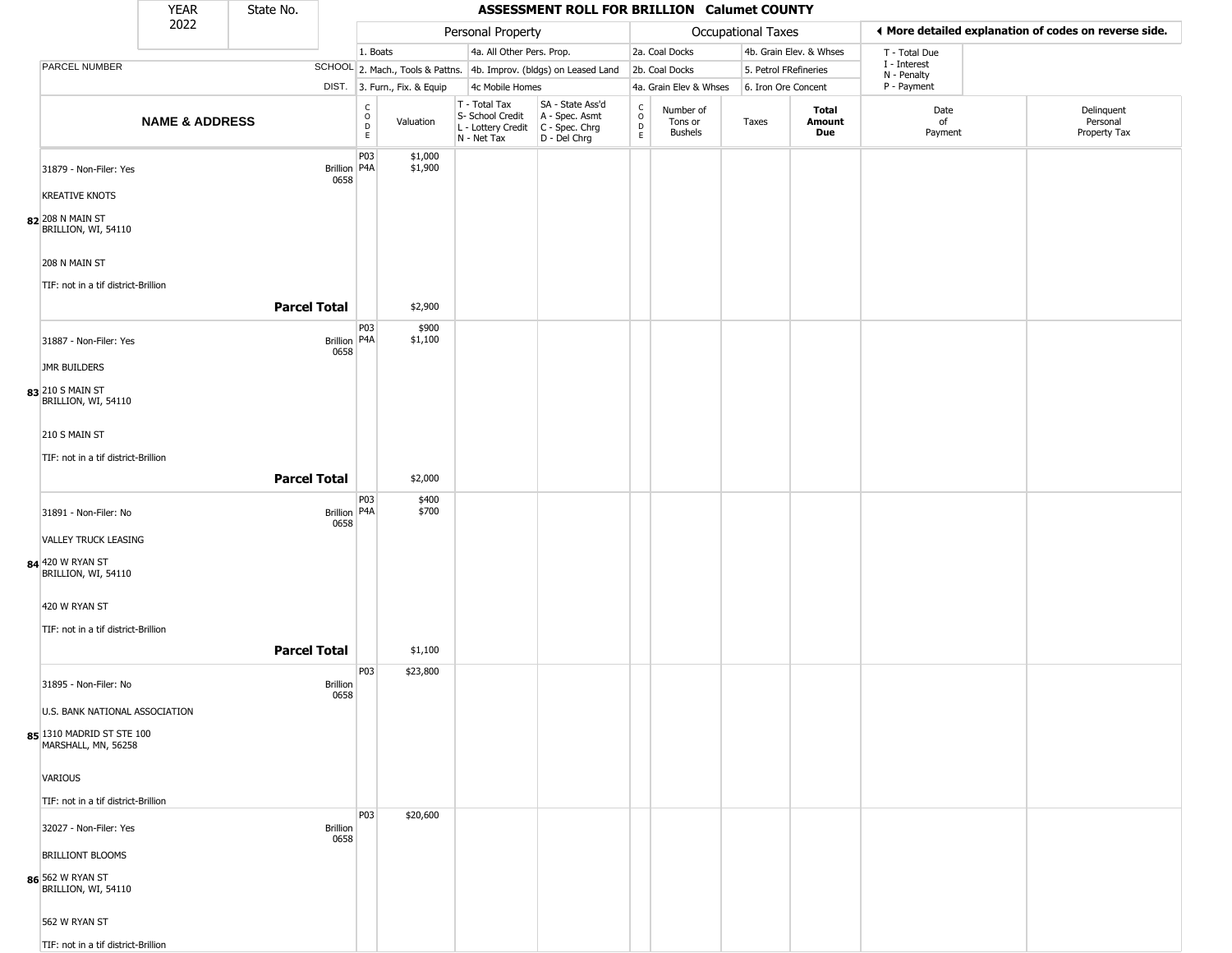|                                                                                                               | <b>YEAR</b>               | State No.           |                         |                                |                              |                                                                        | ASSESSMENT ROLL FOR BRILLION Calumet COUNTY                          |                                                          |                                        |                       |                         |                             |                                                       |
|---------------------------------------------------------------------------------------------------------------|---------------------------|---------------------|-------------------------|--------------------------------|------------------------------|------------------------------------------------------------------------|----------------------------------------------------------------------|----------------------------------------------------------|----------------------------------------|-----------------------|-------------------------|-----------------------------|-------------------------------------------------------|
|                                                                                                               | 2022                      |                     |                         |                                |                              | Personal Property                                                      |                                                                      |                                                          |                                        | Occupational Taxes    |                         |                             | I More detailed explanation of codes on reverse side. |
|                                                                                                               |                           |                     |                         | 1. Boats                       |                              | 4a. All Other Pers. Prop.                                              |                                                                      |                                                          | 2a. Coal Docks                         |                       | 4b. Grain Elev. & Whses | T - Total Due               |                                                       |
| PARCEL NUMBER                                                                                                 |                           |                     |                         |                                |                              |                                                                        | SCHOOL 2. Mach., Tools & Pattns. 4b. Improv. (bldgs) on Leased Land  |                                                          | 2b. Coal Docks                         | 5. Petrol FRefineries |                         | I - Interest<br>N - Penalty |                                                       |
|                                                                                                               |                           |                     |                         |                                | DIST. 3. Furn., Fix. & Equip | 4c Mobile Homes                                                        |                                                                      |                                                          | 4a. Grain Elev & Whses                 | 6. Iron Ore Concent   |                         | P - Payment                 |                                                       |
|                                                                                                               | <b>NAME &amp; ADDRESS</b> |                     |                         | $\rm _o^C$<br>$\mathsf D$<br>E | Valuation                    | T - Total Tax<br>S- School Credit<br>L - Lottery Credit<br>N - Net Tax | SA - State Ass'd<br>A - Spec. Asmt<br>C - Spec. Chrg<br>D - Del Chrg | $\begin{smallmatrix} C \\ 0 \\ D \end{smallmatrix}$<br>E | Number of<br>Tons or<br><b>Bushels</b> | Taxes                 | Total<br>Amount<br>Due  | Date<br>of<br>Payment       | Delinquent<br>Personal<br>Property Tax                |
| 31879 - Non-Filer: Yes<br><b>KREATIVE KNOTS</b><br>82 208 N MAIN ST<br>BRILLION, WI, 54110                    |                           |                     | Brillion   P4A<br>0658  | P03                            | \$1,000<br>\$1,900           |                                                                        |                                                                      |                                                          |                                        |                       |                         |                             |                                                       |
| 208 N MAIN ST<br>TIF: not in a tif district-Brillion                                                          |                           | <b>Parcel Total</b> |                         |                                | \$2,900                      |                                                                        |                                                                      |                                                          |                                        |                       |                         |                             |                                                       |
| 31887 - Non-Filer: Yes                                                                                        |                           |                     | Brillion   P4A<br>0658  | P03                            | \$900<br>\$1,100             |                                                                        |                                                                      |                                                          |                                        |                       |                         |                             |                                                       |
| JMR BUILDERS<br>83 210 S MAIN ST                                                                              |                           |                     |                         |                                |                              |                                                                        |                                                                      |                                                          |                                        |                       |                         |                             |                                                       |
| BRILLION, WI, 54110<br>210 S MAIN ST<br>TIF: not in a tif district-Brillion                                   |                           |                     |                         |                                |                              |                                                                        |                                                                      |                                                          |                                        |                       |                         |                             |                                                       |
|                                                                                                               |                           | <b>Parcel Total</b> |                         |                                | \$2,000                      |                                                                        |                                                                      |                                                          |                                        |                       |                         |                             |                                                       |
| 31891 - Non-Filer: No<br>VALLEY TRUCK LEASING<br>84 420 W RYAN ST<br>BRILLION, WI, 54110                      |                           |                     | Brillion P4A<br>0658    | P03                            | \$400<br>\$700               |                                                                        |                                                                      |                                                          |                                        |                       |                         |                             |                                                       |
| 420 W RYAN ST<br>TIF: not in a tif district-Brillion                                                          |                           | <b>Parcel Total</b> |                         |                                | \$1,100                      |                                                                        |                                                                      |                                                          |                                        |                       |                         |                             |                                                       |
| 31895 - Non-Filer: No<br>U.S. BANK NATIONAL ASSOCIATION<br>85 1310 MADRID ST STE 100                          |                           |                     | <b>Brillion</b><br>0658 | P03                            | \$23,800                     |                                                                        |                                                                      |                                                          |                                        |                       |                         |                             |                                                       |
| MARSHALL, MN, 56258<br>VARIOUS<br>TIF: not in a tif district-Brillion                                         |                           |                     |                         |                                |                              |                                                                        |                                                                      |                                                          |                                        |                       |                         |                             |                                                       |
| 32027 - Non-Filer: Yes<br><b>BRILLIONT BLOOMS</b><br>86 562 W RYAN ST<br>BRILLION, WI, 54110<br>562 W RYAN ST |                           |                     | <b>Brillion</b><br>0658 | P03                            | \$20,600                     |                                                                        |                                                                      |                                                          |                                        |                       |                         |                             |                                                       |
| TIF: not in a tif district-Brillion                                                                           |                           |                     |                         |                                |                              |                                                                        |                                                                      |                                                          |                                        |                       |                         |                             |                                                       |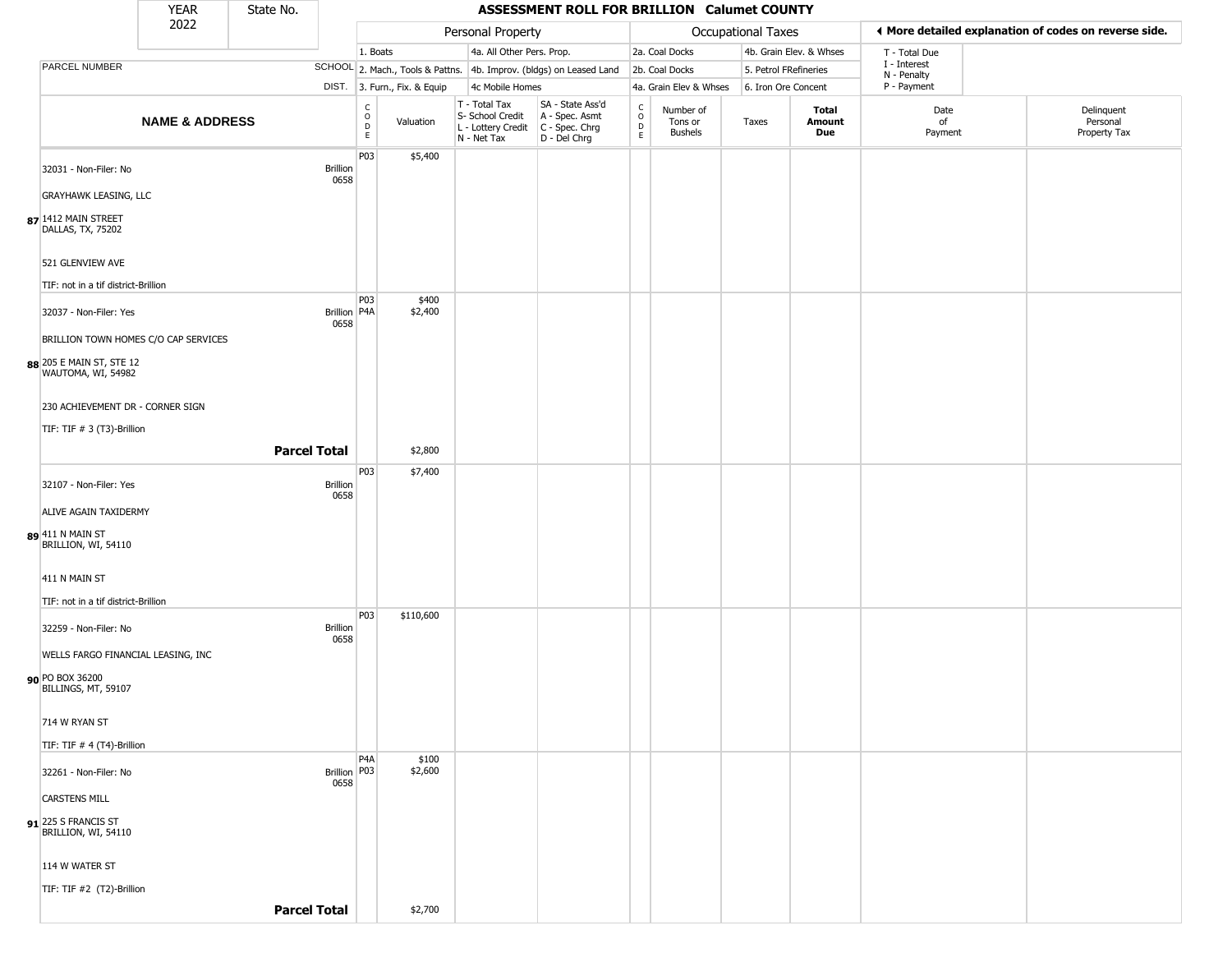|                                                                                                                                                                                                                                | <b>YEAR</b>               | State No. |                                                 |                                       |                              |                                                                        | ASSESSMENT ROLL FOR BRILLION Calumet COUNTY                          |                                                |                                        |                    |                         |                             |                                                       |
|--------------------------------------------------------------------------------------------------------------------------------------------------------------------------------------------------------------------------------|---------------------------|-----------|-------------------------------------------------|---------------------------------------|------------------------------|------------------------------------------------------------------------|----------------------------------------------------------------------|------------------------------------------------|----------------------------------------|--------------------|-------------------------|-----------------------------|-------------------------------------------------------|
|                                                                                                                                                                                                                                | 2022                      |           |                                                 |                                       |                              | Personal Property                                                      |                                                                      |                                                |                                        | Occupational Taxes |                         |                             | ◀ More detailed explanation of codes on reverse side. |
|                                                                                                                                                                                                                                |                           |           |                                                 | 1. Boats                              |                              | 4a. All Other Pers. Prop.                                              |                                                                      |                                                | 2a. Coal Docks                         |                    | 4b. Grain Elev. & Whses | T - Total Due               |                                                       |
| PARCEL NUMBER                                                                                                                                                                                                                  |                           |           |                                                 |                                       |                              |                                                                        | SCHOOL 2. Mach., Tools & Pattns. 4b. Improv. (bldgs) on Leased Land  |                                                | 2b. Coal Docks                         |                    | 5. Petrol FRefineries   | I - Interest<br>N - Penalty |                                                       |
|                                                                                                                                                                                                                                |                           |           |                                                 |                                       | DIST. 3. Furn., Fix. & Equip | 4c Mobile Homes                                                        |                                                                      |                                                | 4a. Grain Elev & Whses                 |                    | 6. Iron Ore Concent     | P - Payment                 |                                                       |
|                                                                                                                                                                                                                                | <b>NAME &amp; ADDRESS</b> |           |                                                 | C<br>$\mathsf O$<br>$\mathsf{D}$<br>E | Valuation                    | T - Total Tax<br>S- School Credit<br>L - Lottery Credit<br>N - Net Tax | SA - State Ass'd<br>A - Spec. Asmt<br>C - Spec. Chrg<br>D - Del Chrg | $\begin{matrix} 0 \\ 0 \\ D \end{matrix}$<br>E | Number of<br>Tons or<br><b>Bushels</b> | Taxes              | Total<br>Amount<br>Due  | Date<br>of<br>Payment       | Delinquent<br>Personal<br>Property Tax                |
| 32031 - Non-Filer: No<br><b>GRAYHAWK LEASING, LLC</b><br>87 1412 MAIN STREET<br>DALLAS, TX, 75202<br>521 GLENVIEW AVE<br>TIF: not in a tif district-Brillion<br>32037 - Non-Filer: Yes<br>BRILLION TOWN HOMES C/O CAP SERVICES |                           |           | <b>Brillion</b><br>0658<br>Brillion P4A<br>0658 | P03<br>P03                            | \$5,400<br>\$400<br>\$2,400  |                                                                        |                                                                      |                                                |                                        |                    |                         |                             |                                                       |
| 88 205 E MAIN ST, STE 12<br>WAUTOMA, WI, 54982<br>230 ACHIEVEMENT DR - CORNER SIGN<br>TIF: TIF # 3 (T3)-Brillion<br>32107 - Non-Filer: Yes<br>ALIVE AGAIN TAXIDERMY<br>89 411 N MAIN ST<br>BRILLION, WI, 54110                 |                           |           | <b>Parcel Total</b><br>Brillion<br>0658         | P03                                   | \$2,800<br>\$7,400           |                                                                        |                                                                      |                                                |                                        |                    |                         |                             |                                                       |
| 411 N MAIN ST                                                                                                                                                                                                                  |                           |           |                                                 |                                       |                              |                                                                        |                                                                      |                                                |                                        |                    |                         |                             |                                                       |
| TIF: not in a tif district-Brillion                                                                                                                                                                                            |                           |           |                                                 |                                       |                              |                                                                        |                                                                      |                                                |                                        |                    |                         |                             |                                                       |
| 32259 - Non-Filer: No<br>WELLS FARGO FINANCIAL LEASING, INC<br>90 PO BOX 36200<br>BILLINGS, MT, 59107<br>714 W RYAN ST<br>TIF: TIF # 4 (T4)-Brillion                                                                           |                           |           | <b>Brillion</b><br>0658                         | P03                                   | \$110,600                    |                                                                        |                                                                      |                                                |                                        |                    |                         |                             |                                                       |
| 32261 - Non-Filer: No<br><b>CARSTENS MILL</b><br>91 <sup>225</sup> S FRANCIS ST<br>BRILLION, WI, 54110<br>114 W WATER ST                                                                                                       |                           |           | Brillion P03<br>0658                            | P4A                                   | \$100<br>\$2,600             |                                                                        |                                                                      |                                                |                                        |                    |                         |                             |                                                       |
| TIF: TIF #2 (T2)-Brillion                                                                                                                                                                                                      |                           |           |                                                 |                                       |                              |                                                                        |                                                                      |                                                |                                        |                    |                         |                             |                                                       |
|                                                                                                                                                                                                                                |                           |           | <b>Parcel Total</b>                             |                                       | \$2,700                      |                                                                        |                                                                      |                                                |                                        |                    |                         |                             |                                                       |
|                                                                                                                                                                                                                                |                           |           |                                                 |                                       |                              |                                                                        |                                                                      |                                                |                                        |                    |                         |                             |                                                       |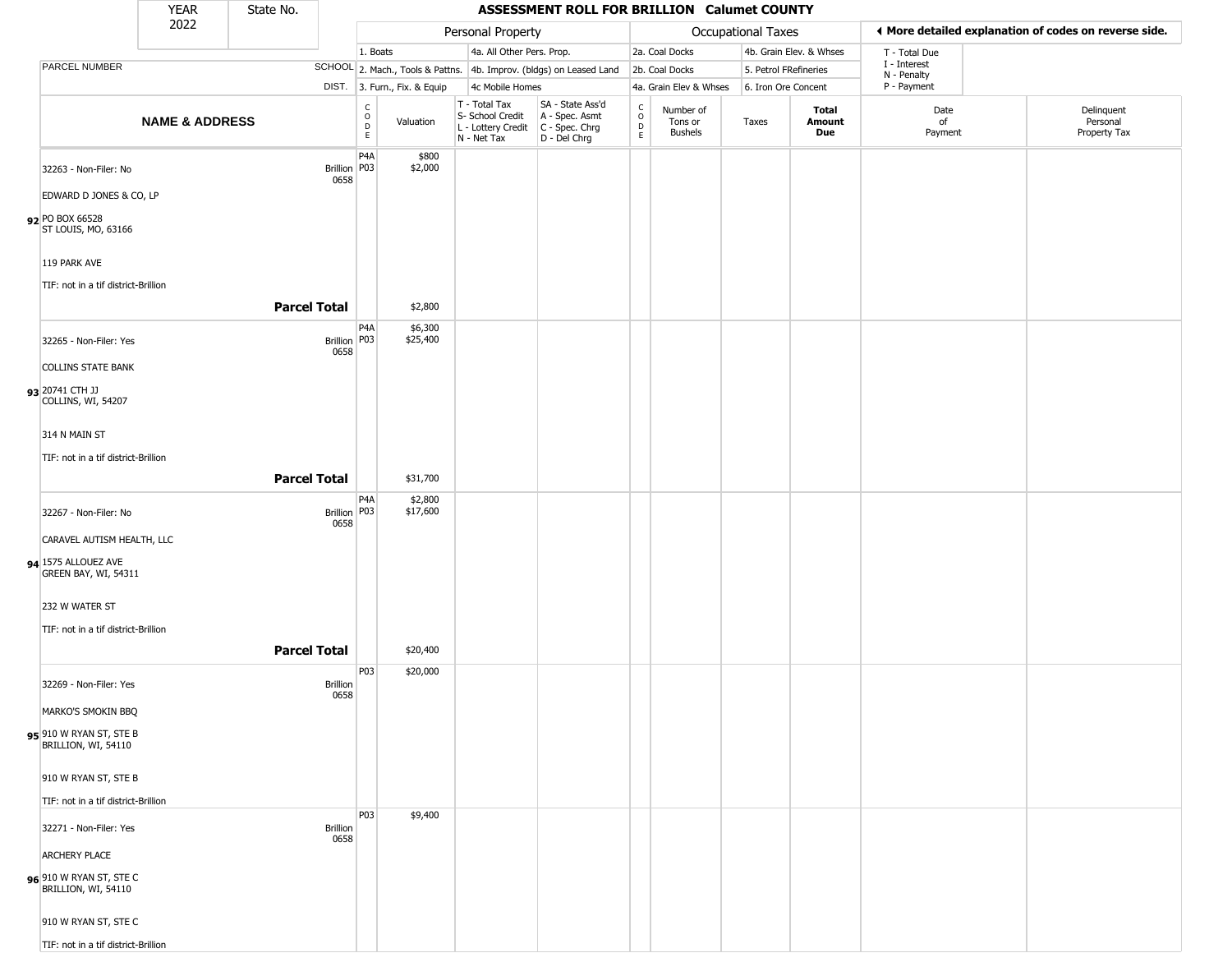|                                                | <b>YEAR</b>               | State No.               |                                            |                              |                                                                                         | ASSESSMENT ROLL FOR BRILLION Calumet COUNTY                         |                                  |                                        |                           |                         |                             |                                                       |
|------------------------------------------------|---------------------------|-------------------------|--------------------------------------------|------------------------------|-----------------------------------------------------------------------------------------|---------------------------------------------------------------------|----------------------------------|----------------------------------------|---------------------------|-------------------------|-----------------------------|-------------------------------------------------------|
|                                                | 2022                      |                         |                                            |                              | Personal Property                                                                       |                                                                     |                                  |                                        | <b>Occupational Taxes</b> |                         |                             | ◀ More detailed explanation of codes on reverse side. |
|                                                |                           |                         | 1. Boats                                   |                              | 4a. All Other Pers. Prop.                                                               |                                                                     |                                  | 2a. Coal Docks                         |                           | 4b. Grain Elev. & Whses | T - Total Due               |                                                       |
| PARCEL NUMBER                                  |                           |                         |                                            |                              |                                                                                         | SCHOOL 2. Mach., Tools & Pattns. 4b. Improv. (bldgs) on Leased Land |                                  | 2b. Coal Docks                         | 5. Petrol FRefineries     |                         | I - Interest<br>N - Penalty |                                                       |
|                                                |                           |                         |                                            | DIST. 3. Furn., Fix. & Equip | 4c Mobile Homes                                                                         |                                                                     |                                  | 4a. Grain Elev & Whses                 | 6. Iron Ore Concent       |                         | P - Payment                 |                                                       |
|                                                | <b>NAME &amp; ADDRESS</b> |                         | $\begin{array}{c} C \\ O \\ E \end{array}$ | Valuation                    | T - Total Tax<br>S- School Credit<br>L - Lottery Credit   C - Spec. Chrg<br>N - Net Tax | SA - State Ass'd<br>A - Spec. Asmt<br>$D - Del Chrg$                | C<br>$\circ$<br>D<br>$\mathsf E$ | Number of<br>Tons or<br><b>Bushels</b> | Taxes                     | Total<br>Amount<br>Due  | Date<br>of<br>Payment       | Delinquent<br>Personal<br>Property Tax                |
| 32263 - Non-Filer: No                          |                           |                         | P <sub>4</sub> A<br>Brillion   P03         | \$800<br>\$2,000             |                                                                                         |                                                                     |                                  |                                        |                           |                         |                             |                                                       |
| EDWARD D JONES & CO, LP                        |                           | 0658                    |                                            |                              |                                                                                         |                                                                     |                                  |                                        |                           |                         |                             |                                                       |
| 92 PO BOX 66528<br>ST LOUIS, MO, 63166         |                           |                         |                                            |                              |                                                                                         |                                                                     |                                  |                                        |                           |                         |                             |                                                       |
| 119 PARK AVE                                   |                           |                         |                                            |                              |                                                                                         |                                                                     |                                  |                                        |                           |                         |                             |                                                       |
| TIF: not in a tif district-Brillion            |                           | <b>Parcel Total</b>     |                                            | \$2,800                      |                                                                                         |                                                                     |                                  |                                        |                           |                         |                             |                                                       |
|                                                |                           |                         | P <sub>4</sub> A                           | \$6,300                      |                                                                                         |                                                                     |                                  |                                        |                           |                         |                             |                                                       |
| 32265 - Non-Filer: Yes                         |                           | 0658                    | Brillion P03                               | \$25,400                     |                                                                                         |                                                                     |                                  |                                        |                           |                         |                             |                                                       |
| <b>COLLINS STATE BANK</b>                      |                           |                         |                                            |                              |                                                                                         |                                                                     |                                  |                                        |                           |                         |                             |                                                       |
| 93 20741 CTH JJ<br>COLLINS, WI, 54207          |                           |                         |                                            |                              |                                                                                         |                                                                     |                                  |                                        |                           |                         |                             |                                                       |
| 314 N MAIN ST                                  |                           |                         |                                            |                              |                                                                                         |                                                                     |                                  |                                        |                           |                         |                             |                                                       |
| TIF: not in a tif district-Brillion            |                           |                         |                                            |                              |                                                                                         |                                                                     |                                  |                                        |                           |                         |                             |                                                       |
|                                                |                           | <b>Parcel Total</b>     |                                            | \$31,700                     |                                                                                         |                                                                     |                                  |                                        |                           |                         |                             |                                                       |
| 32267 - Non-Filer: No                          |                           | 0658                    | P4A<br>Brillion P03                        | \$2,800<br>\$17,600          |                                                                                         |                                                                     |                                  |                                        |                           |                         |                             |                                                       |
| CARAVEL AUTISM HEALTH, LLC                     |                           |                         |                                            |                              |                                                                                         |                                                                     |                                  |                                        |                           |                         |                             |                                                       |
| 94 1575 ALLOUEZ AVE<br>GREEN BAY, WI, 54311    |                           |                         |                                            |                              |                                                                                         |                                                                     |                                  |                                        |                           |                         |                             |                                                       |
| 232 W WATER ST                                 |                           |                         |                                            |                              |                                                                                         |                                                                     |                                  |                                        |                           |                         |                             |                                                       |
| TIF: not in a tif district-Brillion            |                           |                         |                                            |                              |                                                                                         |                                                                     |                                  |                                        |                           |                         |                             |                                                       |
|                                                |                           | <b>Parcel Total</b>     |                                            | \$20,400                     |                                                                                         |                                                                     |                                  |                                        |                           |                         |                             |                                                       |
| 32269 - Non-Filer: Yes                         |                           | Brillion<br>0658        | P03                                        | \$20,000                     |                                                                                         |                                                                     |                                  |                                        |                           |                         |                             |                                                       |
| MARKO'S SMOKIN BBQ                             |                           |                         |                                            |                              |                                                                                         |                                                                     |                                  |                                        |                           |                         |                             |                                                       |
| 95 910 W RYAN ST, STE B<br>BRILLION, WI, 54110 |                           |                         |                                            |                              |                                                                                         |                                                                     |                                  |                                        |                           |                         |                             |                                                       |
| 910 W RYAN ST, STE B                           |                           |                         |                                            |                              |                                                                                         |                                                                     |                                  |                                        |                           |                         |                             |                                                       |
| TIF: not in a tif district-Brillion            |                           |                         | <b>P03</b>                                 |                              |                                                                                         |                                                                     |                                  |                                        |                           |                         |                             |                                                       |
| 32271 - Non-Filer: Yes                         |                           | <b>Brillion</b><br>0658 |                                            | \$9,400                      |                                                                                         |                                                                     |                                  |                                        |                           |                         |                             |                                                       |
| <b>ARCHERY PLACE</b>                           |                           |                         |                                            |                              |                                                                                         |                                                                     |                                  |                                        |                           |                         |                             |                                                       |
| 96 910 W RYAN ST, STE C<br>BRILLION, WI, 54110 |                           |                         |                                            |                              |                                                                                         |                                                                     |                                  |                                        |                           |                         |                             |                                                       |
| 910 W RYAN ST, STE C                           |                           |                         |                                            |                              |                                                                                         |                                                                     |                                  |                                        |                           |                         |                             |                                                       |
| TIF: not in a tif district-Brillion            |                           |                         |                                            |                              |                                                                                         |                                                                     |                                  |                                        |                           |                         |                             |                                                       |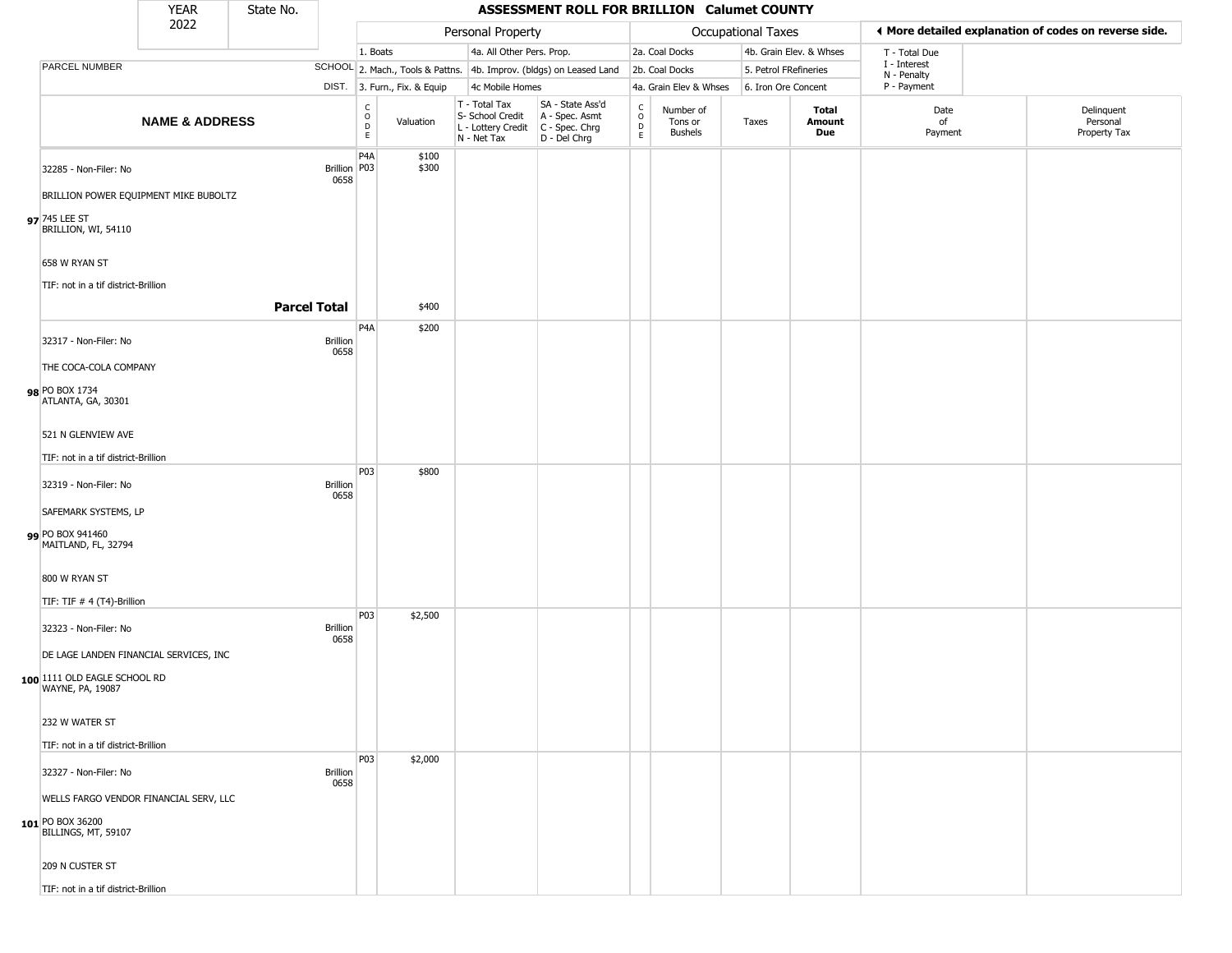|                                                                                   | YEAR                      | State No.           |                         |                                                          |                              |                                                                        | ASSESSMENT ROLL FOR BRILLION Calumet COUNTY                            |                                                 |                                        |                       |                         |                             |                                                       |
|-----------------------------------------------------------------------------------|---------------------------|---------------------|-------------------------|----------------------------------------------------------|------------------------------|------------------------------------------------------------------------|------------------------------------------------------------------------|-------------------------------------------------|----------------------------------------|-----------------------|-------------------------|-----------------------------|-------------------------------------------------------|
|                                                                                   | 2022                      |                     |                         |                                                          |                              | Personal Property                                                      |                                                                        |                                                 |                                        | Occupational Taxes    |                         |                             | ♦ More detailed explanation of codes on reverse side. |
|                                                                                   |                           |                     |                         | 1. Boats                                                 |                              | 4a. All Other Pers. Prop.                                              |                                                                        |                                                 | 2a. Coal Docks                         |                       | 4b. Grain Elev. & Whses | T - Total Due               |                                                       |
| PARCEL NUMBER                                                                     |                           |                     |                         |                                                          |                              |                                                                        | SCHOOL 2. Mach., Tools & Pattns. 4b. Improv. (bldgs) on Leased Land    |                                                 | 2b. Coal Docks                         | 5. Petrol FRefineries |                         | I - Interest<br>N - Penalty |                                                       |
|                                                                                   |                           |                     |                         |                                                          | DIST. 3. Furn., Fix. & Equip | 4c Mobile Homes                                                        |                                                                        |                                                 | 4a. Grain Elev & Whses                 | 6. Iron Ore Concent   |                         | P - Payment                 |                                                       |
|                                                                                   | <b>NAME &amp; ADDRESS</b> |                     |                         | $\begin{matrix} 0 \\ 0 \\ D \end{matrix}$<br>$\mathsf E$ | Valuation                    | T - Total Tax<br>S- School Credit<br>L - Lottery Credit<br>N - Net Tax | SA - State Ass'd<br>A - Spec. Asmt<br>$C - Spec. Chrg$<br>D - Del Chrg | $\begin{array}{c} C \\ O \\ D \\ E \end{array}$ | Number of<br>Tons or<br><b>Bushels</b> | Taxes                 | Total<br>Amount<br>Due  | Date<br>of<br>Payment       | Delinquent<br>Personal<br>Property Tax                |
| 32285 - Non-Filer: No                                                             |                           |                     | Brillion   P03<br>0658  | P4A                                                      | \$100<br>\$300               |                                                                        |                                                                        |                                                 |                                        |                       |                         |                             |                                                       |
| BRILLION POWER EQUIPMENT MIKE BUBOLTZ<br>97 745 LEE ST<br>BRILLION, WI, 54110     |                           |                     |                         |                                                          |                              |                                                                        |                                                                        |                                                 |                                        |                       |                         |                             |                                                       |
| 658 W RYAN ST                                                                     |                           |                     |                         |                                                          |                              |                                                                        |                                                                        |                                                 |                                        |                       |                         |                             |                                                       |
| TIF: not in a tif district-Brillion                                               |                           |                     |                         |                                                          |                              |                                                                        |                                                                        |                                                 |                                        |                       |                         |                             |                                                       |
|                                                                                   |                           | <b>Parcel Total</b> |                         |                                                          | \$400                        |                                                                        |                                                                        |                                                 |                                        |                       |                         |                             |                                                       |
| 32317 - Non-Filer: No                                                             |                           |                     | <b>Brillion</b><br>0658 | P <sub>4</sub> A                                         | \$200                        |                                                                        |                                                                        |                                                 |                                        |                       |                         |                             |                                                       |
| THE COCA-COLA COMPANY<br>98 PO BOX 1734<br>ATLANTA, GA, 30301                     |                           |                     |                         |                                                          |                              |                                                                        |                                                                        |                                                 |                                        |                       |                         |                             |                                                       |
| 521 N GLENVIEW AVE<br>TIF: not in a tif district-Brillion                         |                           |                     |                         |                                                          |                              |                                                                        |                                                                        |                                                 |                                        |                       |                         |                             |                                                       |
| 32319 - Non-Filer: No<br>SAFEMARK SYSTEMS, LP                                     |                           |                     | <b>Brillion</b><br>0658 | P03                                                      | \$800                        |                                                                        |                                                                        |                                                 |                                        |                       |                         |                             |                                                       |
| PO BOX 941460<br>MAITLAND, FL, 32794                                              |                           |                     |                         |                                                          |                              |                                                                        |                                                                        |                                                 |                                        |                       |                         |                             |                                                       |
| 800 W RYAN ST<br>TIF: TIF # 4 (T4)-Brillion                                       |                           |                     |                         | P03                                                      | \$2,500                      |                                                                        |                                                                        |                                                 |                                        |                       |                         |                             |                                                       |
| 32323 - Non-Filer: No<br>DE LAGE LANDEN FINANCIAL SERVICES, INC                   |                           |                     | <b>Brillion</b><br>0658 |                                                          |                              |                                                                        |                                                                        |                                                 |                                        |                       |                         |                             |                                                       |
| 100 1111 OLD EAGLE SCHOOL RD<br>WAYNE, PA, 19087                                  |                           |                     |                         |                                                          |                              |                                                                        |                                                                        |                                                 |                                        |                       |                         |                             |                                                       |
| 232 W WATER ST<br>TIF: not in a tif district-Brillion                             |                           |                     |                         |                                                          |                              |                                                                        |                                                                        |                                                 |                                        |                       |                         |                             |                                                       |
|                                                                                   |                           |                     |                         | P03                                                      | \$2,000                      |                                                                        |                                                                        |                                                 |                                        |                       |                         |                             |                                                       |
| 32327 - Non-Filer: No                                                             |                           |                     | <b>Brillion</b><br>0658 |                                                          |                              |                                                                        |                                                                        |                                                 |                                        |                       |                         |                             |                                                       |
| WELLS FARGO VENDOR FINANCIAL SERV, LLC<br>101 PO BOX 36200<br>BILLINGS, MT, 59107 |                           |                     |                         |                                                          |                              |                                                                        |                                                                        |                                                 |                                        |                       |                         |                             |                                                       |
| 209 N CUSTER ST                                                                   |                           |                     |                         |                                                          |                              |                                                                        |                                                                        |                                                 |                                        |                       |                         |                             |                                                       |
| TIF: not in a tif district-Brillion                                               |                           |                     |                         |                                                          |                              |                                                                        |                                                                        |                                                 |                                        |                       |                         |                             |                                                       |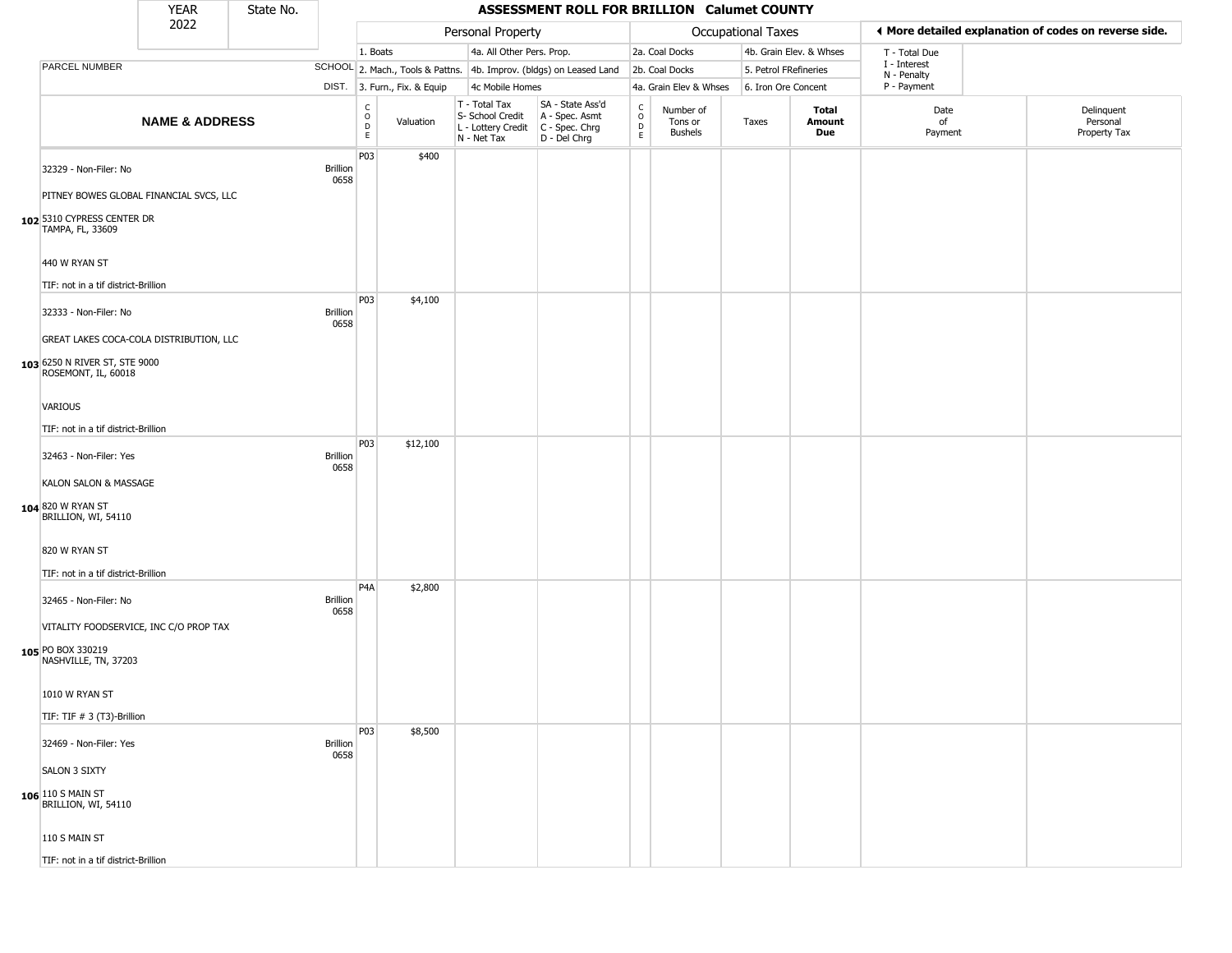|                                                                                                 | <b>YEAR</b>               | State No. |                         |                                   |                              |                                                                                         | ASSESSMENT ROLL FOR BRILLION Calumet COUNTY                         |                                              |                                        |                       |                         |                             |                                                       |
|-------------------------------------------------------------------------------------------------|---------------------------|-----------|-------------------------|-----------------------------------|------------------------------|-----------------------------------------------------------------------------------------|---------------------------------------------------------------------|----------------------------------------------|----------------------------------------|-----------------------|-------------------------|-----------------------------|-------------------------------------------------------|
|                                                                                                 | 2022                      |           |                         |                                   |                              | Personal Property                                                                       |                                                                     |                                              |                                        | Occupational Taxes    |                         |                             | ◀ More detailed explanation of codes on reverse side. |
|                                                                                                 |                           |           |                         | 1. Boats                          |                              | 4a. All Other Pers. Prop.                                                               |                                                                     |                                              | 2a. Coal Docks                         |                       | 4b. Grain Elev. & Whses | T - Total Due               |                                                       |
| PARCEL NUMBER                                                                                   |                           |           |                         |                                   |                              |                                                                                         | SCHOOL 2. Mach., Tools & Pattns. 4b. Improv. (bldgs) on Leased Land |                                              | 2b. Coal Docks                         | 5. Petrol FRefineries |                         | I - Interest<br>N - Penalty |                                                       |
|                                                                                                 |                           |           |                         |                                   | DIST. 3. Furn., Fix. & Equip | 4c Mobile Homes                                                                         |                                                                     |                                              | 4a. Grain Elev & Whses                 | 6. Iron Ore Concent   |                         | P - Payment                 |                                                       |
|                                                                                                 | <b>NAME &amp; ADDRESS</b> |           |                         | $\mathsf{C}$<br>$\circ$<br>D<br>E | Valuation                    | T - Total Tax<br>S- School Credit<br>L - Lottery Credit   C - Spec. Chrg<br>N - Net Tax | SA - State Ass'd<br>A - Spec. Asmt<br>D - Del Chrg                  | $\mathsf{C}$<br>$\circ$<br>$\mathsf{D}$<br>E | Number of<br>Tons or<br><b>Bushels</b> | Taxes                 | Total<br>Amount<br>Due  | Date<br>of<br>Payment       | Delinquent<br>Personal<br>Property Tax                |
| 32329 - Non-Filer: No                                                                           |                           |           | <b>Brillion</b><br>0658 | P03                               | \$400                        |                                                                                         |                                                                     |                                              |                                        |                       |                         |                             |                                                       |
| PITNEY BOWES GLOBAL FINANCIAL SVCS, LLC<br>102 5310 CYPRESS CENTER DR<br>TAMPA, FL, 33609       |                           |           |                         |                                   |                              |                                                                                         |                                                                     |                                              |                                        |                       |                         |                             |                                                       |
| 440 W RYAN ST<br>TIF: not in a tif district-Brillion                                            |                           |           |                         |                                   |                              |                                                                                         |                                                                     |                                              |                                        |                       |                         |                             |                                                       |
| 32333 - Non-Filer: No                                                                           |                           |           | <b>Brillion</b><br>0658 | P03                               | \$4,100                      |                                                                                         |                                                                     |                                              |                                        |                       |                         |                             |                                                       |
| GREAT LAKES COCA-COLA DISTRIBUTION, LLC<br>103 6250 N RIVER ST, STE 9000<br>ROSEMONT, IL, 60018 |                           |           |                         |                                   |                              |                                                                                         |                                                                     |                                              |                                        |                       |                         |                             |                                                       |
| VARIOUS<br>TIF: not in a tif district-Brillion                                                  |                           |           |                         |                                   |                              |                                                                                         |                                                                     |                                              |                                        |                       |                         |                             |                                                       |
| 32463 - Non-Filer: Yes                                                                          |                           |           | <b>Brillion</b><br>0658 | P03                               | \$12,100                     |                                                                                         |                                                                     |                                              |                                        |                       |                         |                             |                                                       |
| KALON SALON & MASSAGE<br>104 820 W RYAN ST<br>BRILLION, WI, 54110                               |                           |           |                         |                                   |                              |                                                                                         |                                                                     |                                              |                                        |                       |                         |                             |                                                       |
| 820 W RYAN ST<br>TIF: not in a tif district-Brillion                                            |                           |           |                         |                                   |                              |                                                                                         |                                                                     |                                              |                                        |                       |                         |                             |                                                       |
| 32465 - Non-Filer: No                                                                           |                           |           | <b>Brillion</b><br>0658 | P <sub>4</sub> A                  | \$2,800                      |                                                                                         |                                                                     |                                              |                                        |                       |                         |                             |                                                       |
| VITALITY FOODSERVICE, INC C/O PROP TAX<br>105 PO BOX 330219<br>NASHVILLE, TN, 37203             |                           |           |                         |                                   |                              |                                                                                         |                                                                     |                                              |                                        |                       |                         |                             |                                                       |
| 1010 W RYAN ST<br>TIF: TIF # 3 (T3)-Brillion                                                    |                           |           |                         |                                   |                              |                                                                                         |                                                                     |                                              |                                        |                       |                         |                             |                                                       |
| 32469 - Non-Filer: Yes                                                                          |                           |           | <b>Brillion</b><br>0658 | P03                               | \$8,500                      |                                                                                         |                                                                     |                                              |                                        |                       |                         |                             |                                                       |
| <b>SALON 3 SIXTY</b>                                                                            |                           |           |                         |                                   |                              |                                                                                         |                                                                     |                                              |                                        |                       |                         |                             |                                                       |
| <b>106</b> 110 S MAIN ST<br>BRILLION, WI, 54110                                                 |                           |           |                         |                                   |                              |                                                                                         |                                                                     |                                              |                                        |                       |                         |                             |                                                       |
| 110 S MAIN ST                                                                                   |                           |           |                         |                                   |                              |                                                                                         |                                                                     |                                              |                                        |                       |                         |                             |                                                       |
| TIF: not in a tif district-Brillion                                                             |                           |           |                         |                                   |                              |                                                                                         |                                                                     |                                              |                                        |                       |                         |                             |                                                       |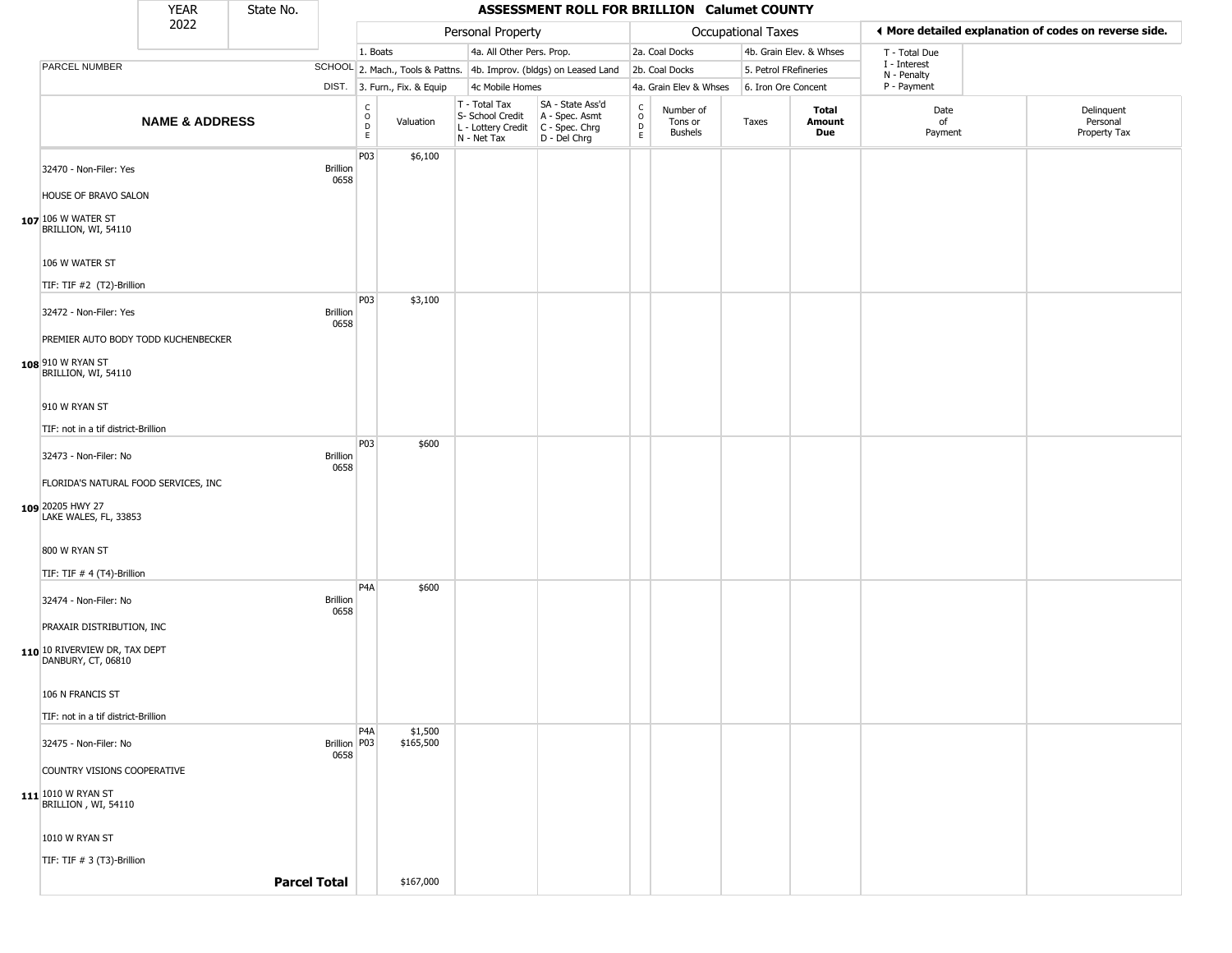|                                                                   | <b>YEAR</b>               | State No. |                         |                                            |                              |                                                                                         | ASSESSMENT ROLL FOR BRILLION Calumet COUNTY                         |                                                 |                                        |                       |                         |                             |                                                       |
|-------------------------------------------------------------------|---------------------------|-----------|-------------------------|--------------------------------------------|------------------------------|-----------------------------------------------------------------------------------------|---------------------------------------------------------------------|-------------------------------------------------|----------------------------------------|-----------------------|-------------------------|-----------------------------|-------------------------------------------------------|
|                                                                   | 2022                      |           |                         |                                            |                              | Personal Property                                                                       |                                                                     |                                                 |                                        | Occupational Taxes    |                         |                             | ◀ More detailed explanation of codes on reverse side. |
|                                                                   |                           |           |                         | 1. Boats                                   |                              | 4a. All Other Pers. Prop.                                                               |                                                                     |                                                 | 2a. Coal Docks                         |                       | 4b. Grain Elev. & Whses | T - Total Due               |                                                       |
| <b>PARCEL NUMBER</b>                                              |                           |           |                         |                                            |                              |                                                                                         | SCHOOL 2. Mach., Tools & Pattns. 4b. Improv. (bldgs) on Leased Land |                                                 | 2b. Coal Docks                         | 5. Petrol FRefineries |                         | I - Interest<br>N - Penalty |                                                       |
|                                                                   |                           |           |                         |                                            | DIST. 3. Furn., Fix. & Equip | 4c Mobile Homes                                                                         |                                                                     |                                                 | 4a. Grain Elev & Whses                 | 6. Iron Ore Concent   |                         | P - Payment                 |                                                       |
|                                                                   | <b>NAME &amp; ADDRESS</b> |           |                         | $\begin{array}{c} C \\ O \\ E \end{array}$ | Valuation                    | T - Total Tax<br>S- School Credit<br>L - Lottery Credit   C - Spec. Chrg<br>N - Net Tax | SA - State Ass'd<br>A - Spec. Asmt<br>D - Del Chrg                  | $\begin{array}{c} C \\ O \\ D \\ E \end{array}$ | Number of<br>Tons or<br><b>Bushels</b> | Taxes                 | Total<br>Amount<br>Due  | Date<br>of<br>Payment       | Delinquent<br>Personal<br>Property Tax                |
| 32470 - Non-Filer: Yes                                            |                           |           | <b>Brillion</b><br>0658 | P03                                        | \$6,100                      |                                                                                         |                                                                     |                                                 |                                        |                       |                         |                             |                                                       |
| HOUSE OF BRAVO SALON<br>107 106 W WATER ST<br>BRILLION, WI, 54110 |                           |           |                         |                                            |                              |                                                                                         |                                                                     |                                                 |                                        |                       |                         |                             |                                                       |
| 106 W WATER ST                                                    |                           |           |                         |                                            |                              |                                                                                         |                                                                     |                                                 |                                        |                       |                         |                             |                                                       |
| TIF: TIF #2 (T2)-Brillion                                         |                           |           |                         |                                            |                              |                                                                                         |                                                                     |                                                 |                                        |                       |                         |                             |                                                       |
| 32472 - Non-Filer: Yes                                            |                           |           | <b>Brillion</b><br>0658 | P03                                        | \$3,100                      |                                                                                         |                                                                     |                                                 |                                        |                       |                         |                             |                                                       |
| PREMIER AUTO BODY TODD KUCHENBECKER<br>108 910 W RYAN ST          |                           |           |                         |                                            |                              |                                                                                         |                                                                     |                                                 |                                        |                       |                         |                             |                                                       |
| BRILLION, WI, 54110<br>910 W RYAN ST                              |                           |           |                         |                                            |                              |                                                                                         |                                                                     |                                                 |                                        |                       |                         |                             |                                                       |
|                                                                   |                           |           |                         |                                            |                              |                                                                                         |                                                                     |                                                 |                                        |                       |                         |                             |                                                       |
| TIF: not in a tif district-Brillion                               |                           |           |                         | <b>P03</b>                                 | \$600                        |                                                                                         |                                                                     |                                                 |                                        |                       |                         |                             |                                                       |
| 32473 - Non-Filer: No                                             |                           |           | <b>Brillion</b><br>0658 |                                            |                              |                                                                                         |                                                                     |                                                 |                                        |                       |                         |                             |                                                       |
| FLORIDA'S NATURAL FOOD SERVICES, INC                              |                           |           |                         |                                            |                              |                                                                                         |                                                                     |                                                 |                                        |                       |                         |                             |                                                       |
| 109 20205 HWY 27<br>LAKE WALES, FL, 33853                         |                           |           |                         |                                            |                              |                                                                                         |                                                                     |                                                 |                                        |                       |                         |                             |                                                       |
| 800 W RYAN ST                                                     |                           |           |                         |                                            |                              |                                                                                         |                                                                     |                                                 |                                        |                       |                         |                             |                                                       |
| TIF: TIF # 4 (T4)-Brillion                                        |                           |           |                         |                                            |                              |                                                                                         |                                                                     |                                                 |                                        |                       |                         |                             |                                                       |
| 32474 - Non-Filer: No                                             |                           |           | Brillion<br>0658        | P <sub>4</sub> A                           | \$600                        |                                                                                         |                                                                     |                                                 |                                        |                       |                         |                             |                                                       |
| PRAXAIR DISTRIBUTION, INC                                         |                           |           |                         |                                            |                              |                                                                                         |                                                                     |                                                 |                                        |                       |                         |                             |                                                       |
| 110 10 RIVERVIEW DR, TAX DEPT<br>DANBURY, CT, 06810               |                           |           |                         |                                            |                              |                                                                                         |                                                                     |                                                 |                                        |                       |                         |                             |                                                       |
| 106 N FRANCIS ST                                                  |                           |           |                         |                                            |                              |                                                                                         |                                                                     |                                                 |                                        |                       |                         |                             |                                                       |
| TIF: not in a tif district-Brillion                               |                           |           |                         | P4A                                        | \$1,500                      |                                                                                         |                                                                     |                                                 |                                        |                       |                         |                             |                                                       |
| 32475 - Non-Filer: No                                             |                           |           | Brillion   P03<br>0658  |                                            | \$165,500                    |                                                                                         |                                                                     |                                                 |                                        |                       |                         |                             |                                                       |
| COUNTRY VISIONS COOPERATIVE                                       |                           |           |                         |                                            |                              |                                                                                         |                                                                     |                                                 |                                        |                       |                         |                             |                                                       |
| $111$ 1010 W RYAN ST<br>BRILLION, WI, 54110                       |                           |           |                         |                                            |                              |                                                                                         |                                                                     |                                                 |                                        |                       |                         |                             |                                                       |
| 1010 W RYAN ST                                                    |                           |           |                         |                                            |                              |                                                                                         |                                                                     |                                                 |                                        |                       |                         |                             |                                                       |
| TIF: TIF # 3 (T3)-Brillion                                        |                           |           |                         |                                            |                              |                                                                                         |                                                                     |                                                 |                                        |                       |                         |                             |                                                       |
|                                                                   |                           |           | <b>Parcel Total</b>     |                                            | \$167,000                    |                                                                                         |                                                                     |                                                 |                                        |                       |                         |                             |                                                       |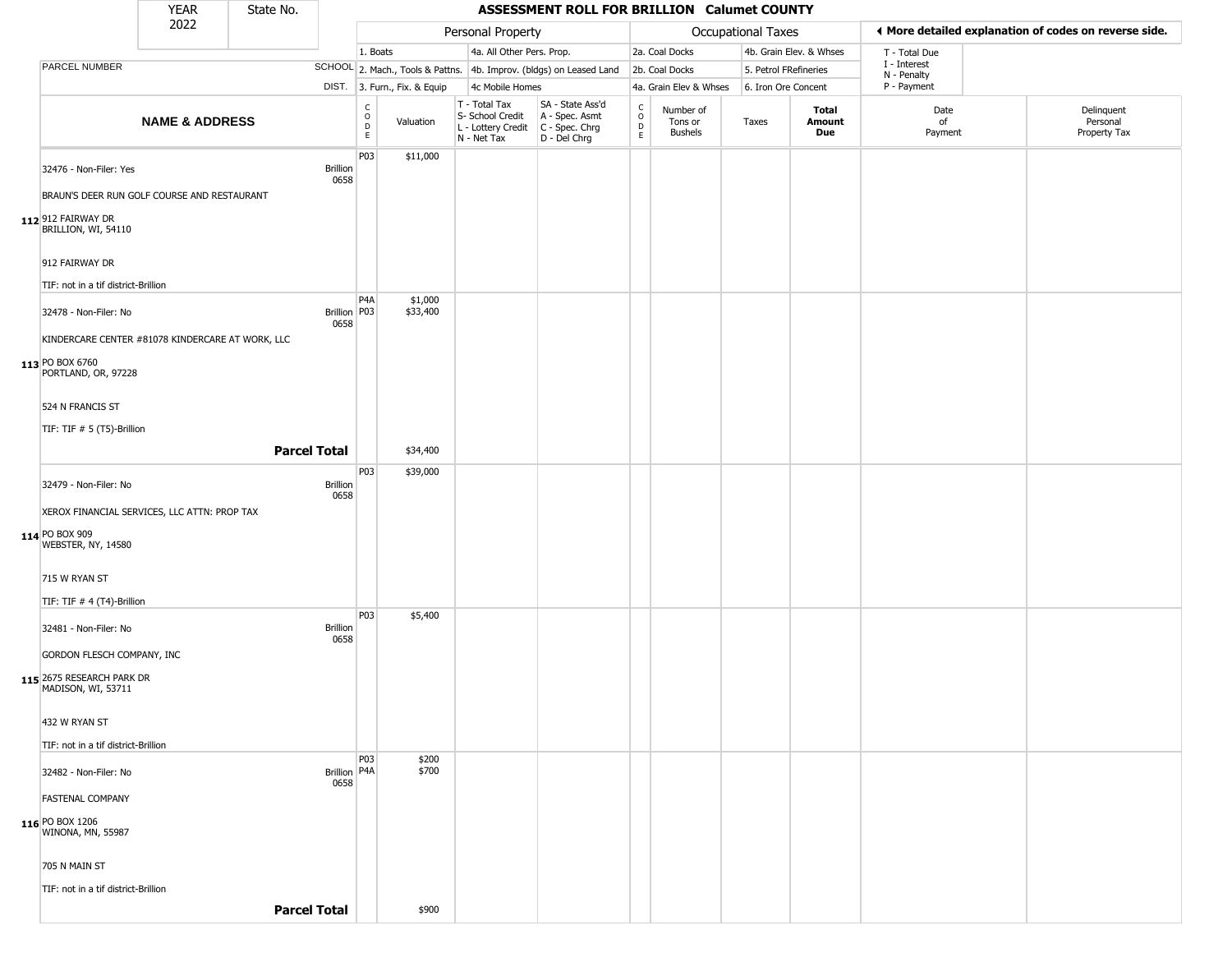|                                                  | <b>YEAR</b>               | State No. |                         |                                                |                              |                                                                        | ASSESSMENT ROLL FOR BRILLION Calumet COUNTY                            |                                                          |                                        |                       |                         |                             |                                                       |
|--------------------------------------------------|---------------------------|-----------|-------------------------|------------------------------------------------|------------------------------|------------------------------------------------------------------------|------------------------------------------------------------------------|----------------------------------------------------------|----------------------------------------|-----------------------|-------------------------|-----------------------------|-------------------------------------------------------|
|                                                  | 2022                      |           |                         |                                                |                              | Personal Property                                                      |                                                                        |                                                          |                                        | Occupational Taxes    |                         |                             | ♦ More detailed explanation of codes on reverse side. |
|                                                  |                           |           |                         | 1. Boats                                       |                              | 4a. All Other Pers. Prop.                                              |                                                                        |                                                          | 2a. Coal Docks                         |                       | 4b. Grain Elev. & Whses | T - Total Due               |                                                       |
| PARCEL NUMBER                                    |                           |           |                         |                                                |                              |                                                                        | SCHOOL 2. Mach., Tools & Pattns. 4b. Improv. (bldgs) on Leased Land    |                                                          | 2b. Coal Docks                         | 5. Petrol FRefineries |                         | I - Interest<br>N - Penalty |                                                       |
|                                                  |                           |           |                         |                                                | DIST. 3. Furn., Fix. & Equip | 4c Mobile Homes                                                        |                                                                        |                                                          | 4a. Grain Elev & Whses                 | 6. Iron Ore Concent   |                         | P - Payment                 |                                                       |
|                                                  | <b>NAME &amp; ADDRESS</b> |           |                         | $\begin{matrix} 0 \\ 0 \\ D \end{matrix}$<br>E | Valuation                    | T - Total Tax<br>S- School Credit<br>L - Lottery Credit<br>N - Net Tax | SA - State Ass'd<br>A - Spec. Asmt<br>$C - Spec. Chrg$<br>D - Del Chrg | $\begin{matrix} 0 \\ 0 \\ D \end{matrix}$<br>$\mathsf E$ | Number of<br>Tons or<br><b>Bushels</b> | Taxes                 | Total<br>Amount<br>Due  | Date<br>of<br>Payment       | Delinquent<br>Personal<br>Property Tax                |
| 32476 - Non-Filer: Yes                           |                           |           | <b>Brillion</b><br>0658 | P03                                            | \$11,000                     |                                                                        |                                                                        |                                                          |                                        |                       |                         |                             |                                                       |
| BRAUN'S DEER RUN GOLF COURSE AND RESTAURANT      |                           |           |                         |                                                |                              |                                                                        |                                                                        |                                                          |                                        |                       |                         |                             |                                                       |
| 112 912 FAIRWAY DR<br>BRILLION, WI, 54110        |                           |           |                         |                                                |                              |                                                                        |                                                                        |                                                          |                                        |                       |                         |                             |                                                       |
| 912 FAIRWAY DR                                   |                           |           |                         |                                                |                              |                                                                        |                                                                        |                                                          |                                        |                       |                         |                             |                                                       |
| TIF: not in a tif district-Brillion              |                           |           |                         |                                                |                              |                                                                        |                                                                        |                                                          |                                        |                       |                         |                             |                                                       |
| 32478 - Non-Filer: No                            |                           |           | Brillion   P03<br>0658  | P4A                                            | \$1,000<br>\$33,400          |                                                                        |                                                                        |                                                          |                                        |                       |                         |                             |                                                       |
| KINDERCARE CENTER #81078 KINDERCARE AT WORK, LLC |                           |           |                         |                                                |                              |                                                                        |                                                                        |                                                          |                                        |                       |                         |                             |                                                       |
| 113 PO BOX 6760<br>PORTLAND, OR, 97228           |                           |           |                         |                                                |                              |                                                                        |                                                                        |                                                          |                                        |                       |                         |                             |                                                       |
| 524 N FRANCIS ST                                 |                           |           |                         |                                                |                              |                                                                        |                                                                        |                                                          |                                        |                       |                         |                             |                                                       |
| TIF: TIF # 5 (T5)-Brillion                       |                           |           |                         |                                                |                              |                                                                        |                                                                        |                                                          |                                        |                       |                         |                             |                                                       |
|                                                  |                           |           | <b>Parcel Total</b>     |                                                | \$34,400                     |                                                                        |                                                                        |                                                          |                                        |                       |                         |                             |                                                       |
| 32479 - Non-Filer: No                            |                           |           | <b>Brillion</b><br>0658 | P <sub>03</sub>                                | \$39,000                     |                                                                        |                                                                        |                                                          |                                        |                       |                         |                             |                                                       |
| XEROX FINANCIAL SERVICES, LLC ATTN: PROP TAX     |                           |           |                         |                                                |                              |                                                                        |                                                                        |                                                          |                                        |                       |                         |                             |                                                       |
| 114 PO BOX 909<br>WEBSTER, NY, 14580             |                           |           |                         |                                                |                              |                                                                        |                                                                        |                                                          |                                        |                       |                         |                             |                                                       |
| 715 W RYAN ST                                    |                           |           |                         |                                                |                              |                                                                        |                                                                        |                                                          |                                        |                       |                         |                             |                                                       |
| TIF: TIF # 4 (T4)-Brillion                       |                           |           |                         |                                                |                              |                                                                        |                                                                        |                                                          |                                        |                       |                         |                             |                                                       |
| 32481 - Non-Filer: No                            |                           |           | <b>Brillion</b><br>0658 | P <sub>03</sub>                                | \$5,400                      |                                                                        |                                                                        |                                                          |                                        |                       |                         |                             |                                                       |
| GORDON FLESCH COMPANY, INC                       |                           |           |                         |                                                |                              |                                                                        |                                                                        |                                                          |                                        |                       |                         |                             |                                                       |
| 115 2675 RESEARCH PARK DR<br>MADISON, WI, 53711  |                           |           |                         |                                                |                              |                                                                        |                                                                        |                                                          |                                        |                       |                         |                             |                                                       |
| 432 W RYAN ST                                    |                           |           |                         |                                                |                              |                                                                        |                                                                        |                                                          |                                        |                       |                         |                             |                                                       |
| TIF: not in a tif district-Brillion              |                           |           |                         |                                                |                              |                                                                        |                                                                        |                                                          |                                        |                       |                         |                             |                                                       |
| 32482 - Non-Filer: No                            |                           |           | Brillion   P4A<br>0658  | P <sub>03</sub>                                | \$200<br>\$700               |                                                                        |                                                                        |                                                          |                                        |                       |                         |                             |                                                       |
| <b>FASTENAL COMPANY</b>                          |                           |           |                         |                                                |                              |                                                                        |                                                                        |                                                          |                                        |                       |                         |                             |                                                       |
| 116 PO BOX 1206<br><b>WINONA, MN, 55987</b>      |                           |           |                         |                                                |                              |                                                                        |                                                                        |                                                          |                                        |                       |                         |                             |                                                       |
| 705 N MAIN ST                                    |                           |           |                         |                                                |                              |                                                                        |                                                                        |                                                          |                                        |                       |                         |                             |                                                       |
| TIF: not in a tif district-Brillion              |                           |           |                         |                                                |                              |                                                                        |                                                                        |                                                          |                                        |                       |                         |                             |                                                       |
|                                                  |                           |           | <b>Parcel Total</b>     |                                                | \$900                        |                                                                        |                                                                        |                                                          |                                        |                       |                         |                             |                                                       |
|                                                  |                           |           |                         |                                                |                              |                                                                        |                                                                        |                                                          |                                        |                       |                         |                             |                                                       |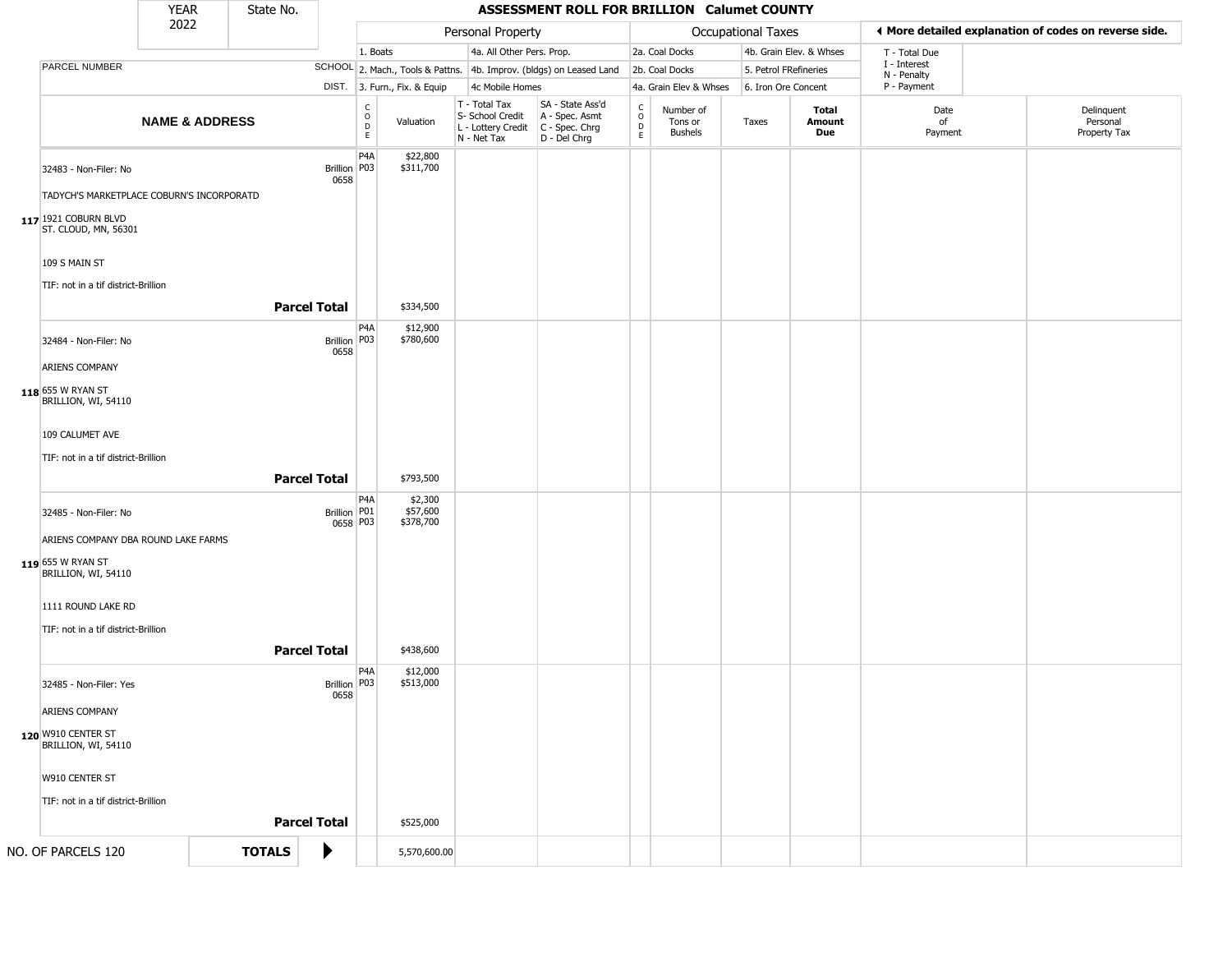|                                                                    | <b>YEAR</b>               |  | State No.           |                              | <b>ASSESSMENT ROLL FOR BRILLION Calumet COUNTY</b> |                       |                                                                        |                                                                      |                                   |                                        |                                                       |                         |                             |  |                                        |
|--------------------------------------------------------------------|---------------------------|--|---------------------|------------------------------|----------------------------------------------------|-----------------------|------------------------------------------------------------------------|----------------------------------------------------------------------|-----------------------------------|----------------------------------------|-------------------------------------------------------|-------------------------|-----------------------------|--|----------------------------------------|
| 2022                                                               |                           |  |                     |                              | Personal Property                                  |                       |                                                                        |                                                                      | Occupational Taxes                |                                        | ◀ More detailed explanation of codes on reverse side. |                         |                             |  |                                        |
|                                                                    |                           |  |                     |                              | 1. Boats                                           |                       | 4a. All Other Pers. Prop.                                              |                                                                      |                                   | 2a. Coal Docks                         |                                                       | 4b. Grain Elev. & Whses | T - Total Due               |  |                                        |
| PARCEL NUMBER                                                      |                           |  |                     |                              |                                                    |                       |                                                                        | SCHOOL 2. Mach., Tools & Pattns. 4b. Improv. (bldgs) on Leased Land  |                                   | 2b. Coal Docks                         | 5. Petrol FRefineries                                 |                         | I - Interest<br>N - Penalty |  |                                        |
|                                                                    |                           |  |                     | DIST. 3. Furn., Fix. & Equip |                                                    | 4c Mobile Homes       |                                                                        | 4a. Grain Elev & Whses                                               |                                   | 6. Iron Ore Concent                    |                                                       | P - Payment             |                             |  |                                        |
|                                                                    | <b>NAME &amp; ADDRESS</b> |  |                     |                              | C<br>$\mathsf O$<br>D<br>E                         | Valuation             | T - Total Tax<br>S- School Credit<br>L - Lottery Credit<br>N - Net Tax | SA - State Ass'd<br>A - Spec. Asmt<br>C - Spec. Chrg<br>D - Del Chrg | $\mathsf{C}$<br>$\circ$<br>D<br>E | Number of<br>Tons or<br><b>Bushels</b> | Taxes                                                 | Total<br>Amount<br>Due  | Date<br>of<br>Payment       |  | Delinquent<br>Personal<br>Property Tax |
| 32483 - Non-Filer: No<br>TADYCH'S MARKETPLACE COBURN'S INCORPORATD |                           |  |                     | Brillion   P03<br>0658       | P <sub>4</sub> A                                   | \$22,800<br>\$311,700 |                                                                        |                                                                      |                                   |                                        |                                                       |                         |                             |  |                                        |
| 117 1921 COBURN BLVD<br>ST. CLOUD, MN, 56301                       |                           |  |                     |                              |                                                    |                       |                                                                        |                                                                      |                                   |                                        |                                                       |                         |                             |  |                                        |
| 109 S MAIN ST<br>TIF: not in a tif district-Brillion               |                           |  |                     |                              |                                                    |                       |                                                                        |                                                                      |                                   |                                        |                                                       |                         |                             |  |                                        |
|                                                                    |                           |  | <b>Parcel Total</b> |                              |                                                    | \$334,500             |                                                                        |                                                                      |                                   |                                        |                                                       |                         |                             |  |                                        |
| 32484 - Non-Filer: No                                              |                           |  |                     | Brillion P03<br>0658         | P <sub>4</sub> A                                   | \$12,900<br>\$780,600 |                                                                        |                                                                      |                                   |                                        |                                                       |                         |                             |  |                                        |
| ARIENS COMPANY                                                     |                           |  |                     |                              |                                                    |                       |                                                                        |                                                                      |                                   |                                        |                                                       |                         |                             |  |                                        |
| 118 655 W RYAN ST<br>BRILLION, WI, 54110                           |                           |  |                     |                              |                                                    |                       |                                                                        |                                                                      |                                   |                                        |                                                       |                         |                             |  |                                        |
| 109 CALUMET AVE                                                    |                           |  |                     |                              |                                                    |                       |                                                                        |                                                                      |                                   |                                        |                                                       |                         |                             |  |                                        |
| TIF: not in a tif district-Brillion                                |                           |  |                     |                              |                                                    |                       |                                                                        |                                                                      |                                   |                                        |                                                       |                         |                             |  |                                        |
|                                                                    |                           |  | <b>Parcel Total</b> |                              |                                                    | \$793,500             |                                                                        |                                                                      |                                   |                                        |                                                       |                         |                             |  |                                        |
| 32485 - Non-Filer: No                                              |                           |  |                     | Brillion P01                 | P <sub>4</sub> A                                   | \$2,300<br>\$57,600   |                                                                        |                                                                      |                                   |                                        |                                                       |                         |                             |  |                                        |
| ARIENS COMPANY DBA ROUND LAKE FARMS                                |                           |  |                     | 0658 P03                     |                                                    | \$378,700             |                                                                        |                                                                      |                                   |                                        |                                                       |                         |                             |  |                                        |
| 119 655 W RYAN ST<br>BRILLION, WI, 54110                           |                           |  |                     |                              |                                                    |                       |                                                                        |                                                                      |                                   |                                        |                                                       |                         |                             |  |                                        |
| 1111 ROUND LAKE RD                                                 |                           |  |                     |                              |                                                    |                       |                                                                        |                                                                      |                                   |                                        |                                                       |                         |                             |  |                                        |
| TIF: not in a tif district-Brillion                                |                           |  | <b>Parcel Total</b> |                              |                                                    | \$438,600             |                                                                        |                                                                      |                                   |                                        |                                                       |                         |                             |  |                                        |
| 32485 - Non-Filer: Yes                                             |                           |  |                     | Brillion   P03               | P4A                                                | \$12,000<br>\$513,000 |                                                                        |                                                                      |                                   |                                        |                                                       |                         |                             |  |                                        |
| ARIENS COMPANY                                                     |                           |  |                     | 0658                         |                                                    |                       |                                                                        |                                                                      |                                   |                                        |                                                       |                         |                             |  |                                        |
| 120 W910 CENTER ST<br>BRILLION, WI, 54110                          |                           |  |                     |                              |                                                    |                       |                                                                        |                                                                      |                                   |                                        |                                                       |                         |                             |  |                                        |
| W910 CENTER ST                                                     |                           |  |                     |                              |                                                    |                       |                                                                        |                                                                      |                                   |                                        |                                                       |                         |                             |  |                                        |
| TIF: not in a tif district-Brillion                                |                           |  |                     |                              |                                                    |                       |                                                                        |                                                                      |                                   |                                        |                                                       |                         |                             |  |                                        |
|                                                                    |                           |  | <b>Parcel Total</b> |                              |                                                    | \$525,000             |                                                                        |                                                                      |                                   |                                        |                                                       |                         |                             |  |                                        |
| NO. OF PARCELS 120                                                 |                           |  | <b>TOTALS</b>       | ▶                            |                                                    | 5,570,600.00          |                                                                        |                                                                      |                                   |                                        |                                                       |                         |                             |  |                                        |